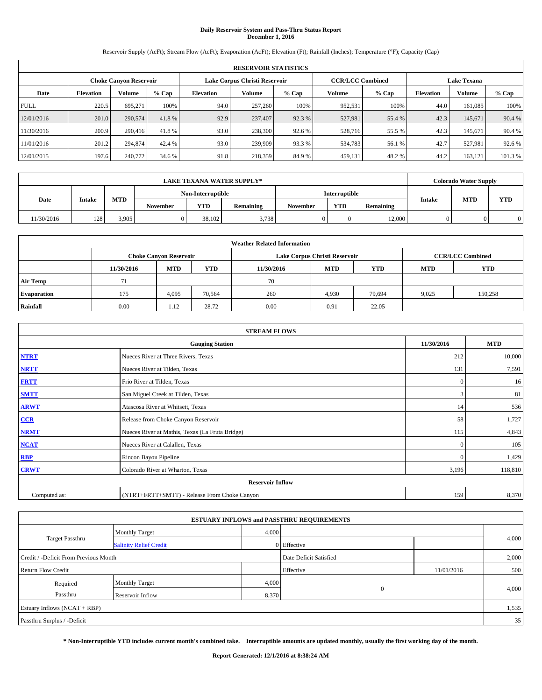# **Daily Reservoir System and Pass-Thru Status Report December 1, 2016**

Reservoir Supply (AcFt); Stream Flow (AcFt); Evaporation (AcFt); Elevation (Ft); Rainfall (Inches); Temperature (°F); Capacity (Cap)

| <b>RESERVOIR STATISTICS</b> |                  |                               |         |                  |                               |         |                         |         |                  |                    |         |  |
|-----------------------------|------------------|-------------------------------|---------|------------------|-------------------------------|---------|-------------------------|---------|------------------|--------------------|---------|--|
|                             |                  | <b>Choke Canyon Reservoir</b> |         |                  | Lake Corpus Christi Reservoir |         | <b>CCR/LCC Combined</b> |         |                  | <b>Lake Texana</b> |         |  |
| Date                        | <b>Elevation</b> | Volume                        | $%$ Cap | <b>Elevation</b> | Volume                        | $%$ Cap | Volume                  | $%$ Cap | <b>Elevation</b> | <b>Volume</b>      | $%$ Cap |  |
| <b>FULL</b>                 | 220.5            | 695.271                       | 100%    | 94.0             | 257,260                       | 100%    | 952,531                 | 100%    | 44.0             | 161.085            | 100%    |  |
| 12/01/2016                  | 201.0            | 290,574                       | 41.8%   | 92.9             | 237,407                       | 92.3 %  | 527,981                 | 55.4 %  | 42.3             | 145,671            | 90.4 %  |  |
| 11/30/2016                  | 200.9            | 290,416                       | 41.8%   | 93.0             | 238,300                       | 92.6 %  | 528,716                 | 55.5 %  | 42.3             | 145.671            | 90.4%   |  |
| 11/01/2016                  | 201.2            | 294,874                       | 42.4 %  | 93.0             | 239,909                       | 93.3 %  | 534,783                 | 56.1 %  | 42.7             | 527.981            | 92.6 %  |  |
| 12/01/2015                  | 197.6            | 240,772                       | 34.6 %  | 91.8             | 218,359                       | 84.9%   | 459,131                 | 48.2%   | 44.2             | 163.121            | 101.3 % |  |

|            | <b>LAKE TEXANA WATER SUPPLY*</b> |            |                   |                         |       |  |               |           |               | <b>Colorado Water Supply</b> |            |
|------------|----------------------------------|------------|-------------------|-------------------------|-------|--|---------------|-----------|---------------|------------------------------|------------|
|            |                                  |            | Non-Interruptible |                         |       |  | Interruptible |           |               |                              |            |
| Date       | <b>Intake</b>                    | <b>MTD</b> | November          | <b>YTD</b><br>Remaining |       |  | <b>YTD</b>    | Remaining | <b>Intake</b> | <b>MTD</b>                   | <b>YTD</b> |
| 11/30/2016 | 128                              | 3.905      |                   | 38.102                  | 3.738 |  |               | 12,000    |               |                              |            |

| <b>Weather Related Information</b> |                                                                                                |                               |        |      |                               |                         |       |            |  |  |
|------------------------------------|------------------------------------------------------------------------------------------------|-------------------------------|--------|------|-------------------------------|-------------------------|-------|------------|--|--|
|                                    |                                                                                                | <b>Choke Canyon Reservoir</b> |        |      | Lake Corpus Christi Reservoir | <b>CCR/LCC Combined</b> |       |            |  |  |
|                                    | <b>YTD</b><br><b>MTD</b><br><b>MTD</b><br><b>YTD</b><br><b>MTD</b><br>11/30/2016<br>11/30/2016 |                               |        |      |                               |                         |       | <b>YTD</b> |  |  |
| <b>Air Temp</b>                    | 71                                                                                             |                               |        | 70   |                               |                         |       |            |  |  |
| <b>Evaporation</b>                 | 175                                                                                            | 4,095                         | 70,564 | 260  | 4,930                         | 79,694                  | 9,025 | 150,258    |  |  |
| Rainfall                           | 0.00                                                                                           | 1.12                          | 28.72  | 0.00 | 0.91                          | 22.05                   |       |            |  |  |

| <b>STREAM FLOWS</b> |                                                 |              |            |  |  |  |  |  |  |
|---------------------|-------------------------------------------------|--------------|------------|--|--|--|--|--|--|
|                     | <b>Gauging Station</b>                          | 11/30/2016   | <b>MTD</b> |  |  |  |  |  |  |
| <b>NTRT</b>         | Nueces River at Three Rivers, Texas             | 212          | 10,000     |  |  |  |  |  |  |
| <b>NRTT</b>         | Nueces River at Tilden, Texas                   | 131          | 7,591      |  |  |  |  |  |  |
| <b>FRTT</b>         | Frio River at Tilden, Texas                     | $\mathbf{0}$ | 16         |  |  |  |  |  |  |
| <b>SMTT</b>         | San Miguel Creek at Tilden, Texas               | 3            | 81         |  |  |  |  |  |  |
| <b>ARWT</b>         | Atascosa River at Whitsett, Texas               | 14           | 536        |  |  |  |  |  |  |
| $CCR$               | Release from Choke Canyon Reservoir             | 58           | 1,727      |  |  |  |  |  |  |
| <b>NRMT</b>         | Nueces River at Mathis, Texas (La Fruta Bridge) | 115          | 4,843      |  |  |  |  |  |  |
| <b>NCAT</b>         | Nueces River at Calallen, Texas                 | $\theta$     | 105        |  |  |  |  |  |  |
| RBP                 | Rincon Bayou Pipeline                           | $\mathbf{0}$ | 1,429      |  |  |  |  |  |  |
| <b>CRWT</b>         | Colorado River at Wharton, Texas                | 3,196        | 118,810    |  |  |  |  |  |  |
|                     | <b>Reservoir Inflow</b>                         |              |            |  |  |  |  |  |  |
| Computed as:        | (NTRT+FRTT+SMTT) - Release From Choke Canyon    |              |            |  |  |  |  |  |  |

| <b>ESTUARY INFLOWS and PASSTHRU REQUIREMENTS</b> |                               |                        |                   |            |       |  |  |  |  |  |
|--------------------------------------------------|-------------------------------|------------------------|-------------------|------------|-------|--|--|--|--|--|
|                                                  | <b>Monthly Target</b>         | 4,000                  |                   |            |       |  |  |  |  |  |
| <b>Target Passthru</b>                           | <b>Salinity Relief Credit</b> |                        | 0 Effective       |            | 4,000 |  |  |  |  |  |
| Credit / -Deficit From Previous Month            |                               | Date Deficit Satisfied |                   | 2,000      |       |  |  |  |  |  |
| <b>Return Flow Credit</b>                        |                               |                        | Effective         | 11/01/2016 | 500   |  |  |  |  |  |
| Required                                         | <b>Monthly Target</b>         | 4,000                  |                   |            |       |  |  |  |  |  |
| Passthru<br>Reservoir Inflow                     |                               |                        | $\theta$<br>8,370 |            | 4,000 |  |  |  |  |  |
| Estuary Inflows (NCAT + RBP)                     |                               |                        |                   |            | 1,535 |  |  |  |  |  |
| Passthru Surplus / -Deficit                      |                               |                        |                   |            | 35    |  |  |  |  |  |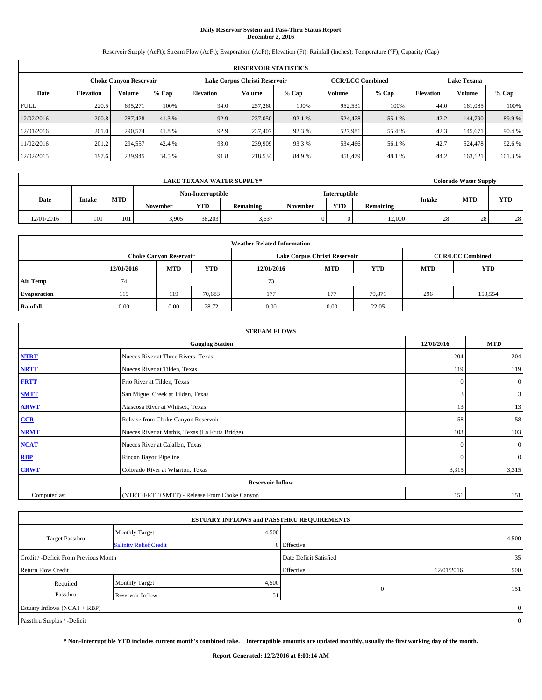# **Daily Reservoir System and Pass-Thru Status Report December 2, 2016**

Reservoir Supply (AcFt); Stream Flow (AcFt); Evaporation (AcFt); Elevation (Ft); Rainfall (Inches); Temperature (°F); Capacity (Cap)

| <b>RESERVOIR STATISTICS</b> |                  |                               |         |                  |                               |         |                         |         |                    |               |         |
|-----------------------------|------------------|-------------------------------|---------|------------------|-------------------------------|---------|-------------------------|---------|--------------------|---------------|---------|
|                             |                  | <b>Choke Canyon Reservoir</b> |         |                  | Lake Corpus Christi Reservoir |         | <b>CCR/LCC Combined</b> |         | <b>Lake Texana</b> |               |         |
| Date                        | <b>Elevation</b> | Volume                        | $%$ Cap | <b>Elevation</b> | Volume                        | $%$ Cap | Volume                  | $%$ Cap | <b>Elevation</b>   | <b>Volume</b> | $%$ Cap |
| <b>FULL</b>                 | 220.5            | 695.271                       | 100%    | 94.0             | 257,260                       | 100%    | 952,531                 | 100%    | 44.0               | 161.085       | 100%    |
| 12/02/2016                  | 200.8            | 287,428                       | 41.3 %  | 92.9             | 237,050                       | 92.1 %  | 524,478                 | 55.1 %  | 42.2               | 144,790       | 89.9%   |
| 12/01/2016                  | 201.0            | 290,574                       | 41.8%   | 92.9             | 237,407                       | 92.3 %  | 527.981                 | 55.4 %  | 42.3               | 145.671       | 90.4%   |
| 11/02/2016                  | 201.2            | 294,557                       | 42.4 %  | 93.0             | 239,909                       | 93.3 %  | 534,466                 | 56.1 %  | 42.7               | 524,478       | 92.6 %  |
| 12/02/2015                  | 197.6            | 239,945                       | 34.5 %  | 91.8             | 218,534                       | 84.9%   | 458,479                 | 48.1%   | 44.2               | 163.121       | 101.3 % |

|            | <b>LAKE TEXANA WATER SUPPLY*</b> |            |                                                   |                   |       |          |                      |           |        | <b>Colorado Water Supply</b> |            |  |
|------------|----------------------------------|------------|---------------------------------------------------|-------------------|-------|----------|----------------------|-----------|--------|------------------------------|------------|--|
|            |                                  |            |                                                   | Non-Interruptible |       |          | <b>Interruptible</b> |           |        |                              |            |  |
| Date       | Intake                           | <b>MTD</b> | <b>YTD</b><br><b>Remaining</b><br><b>November</b> |                   |       | November | <b>YTD</b>           | Remaining | Intake | <b>MTD</b>                   | <b>YTD</b> |  |
| 12/01/2016 | 101                              | 101        | 3,905                                             | 38,203            | 3,637 |          |                      | 12,000    | 28     | 28                           | 28         |  |

| <b>Weather Related Information</b> |            |                                                                                  |        |      |                               |                         |     |         |  |  |
|------------------------------------|------------|----------------------------------------------------------------------------------|--------|------|-------------------------------|-------------------------|-----|---------|--|--|
|                                    |            | <b>Choke Canyon Reservoir</b>                                                    |        |      | Lake Corpus Christi Reservoir | <b>CCR/LCC Combined</b> |     |         |  |  |
|                                    | 12/01/2016 | <b>YTD</b><br><b>MTD</b><br><b>MTD</b><br><b>YTD</b><br><b>MTD</b><br>12/01/2016 |        |      |                               |                         |     |         |  |  |
| <b>Air Temp</b>                    | 74         |                                                                                  |        | 73   |                               |                         |     |         |  |  |
| <b>Evaporation</b>                 | 119        | 119                                                                              | 70,683 | 177  | 177                           | 79.871                  | 296 | 150,554 |  |  |
| Rainfall                           | 0.00       | 0.00                                                                             | 28.72  | 0.00 | 0.00                          | 22.05                   |     |         |  |  |

|              | <b>STREAM FLOWS</b>                             |              |                  |  |  |  |  |  |  |  |
|--------------|-------------------------------------------------|--------------|------------------|--|--|--|--|--|--|--|
|              | <b>Gauging Station</b>                          | 12/01/2016   | <b>MTD</b>       |  |  |  |  |  |  |  |
| <b>NTRT</b>  | Nueces River at Three Rivers, Texas             | 204          | 204              |  |  |  |  |  |  |  |
| <b>NRTT</b>  | Nueces River at Tilden, Texas                   | 119          | 119              |  |  |  |  |  |  |  |
| <b>FRTT</b>  | Frio River at Tilden, Texas                     | $\mathbf{0}$ | $\boldsymbol{0}$ |  |  |  |  |  |  |  |
| <b>SMTT</b>  | San Miguel Creek at Tilden, Texas               | 3            | 3                |  |  |  |  |  |  |  |
| <b>ARWT</b>  | Atascosa River at Whitsett, Texas               | 13           | 13               |  |  |  |  |  |  |  |
| CCR          | Release from Choke Canyon Reservoir             | 58           | 58               |  |  |  |  |  |  |  |
| <b>NRMT</b>  | Nueces River at Mathis, Texas (La Fruta Bridge) | 103          | 103              |  |  |  |  |  |  |  |
| <b>NCAT</b>  | Nueces River at Calallen, Texas                 | $\Omega$     | $\boldsymbol{0}$ |  |  |  |  |  |  |  |
| <b>RBP</b>   | Rincon Bayou Pipeline                           | $\Omega$     | $\overline{0}$   |  |  |  |  |  |  |  |
| <b>CRWT</b>  | Colorado River at Wharton, Texas                | 3,315        | 3,315            |  |  |  |  |  |  |  |
|              | <b>Reservoir Inflow</b>                         |              |                  |  |  |  |  |  |  |  |
| Computed as: | (NTRT+FRTT+SMTT) - Release From Choke Canyon    | 151          | 151              |  |  |  |  |  |  |  |

| <b>ESTUARY INFLOWS and PASSTHRU REQUIREMENTS</b> |                               |                        |             |            |       |  |  |  |  |  |
|--------------------------------------------------|-------------------------------|------------------------|-------------|------------|-------|--|--|--|--|--|
|                                                  | Monthly Target                | 4,500                  |             |            |       |  |  |  |  |  |
| <b>Target Passthru</b>                           | <b>Salinity Relief Credit</b> |                        | 0 Effective |            | 4,500 |  |  |  |  |  |
| Credit / -Deficit From Previous Month            |                               | Date Deficit Satisfied |             | 35         |       |  |  |  |  |  |
| <b>Return Flow Credit</b>                        |                               |                        | Effective   | 12/01/2016 | 500   |  |  |  |  |  |
| Required                                         | <b>Monthly Target</b>         | 4,500                  |             |            |       |  |  |  |  |  |
| Passthru                                         | Reservoir Inflow              | 151                    | $\theta$    |            | 151   |  |  |  |  |  |
| Estuary Inflows (NCAT + RBP)                     |                               |                        |             |            |       |  |  |  |  |  |
| Passthru Surplus / -Deficit                      |                               |                        |             |            |       |  |  |  |  |  |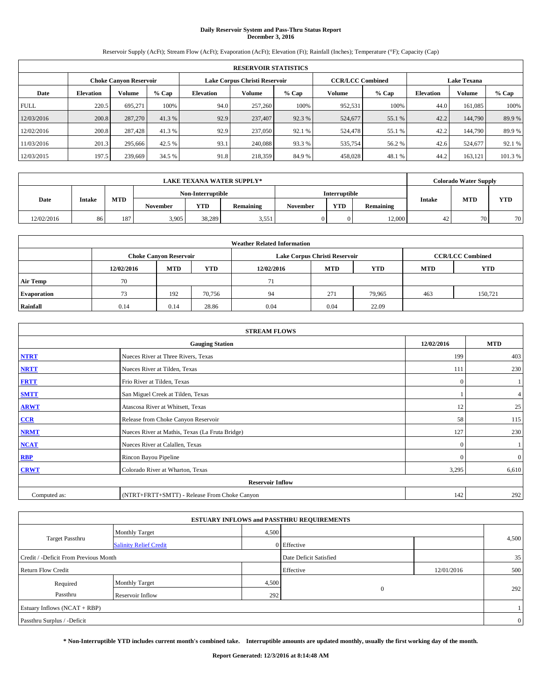# **Daily Reservoir System and Pass-Thru Status Report December 3, 2016**

Reservoir Supply (AcFt); Stream Flow (AcFt); Evaporation (AcFt); Elevation (Ft); Rainfall (Inches); Temperature (°F); Capacity (Cap)

|             | <b>RESERVOIR STATISTICS</b>   |         |         |           |                               |         |                         |         |                  |                    |         |  |
|-------------|-------------------------------|---------|---------|-----------|-------------------------------|---------|-------------------------|---------|------------------|--------------------|---------|--|
|             | <b>Choke Canyon Reservoir</b> |         |         |           | Lake Corpus Christi Reservoir |         | <b>CCR/LCC Combined</b> |         |                  | <b>Lake Texana</b> |         |  |
| Date        | <b>Elevation</b>              | Volume  | $%$ Cap | Elevation | Volume                        | $%$ Cap | Volume                  | $%$ Cap | <b>Elevation</b> | <b>Volume</b>      | % Cap   |  |
| <b>FULL</b> | 220.5                         | 695.271 | 100%    | 94.0      | 257,260                       | 100%    | 952,531                 | 100%    | 44.0             | 161.085            | 100%    |  |
| 12/03/2016  | 200.8                         | 287,270 | 41.3 %  | 92.9      | 237,407                       | 92.3 %  | 524,677                 | 55.1 %  | 42.2             | 144,790            | 89.9%   |  |
| 12/02/2016  | 200.8                         | 287,428 | 41.3 %  | 92.9      | 237,050                       | 92.1 %  | 524,478                 | 55.1 %  | 42.2             | 144,790            | 89.9%   |  |
| 11/03/2016  | 201.3                         | 295,666 | 42.5 %  | 93.1      | 240,088                       | 93.3 %  | 535,754                 | 56.2 %  | 42.6             | 524,677            | 92.1 %  |  |
| 12/03/2015  | 197.5                         | 239,669 | 34.5 %  | 91.8      | 218,359                       | 84.9%   | 458,028                 | 48.1%   | 44.2             | 163,121            | 101.3 % |  |

|            | <b>LAKE TEXANA WATER SUPPLY*</b> |            |                 |                   |           |          |               |           |               | <b>Colorado Water Supply</b> |            |  |
|------------|----------------------------------|------------|-----------------|-------------------|-----------|----------|---------------|-----------|---------------|------------------------------|------------|--|
|            |                                  |            |                 | Non-Interruptible |           |          | Interruptible |           |               |                              |            |  |
| Date       | Intake                           | <b>MTD</b> | <b>November</b> | <b>YTD</b>        | Remaining | November | <b>YTD</b>    | Remaining | <b>Intake</b> | <b>MTD</b>                   | <b>YTD</b> |  |
| 12/02/2016 | 86                               | 187        | 3,905           | 38,289            | 3,551     |          |               | 12,000    | 42            | 70                           | 70.        |  |

| <b>Weather Related Information</b> |            |                               |            |            |                               |                         |            |            |  |
|------------------------------------|------------|-------------------------------|------------|------------|-------------------------------|-------------------------|------------|------------|--|
|                                    |            | <b>Choke Canyon Reservoir</b> |            |            | Lake Corpus Christi Reservoir | <b>CCR/LCC Combined</b> |            |            |  |
|                                    | 12/02/2016 | <b>MTD</b>                    | <b>YTD</b> | 12/02/2016 | <b>MTD</b>                    | <b>YTD</b>              | <b>MTD</b> | <b>YTD</b> |  |
| <b>Air Temp</b>                    | 70         |                               |            | 71         |                               |                         |            |            |  |
| <b>Evaporation</b>                 | 73         | 192                           | 70,756     | 94         | 271                           | 79.965                  | 463        | 150,721    |  |
| Rainfall                           | 0.14       | 0.14                          | 28.86      | 0.04       | 0.04                          | 22.09                   |            |            |  |

| <b>STREAM FLOWS</b>                                |                                                 |              |                  |  |  |  |  |  |  |
|----------------------------------------------------|-------------------------------------------------|--------------|------------------|--|--|--|--|--|--|
| <b>Gauging Station</b><br>12/02/2016<br><b>MTD</b> |                                                 |              |                  |  |  |  |  |  |  |
| <b>NTRT</b>                                        | Nueces River at Three Rivers, Texas             | 199          | 403              |  |  |  |  |  |  |
| <b>NRTT</b>                                        | Nueces River at Tilden, Texas                   | 111          | 230              |  |  |  |  |  |  |
| <b>FRTT</b>                                        | Frio River at Tilden, Texas                     | $\mathbf{0}$ |                  |  |  |  |  |  |  |
| <b>SMTT</b>                                        | San Miguel Creek at Tilden, Texas               |              | $\overline{4}$   |  |  |  |  |  |  |
| <b>ARWT</b>                                        | Atascosa River at Whitsett, Texas               | 12           | 25               |  |  |  |  |  |  |
| $CCR$                                              | Release from Choke Canyon Reservoir             | 58           | 115              |  |  |  |  |  |  |
| <b>NRMT</b>                                        | Nueces River at Mathis, Texas (La Fruta Bridge) | 127          | 230              |  |  |  |  |  |  |
| <b>NCAT</b>                                        | Nueces River at Calallen, Texas                 | $\mathbf{0}$ |                  |  |  |  |  |  |  |
| RBP                                                | Rincon Bayou Pipeline                           | $\Omega$     | $\boldsymbol{0}$ |  |  |  |  |  |  |
| <b>CRWT</b>                                        | Colorado River at Wharton, Texas                | 3,295        | 6,610            |  |  |  |  |  |  |
|                                                    | <b>Reservoir Inflow</b>                         |              |                  |  |  |  |  |  |  |
| Computed as:                                       | 142                                             | 292          |                  |  |  |  |  |  |  |

|                                       |                               |       | <b>ESTUARY INFLOWS and PASSTHRU REQUIREMENTS</b> |            |              |
|---------------------------------------|-------------------------------|-------|--------------------------------------------------|------------|--------------|
|                                       | Monthly Target                | 4,500 |                                                  |            |              |
| <b>Target Passthru</b>                | <b>Salinity Relief Credit</b> |       | 0 Effective                                      |            | 4,500        |
| Credit / -Deficit From Previous Month |                               |       | Date Deficit Satisfied                           |            | 35           |
| <b>Return Flow Credit</b>             |                               |       | Effective                                        | 12/01/2016 | 500          |
| Required                              | <b>Monthly Target</b>         | 4,500 |                                                  |            |              |
| Passthru                              | Reservoir Inflow              | 292   | $\mathbf{0}$                                     |            | 292          |
| Estuary Inflows (NCAT + RBP)          |                               |       |                                                  |            |              |
| Passthru Surplus / -Deficit           |                               |       |                                                  |            | $\mathbf{0}$ |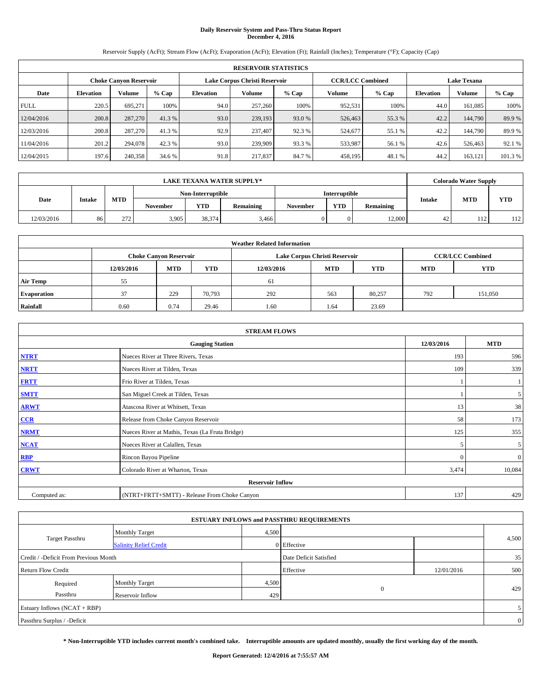# **Daily Reservoir System and Pass-Thru Status Report December 4, 2016**

Reservoir Supply (AcFt); Stream Flow (AcFt); Evaporation (AcFt); Elevation (Ft); Rainfall (Inches); Temperature (°F); Capacity (Cap)

|             | <b>RESERVOIR STATISTICS</b> |                               |         |                  |                               |         |                         |         |                  |                    |        |
|-------------|-----------------------------|-------------------------------|---------|------------------|-------------------------------|---------|-------------------------|---------|------------------|--------------------|--------|
|             |                             | <b>Choke Canyon Reservoir</b> |         |                  | Lake Corpus Christi Reservoir |         | <b>CCR/LCC Combined</b> |         |                  | <b>Lake Texana</b> |        |
| Date        | <b>Elevation</b>            | Volume                        | $%$ Cap | <b>Elevation</b> | Volume                        | $%$ Cap | Volume                  | $%$ Cap | <b>Elevation</b> | Volume             | % Cap  |
| <b>FULL</b> | 220.5                       | 695.271                       | 100%    | 94.0             | 257,260                       | 100%    | 952,531                 | 100%    | 44.0             | 161,085            | 100%   |
| 12/04/2016  | 200.8                       | 287,270                       | 41.3 %  | 93.0             | 239,193                       | 93.0 %  | 526,463                 | 55.3 %  | 42.2             | 144,790            | 89.9%  |
| 12/03/2016  | 200.8                       | 287,270                       | 41.3 %  | 92.9             | 237,407                       | 92.3 %  | 524,677                 | 55.1 %  | 42.2             | 144,790            | 89.9 % |
| 11/04/2016  | 201.2                       | 294,078                       | 42.3 %  | 93.0             | 239,909                       | 93.3 %  | 533,987                 | 56.1 %  | 42.6             | 526,463            | 92.1 % |
| 12/04/2015  | 197.6                       | 240,358                       | 34.6 %  | 91.8             | 217,837                       | 84.7%   | 458,195                 | 48.1 %  | 44.2             | 163,121            | 101.3% |

| LAKE TEXANA WATER SUPPLY* |        |            |                   |            |           |          |               |           |        | <b>Colorado Water Supply</b> |            |
|---------------------------|--------|------------|-------------------|------------|-----------|----------|---------------|-----------|--------|------------------------------|------------|
|                           |        |            | Non-Interruptible |            |           |          | Interruptible |           |        |                              |            |
| Date                      | Intake | <b>MTD</b> | <b>November</b>   | <b>YTD</b> | Remaining | November | <b>YTD</b>    | Remaining | Intake | <b>MTD</b>                   | <b>YTD</b> |
| 12/03/2016                | 86     | 272        | 3,905             | 38,374     | 3,466     |          |               | 12,000    | 42     | 110<br>114                   | 112        |

| <b>Weather Related Information</b> |            |                               |            |            |                                                      |                         |     |         |  |  |
|------------------------------------|------------|-------------------------------|------------|------------|------------------------------------------------------|-------------------------|-----|---------|--|--|
|                                    |            | <b>Choke Canyon Reservoir</b> |            |            | Lake Corpus Christi Reservoir                        | <b>CCR/LCC Combined</b> |     |         |  |  |
|                                    | 12/03/2016 | <b>MTD</b>                    | <b>YTD</b> | 12/03/2016 | <b>YTD</b><br><b>MTD</b><br><b>YTD</b><br><b>MTD</b> |                         |     |         |  |  |
| <b>Air Temp</b>                    | 55         |                               |            | 61         |                                                      |                         |     |         |  |  |
| <b>Evaporation</b>                 | 37         | 229                           | 70,793     | 292        | 563                                                  | 80,257                  | 792 | 151,050 |  |  |
| Rainfall                           | 0.60       | 0.74                          | 29.46      | 1.60       | 1.64                                                 | 23.69                   |     |         |  |  |

| <b>STREAM FLOWS</b>                                |                                                 |          |                |  |  |  |  |  |  |
|----------------------------------------------------|-------------------------------------------------|----------|----------------|--|--|--|--|--|--|
| <b>Gauging Station</b><br>12/03/2016<br><b>MTD</b> |                                                 |          |                |  |  |  |  |  |  |
| <b>NTRT</b>                                        | Nueces River at Three Rivers, Texas             | 193      | 596            |  |  |  |  |  |  |
| <b>NRTT</b>                                        | Nueces River at Tilden, Texas                   | 109      | 339            |  |  |  |  |  |  |
| <b>FRTT</b>                                        | Frio River at Tilden, Texas                     |          |                |  |  |  |  |  |  |
| <b>SMTT</b>                                        | San Miguel Creek at Tilden, Texas               |          | 5              |  |  |  |  |  |  |
| <b>ARWT</b>                                        | Atascosa River at Whitsett, Texas               | 13       | 38             |  |  |  |  |  |  |
| $CCR$                                              | Release from Choke Canyon Reservoir             | 58       | 173            |  |  |  |  |  |  |
| <b>NRMT</b>                                        | Nueces River at Mathis, Texas (La Fruta Bridge) | 125      | 355            |  |  |  |  |  |  |
| <b>NCAT</b>                                        | Nueces River at Calallen, Texas                 | 5        | 5 <sup>5</sup> |  |  |  |  |  |  |
| RBP                                                | Rincon Bayou Pipeline                           | $\Omega$ | $\mathbf{0}$   |  |  |  |  |  |  |
| <b>CRWT</b>                                        | Colorado River at Wharton, Texas                | 3,474    | 10,084         |  |  |  |  |  |  |
|                                                    | <b>Reservoir Inflow</b>                         |          |                |  |  |  |  |  |  |
| Computed as:                                       | (NTRT+FRTT+SMTT) - Release From Choke Canyon    | 137      | 429            |  |  |  |  |  |  |

|                                       |                               |       | <b>ESTUARY INFLOWS and PASSTHRU REQUIREMENTS</b> |            |                |  |  |  |
|---------------------------------------|-------------------------------|-------|--------------------------------------------------|------------|----------------|--|--|--|
|                                       | Monthly Target                | 4,500 |                                                  |            |                |  |  |  |
| <b>Target Passthru</b>                | <b>Salinity Relief Credit</b> |       | 0 Effective                                      |            | 4,500          |  |  |  |
| Credit / -Deficit From Previous Month |                               |       | Date Deficit Satisfied                           |            | 35             |  |  |  |
| <b>Return Flow Credit</b>             |                               |       | Effective                                        | 12/01/2016 | 500            |  |  |  |
| Required                              | <b>Monthly Target</b>         | 4,500 |                                                  |            |                |  |  |  |
| Passthru                              | Reservoir Inflow              | 429   | $\theta$                                         |            | 429            |  |  |  |
| Estuary Inflows (NCAT + RBP)          |                               |       |                                                  |            |                |  |  |  |
| Passthru Surplus / -Deficit           |                               |       |                                                  |            | $\overline{0}$ |  |  |  |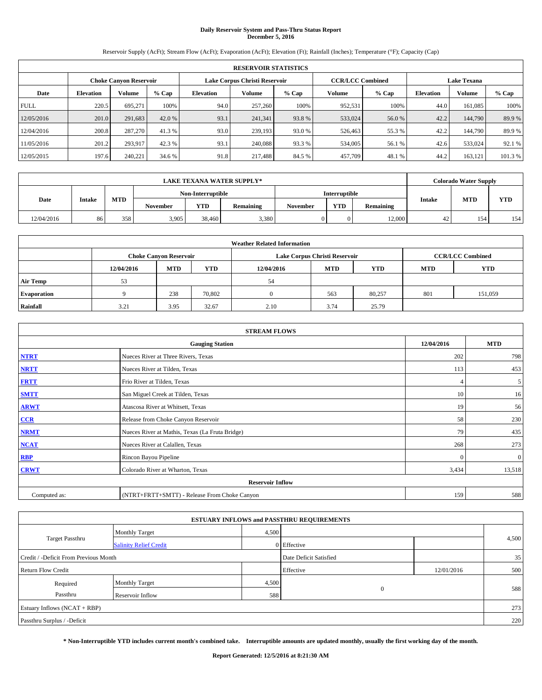# **Daily Reservoir System and Pass-Thru Status Report December 5, 2016**

Reservoir Supply (AcFt); Stream Flow (AcFt); Evaporation (AcFt); Elevation (Ft); Rainfall (Inches); Temperature (°F); Capacity (Cap)

|             | <b>RESERVOIR STATISTICS</b> |                               |         |           |                               |         |                         |         |                  |                    |         |
|-------------|-----------------------------|-------------------------------|---------|-----------|-------------------------------|---------|-------------------------|---------|------------------|--------------------|---------|
|             |                             | <b>Choke Canyon Reservoir</b> |         |           | Lake Corpus Christi Reservoir |         | <b>CCR/LCC Combined</b> |         |                  | <b>Lake Texana</b> |         |
| Date        | <b>Elevation</b>            | Volume                        | $%$ Cap | Elevation | Volume                        | $%$ Cap | Volume                  | $%$ Cap | <b>Elevation</b> | <b>Volume</b>      | % Cap   |
| <b>FULL</b> | 220.5                       | 695.271                       | 100%    | 94.0      | 257,260                       | 100%    | 952,531                 | 100%    | 44.0             | 161.085            | 100%    |
| 12/05/2016  | 201.0                       | 291,683                       | 42.0 %  | 93.1      | 241,341                       | 93.8%   | 533,024                 | 56.0 %  | 42.2             | 144,790            | 89.9%   |
| 12/04/2016  | 200.8                       | 287,270                       | 41.3 %  | 93.0      | 239.193                       | 93.0 %  | 526,463                 | 55.3 %  | 42.2             | 144,790            | 89.9%   |
| 11/05/2016  | 201.2                       | 293,917                       | 42.3 %  | 93.1      | 240,088                       | 93.3 %  | 534,005                 | 56.1 %  | 42.6             | 533,024            | 92.1 %  |
| 12/05/2015  | 197.6                       | 240,221                       | 34.6 %  | 91.8      | 217,488                       | 84.5 %  | 457,709                 | 48.1%   | 44.2             | 163,121            | 101.3 % |

| LAKE TEXANA WATER SUPPLY* |        |            |                   |            |           |          |               |           |        | <b>Colorado Water Supply</b> |            |
|---------------------------|--------|------------|-------------------|------------|-----------|----------|---------------|-----------|--------|------------------------------|------------|
|                           |        |            | Non-Interruptible |            |           |          | Interruptible |           |        |                              |            |
| Date                      | Intake | <b>MTD</b> | <b>November</b>   | <b>YTD</b> | Remaining | November | <b>YTD</b>    | Remaining | Intake | <b>MTD</b>                   | <b>YTD</b> |
| 12/04/2016                | 86     | 358        | 3,905             | 38,460     | 3,380     |          |               | 12,000    | 42     | 154                          | 154        |

| <b>Weather Related Information</b> |            |                               |            |            |                               |                         |     |         |  |
|------------------------------------|------------|-------------------------------|------------|------------|-------------------------------|-------------------------|-----|---------|--|
|                                    |            | <b>Choke Canyon Reservoir</b> |            |            | Lake Corpus Christi Reservoir | <b>CCR/LCC Combined</b> |     |         |  |
|                                    | 12/04/2016 | <b>MTD</b>                    | <b>YTD</b> | 12/04/2016 | <b>YTD</b>                    |                         |     |         |  |
| <b>Air Temp</b>                    | 53         |                               |            | 54         |                               |                         |     |         |  |
| <b>Evaporation</b>                 |            | 238                           | 70,802     |            | 563                           | 80,257                  | 801 | 151,059 |  |
| Rainfall                           | 3.21       | 3.95                          | 32.67      | 2.10       | 3.74                          | 25.79                   |     |         |  |

| <b>STREAM FLOWS</b> |                                                 |            |              |  |  |  |  |  |
|---------------------|-------------------------------------------------|------------|--------------|--|--|--|--|--|
|                     | 12/04/2016                                      | <b>MTD</b> |              |  |  |  |  |  |
| <b>NTRT</b>         | Nueces River at Three Rivers, Texas             | 202        | 798          |  |  |  |  |  |
| <b>NRTT</b>         | Nueces River at Tilden, Texas                   | 113        | 453          |  |  |  |  |  |
| <b>FRTT</b>         | Frio River at Tilden, Texas                     |            | 5            |  |  |  |  |  |
| <b>SMTT</b>         | San Miguel Creek at Tilden, Texas               | 10         | 16           |  |  |  |  |  |
| <b>ARWT</b>         | Atascosa River at Whitsett, Texas               | 19         | 56           |  |  |  |  |  |
| $CCR$               | Release from Choke Canyon Reservoir             | 58         | 230          |  |  |  |  |  |
| <b>NRMT</b>         | Nueces River at Mathis, Texas (La Fruta Bridge) | 79         | 435          |  |  |  |  |  |
| <b>NCAT</b>         | Nueces River at Calallen, Texas                 | 268        | 273          |  |  |  |  |  |
| RBP                 | Rincon Bayou Pipeline                           | $\Omega$   | $\mathbf{0}$ |  |  |  |  |  |
| <b>CRWT</b>         | Colorado River at Wharton, Texas                | 3,434      | 13,518       |  |  |  |  |  |
|                     | <b>Reservoir Inflow</b>                         |            |              |  |  |  |  |  |
| Computed as:        | (NTRT+FRTT+SMTT) - Release From Choke Canyon    | 159        | 588          |  |  |  |  |  |

| <b>ESTUARY INFLOWS and PASSTHRU REQUIREMENTS</b> |                               |       |                        |            |       |  |  |  |  |  |
|--------------------------------------------------|-------------------------------|-------|------------------------|------------|-------|--|--|--|--|--|
|                                                  | Monthly Target                | 4,500 |                        |            |       |  |  |  |  |  |
| <b>Target Passthru</b>                           | <b>Salinity Relief Credit</b> |       | 0 Effective            |            | 4,500 |  |  |  |  |  |
| Credit / -Deficit From Previous Month            |                               |       | Date Deficit Satisfied |            | 35    |  |  |  |  |  |
| <b>Return Flow Credit</b>                        |                               |       | Effective              | 12/01/2016 | 500   |  |  |  |  |  |
| Required                                         | <b>Monthly Target</b>         | 4,500 |                        |            |       |  |  |  |  |  |
| Passthru                                         | Reservoir Inflow              | 588   | $\theta$               |            | 588   |  |  |  |  |  |
| Estuary Inflows $(NCAT + RBP)$                   |                               |       |                        |            |       |  |  |  |  |  |
| Passthru Surplus / -Deficit                      |                               |       |                        |            | 220   |  |  |  |  |  |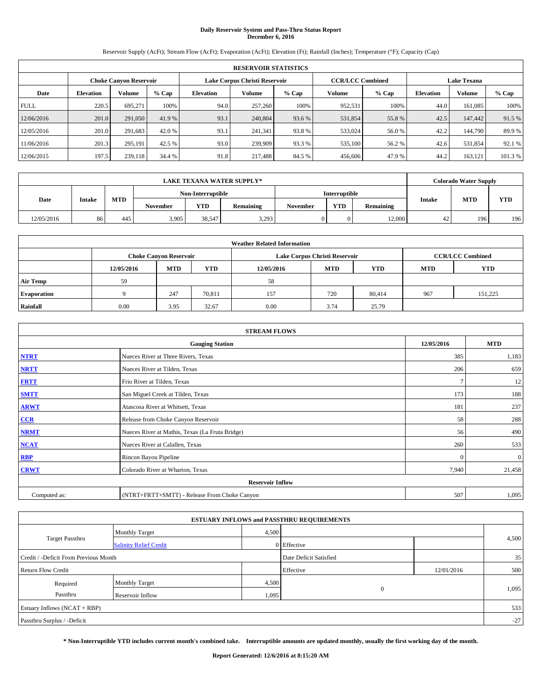# **Daily Reservoir System and Pass-Thru Status Report December 6, 2016**

Reservoir Supply (AcFt); Stream Flow (AcFt); Evaporation (AcFt); Elevation (Ft); Rainfall (Inches); Temperature (°F); Capacity (Cap)

|             | <b>RESERVOIR STATISTICS</b> |                               |         |                  |                                                          |         |         |         |                  |                    |        |
|-------------|-----------------------------|-------------------------------|---------|------------------|----------------------------------------------------------|---------|---------|---------|------------------|--------------------|--------|
|             |                             | <b>Choke Canyon Reservoir</b> |         |                  | <b>CCR/LCC Combined</b><br>Lake Corpus Christi Reservoir |         |         |         |                  | <b>Lake Texana</b> |        |
| Date        | <b>Elevation</b>            | Volume                        | $%$ Cap | <b>Elevation</b> | Volume                                                   | $%$ Cap | Volume  | $%$ Cap | <b>Elevation</b> | Volume             | % Cap  |
| <b>FULL</b> | 220.5                       | 695.271                       | 100%    | 94.0             | 257,260                                                  | 100%    | 952,531 | 100%    | 44.0             | 161,085            | 100%   |
| 12/06/2016  | 201.0                       | 291,050                       | 41.9 %  | 93.1             | 240,804                                                  | 93.6 %  | 531,854 | 55.8%   | 42.5             | 147,442            | 91.5 % |
| 12/05/2016  | 201.0                       | 291,683                       | 42.0 %  | 93.1             | 241.341                                                  | 93.8%   | 533,024 | 56.0 %  | 42.2             | 144,790            | 89.9%  |
| 11/06/2016  | 201.3                       | 295.191                       | 42.5 %  | 93.0             | 239,909                                                  | 93.3 %  | 535,100 | 56.2 %  | 42.6             | 531,854            | 92.1 % |
| 12/06/2015  | 197.5                       | 239,118                       | 34.4 %  | 91.8             | 217,488                                                  | 84.5 %  | 456,606 | 47.9 %  | 44.2             | 163,121            | 101.3% |

|            | <b>LAKE TEXANA WATER SUPPLY*</b> |            |                 |            |                  |                   |            |           | <b>Colorado Water Supply</b> |            |            |  |  |
|------------|----------------------------------|------------|-----------------|------------|------------------|-------------------|------------|-----------|------------------------------|------------|------------|--|--|
|            |                                  |            |                 |            |                  | Non-Interruptible |            |           | <b>Interruptible</b>         |            |            |  |  |
| Date       | Intake                           | <b>MTD</b> | <b>November</b> | <b>YTD</b> | <b>Remaining</b> | November          | <b>YTD</b> | Remaining | Intake                       | <b>MTD</b> | <b>YTD</b> |  |  |
| 12/05/2016 | 86                               | 445        | 3,905           | 38,547     | 3,293            |                   |            | 12,000    | 42                           | 196        | 196        |  |  |

| <b>Weather Related Information</b> |            |                                                                                                |        |      |                               |        |                         |         |  |  |
|------------------------------------|------------|------------------------------------------------------------------------------------------------|--------|------|-------------------------------|--------|-------------------------|---------|--|--|
|                                    |            | <b>Choke Canyon Reservoir</b>                                                                  |        |      | Lake Corpus Christi Reservoir |        | <b>CCR/LCC Combined</b> |         |  |  |
|                                    | 12/05/2016 | <b>YTD</b><br><b>YTD</b><br><b>MTD</b><br><b>MTD</b><br><b>YTD</b><br>12/05/2016<br><b>MTD</b> |        |      |                               |        |                         |         |  |  |
| <b>Air Temp</b>                    | 59         |                                                                                                |        | 58   |                               |        |                         |         |  |  |
| <b>Evaporation</b>                 |            | 247                                                                                            | 70,811 | 157  | 720                           | 80,414 | 967                     | 151.225 |  |  |
| Rainfall                           | 0.00       | 3.95                                                                                           | 32.67  | 0.00 | 3.74                          | 25.79  |                         |         |  |  |

|              | <b>STREAM FLOWS</b>                             |            |              |  |  |  |  |  |  |  |
|--------------|-------------------------------------------------|------------|--------------|--|--|--|--|--|--|--|
|              | <b>Gauging Station</b>                          | 12/05/2016 | <b>MTD</b>   |  |  |  |  |  |  |  |
| <b>NTRT</b>  | Nueces River at Three Rivers, Texas             | 385        | 1,183        |  |  |  |  |  |  |  |
| <b>NRTT</b>  | Nueces River at Tilden, Texas                   | 206        | 659          |  |  |  |  |  |  |  |
| <b>FRTT</b>  | Frio River at Tilden, Texas                     |            | 12           |  |  |  |  |  |  |  |
| <b>SMTT</b>  | San Miguel Creek at Tilden, Texas               | 173        | 188          |  |  |  |  |  |  |  |
| <b>ARWT</b>  | Atascosa River at Whitsett, Texas               | 181        | 237          |  |  |  |  |  |  |  |
| CCR          | Release from Choke Canyon Reservoir             | 58         | 288          |  |  |  |  |  |  |  |
| <b>NRMT</b>  | Nueces River at Mathis, Texas (La Fruta Bridge) | 56         | 490          |  |  |  |  |  |  |  |
| <b>NCAT</b>  | Nueces River at Calallen, Texas                 | 260        | 533          |  |  |  |  |  |  |  |
| <b>RBP</b>   | Rincon Bayou Pipeline                           | $\Omega$   | $\mathbf{0}$ |  |  |  |  |  |  |  |
| <b>CRWT</b>  | Colorado River at Wharton, Texas                | 7,940      | 21,458       |  |  |  |  |  |  |  |
|              | <b>Reservoir Inflow</b>                         |            |              |  |  |  |  |  |  |  |
| Computed as: | (NTRT+FRTT+SMTT) - Release From Choke Canyon    | 507        | 1,095        |  |  |  |  |  |  |  |

|                                       |                               |       | <b>ESTUARY INFLOWS and PASSTHRU REQUIREMENTS</b> |            |       |
|---------------------------------------|-------------------------------|-------|--------------------------------------------------|------------|-------|
|                                       | <b>Monthly Target</b>         | 4,500 |                                                  |            |       |
| <b>Target Passthru</b>                | <b>Salinity Relief Credit</b> |       | 0 Effective                                      |            | 4,500 |
| Credit / -Deficit From Previous Month |                               |       | Date Deficit Satisfied                           |            | 35    |
| <b>Return Flow Credit</b>             |                               |       | Effective                                        | 12/01/2016 | 500   |
| Required                              | <b>Monthly Target</b>         | 4,500 |                                                  |            |       |
| Passthru                              | <b>Reservoir Inflow</b>       | 1,095 | $\mathbf{0}$                                     |            | 1,095 |
| Estuary Inflows $(NCAT + RBP)$        |                               |       |                                                  |            | 533   |
| Passthru Surplus / -Deficit           |                               |       |                                                  |            | $-27$ |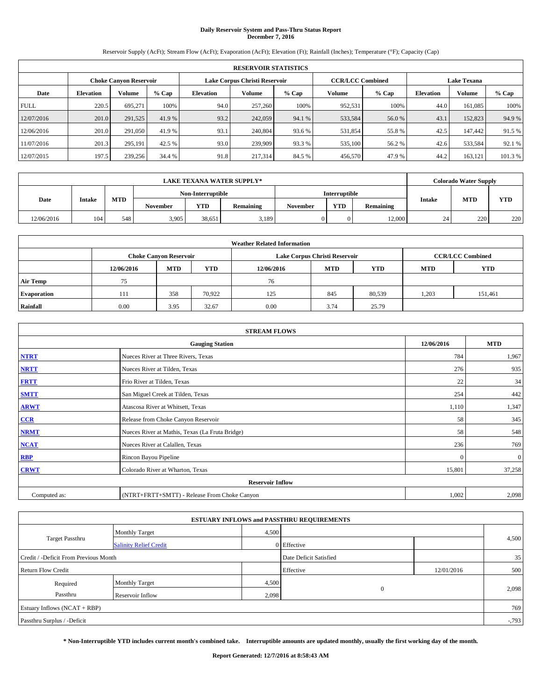# **Daily Reservoir System and Pass-Thru Status Report December 7, 2016**

Reservoir Supply (AcFt); Stream Flow (AcFt); Evaporation (AcFt); Elevation (Ft); Rainfall (Inches); Temperature (°F); Capacity (Cap)

|             | <b>RESERVOIR STATISTICS</b> |                               |         |           |                               |         |                         |         |                  |                    |         |
|-------------|-----------------------------|-------------------------------|---------|-----------|-------------------------------|---------|-------------------------|---------|------------------|--------------------|---------|
|             |                             | <b>Choke Canyon Reservoir</b> |         |           | Lake Corpus Christi Reservoir |         | <b>CCR/LCC Combined</b> |         |                  | <b>Lake Texana</b> |         |
| Date        | <b>Elevation</b>            | Volume                        | $%$ Cap | Elevation | Volume                        | $%$ Cap | Volume                  | $%$ Cap | <b>Elevation</b> | <b>Volume</b>      | % Cap   |
| <b>FULL</b> | 220.5                       | 695.271                       | 100%    | 94.0      | 257,260                       | 100%    | 952,531                 | 100%    | 44.0             | 161.085            | 100%    |
| 12/07/2016  | 201.0                       | 291,525                       | 41.9 %  | 93.2      | 242,059                       | 94.1 %  | 533,584                 | 56.0 %  | 43.1             | 152,823            | 94.9%   |
| 12/06/2016  | 201.0                       | 291,050                       | 41.9 %  | 93.1      | 240,804                       | 93.6 %  | 531,854                 | 55.8%   | 42.5             | 147,442            | 91.5 %  |
| 11/07/2016  | 201.3                       | 295.191                       | 42.5 %  | 93.0      | 239,909                       | 93.3 %  | 535,100                 | 56.2 %  | 42.6             | 533,584            | 92.1 %  |
| 12/07/2015  | 197.5                       | 239,256                       | 34.4 %  | 91.8      | 217,314                       | 84.5 %  | 456,570                 | 47.9%   | 44.2             | 163,121            | 101.3 % |

|            | <b>LAKE TEXANA WATER SUPPLY*</b> |            |       |                 |            |                   |          |               | <b>Colorado Water Supply</b> |        |            |            |  |
|------------|----------------------------------|------------|-------|-----------------|------------|-------------------|----------|---------------|------------------------------|--------|------------|------------|--|
|            |                                  |            |       |                 |            | Non-Interruptible |          | Interruptible |                              |        |            |            |  |
| Date       | Intake                           | <b>MTD</b> |       | <b>November</b> | <b>YTD</b> | <b>Remaining</b>  | November | <b>YTD</b>    | Remaining                    | Intake | <b>MTD</b> | <b>YTD</b> |  |
| 12/06/2016 | 104                              | 548        | 3,905 | 38,651          | 3,189      |                   |          | 12,000        | 24                           | 220    | 220        |            |  |

| <b>Weather Related Information</b> |            |                                                                                                |        |      |                               |        |                         |         |  |  |
|------------------------------------|------------|------------------------------------------------------------------------------------------------|--------|------|-------------------------------|--------|-------------------------|---------|--|--|
|                                    |            | <b>Choke Canyon Reservoir</b>                                                                  |        |      | Lake Corpus Christi Reservoir |        | <b>CCR/LCC Combined</b> |         |  |  |
|                                    | 12/06/2016 | <b>YTD</b><br><b>YTD</b><br><b>MTD</b><br><b>MTD</b><br><b>YTD</b><br>12/06/2016<br><b>MTD</b> |        |      |                               |        |                         |         |  |  |
| <b>Air Temp</b>                    | 75         |                                                                                                |        | 76   |                               |        |                         |         |  |  |
| <b>Evaporation</b>                 | 111        | 358                                                                                            | 70.922 | 125  | 845                           | 80,539 | 1,203                   | 151,461 |  |  |
| Rainfall                           | 0.00       | 3.95                                                                                           | 32.67  | 0.00 | 3.74                          | 25.79  |                         |         |  |  |

|              | <b>STREAM FLOWS</b>                             |            |              |  |  |  |  |  |  |  |
|--------------|-------------------------------------------------|------------|--------------|--|--|--|--|--|--|--|
|              | <b>Gauging Station</b>                          | 12/06/2016 | <b>MTD</b>   |  |  |  |  |  |  |  |
| <b>NTRT</b>  | Nueces River at Three Rivers, Texas             | 784        | 1,967        |  |  |  |  |  |  |  |
| <b>NRTT</b>  | Nueces River at Tilden, Texas                   | 276        | 935          |  |  |  |  |  |  |  |
| <b>FRTT</b>  | Frio River at Tilden, Texas                     | 22         | 34           |  |  |  |  |  |  |  |
| <b>SMTT</b>  | San Miguel Creek at Tilden, Texas               | 254        | 442          |  |  |  |  |  |  |  |
| <b>ARWT</b>  | Atascosa River at Whitsett, Texas               | 1,110      | 1,347        |  |  |  |  |  |  |  |
| CCR          | Release from Choke Canyon Reservoir             | 58         | 345          |  |  |  |  |  |  |  |
| <b>NRMT</b>  | Nueces River at Mathis, Texas (La Fruta Bridge) | 58         | 548          |  |  |  |  |  |  |  |
| <b>NCAT</b>  | Nueces River at Calallen, Texas                 | 236        | 769          |  |  |  |  |  |  |  |
| <b>RBP</b>   | Rincon Bayou Pipeline                           | $\Omega$   | $\mathbf{0}$ |  |  |  |  |  |  |  |
| <b>CRWT</b>  | Colorado River at Wharton, Texas                | 15,801     | 37,258       |  |  |  |  |  |  |  |
|              | <b>Reservoir Inflow</b>                         |            |              |  |  |  |  |  |  |  |
| Computed as: | (NTRT+FRTT+SMTT) - Release From Choke Canyon    | 1,002      | 2,098        |  |  |  |  |  |  |  |

| <b>ESTUARY INFLOWS and PASSTHRU REQUIREMENTS</b> |                               |       |                        |            |          |  |  |  |  |  |
|--------------------------------------------------|-------------------------------|-------|------------------------|------------|----------|--|--|--|--|--|
|                                                  | Monthly Target                | 4,500 |                        |            |          |  |  |  |  |  |
| <b>Target Passthru</b>                           | <b>Salinity Relief Credit</b> |       | 0 Effective            |            | 4,500    |  |  |  |  |  |
| Credit / -Deficit From Previous Month            |                               |       | Date Deficit Satisfied |            | 35       |  |  |  |  |  |
| <b>Return Flow Credit</b>                        |                               |       | Effective              | 12/01/2016 | 500      |  |  |  |  |  |
| Required                                         | <b>Monthly Target</b>         | 4,500 |                        |            |          |  |  |  |  |  |
| Passthru                                         | Reservoir Inflow              | 2,098 | $\theta$               |            | 2,098    |  |  |  |  |  |
| Estuary Inflows $(NCAT + RBP)$                   |                               |       |                        |            |          |  |  |  |  |  |
| Passthru Surplus / -Deficit                      |                               |       |                        |            | $-0.793$ |  |  |  |  |  |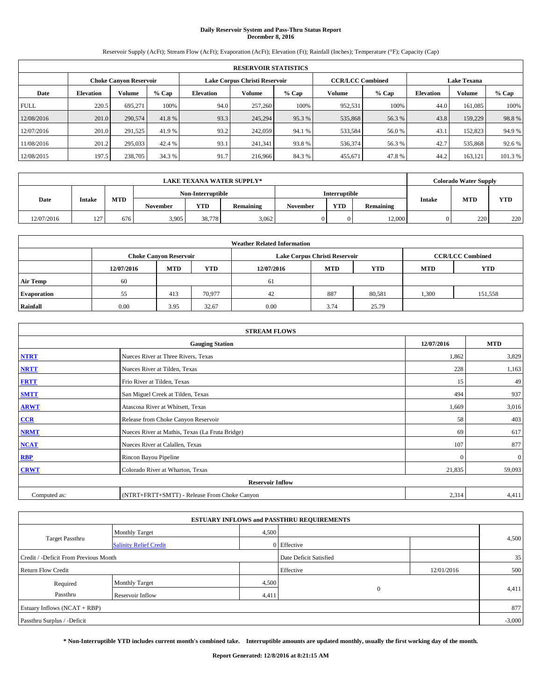# **Daily Reservoir System and Pass-Thru Status Report December 8, 2016**

Reservoir Supply (AcFt); Stream Flow (AcFt); Evaporation (AcFt); Elevation (Ft); Rainfall (Inches); Temperature (°F); Capacity (Cap)

|             | <b>RESERVOIR STATISTICS</b> |                               |         |                                                          |         |         |         |         |                    |               |        |  |
|-------------|-----------------------------|-------------------------------|---------|----------------------------------------------------------|---------|---------|---------|---------|--------------------|---------------|--------|--|
|             |                             | <b>Choke Canyon Reservoir</b> |         | Lake Corpus Christi Reservoir<br><b>CCR/LCC Combined</b> |         |         |         |         | <b>Lake Texana</b> |               |        |  |
| Date        | <b>Elevation</b>            | Volume                        | $%$ Cap | <b>Elevation</b>                                         | Volume  | $%$ Cap | Volume  | $%$ Cap | <b>Elevation</b>   | <b>Volume</b> | % Cap  |  |
| <b>FULL</b> | 220.5                       | 695.271                       | 100%    | 94.0                                                     | 257,260 | 100%    | 952,531 | 100%    | 44.0               | 161,085       | 100%   |  |
| 12/08/2016  | 201.0                       | 290,574                       | 41.8%   | 93.3                                                     | 245,294 | 95.3%   | 535,868 | 56.3%   | 43.8               | 159,229       | 98.8%  |  |
| 12/07/2016  | 201.0                       | 291,525                       | 41.9 %  | 93.2                                                     | 242,059 | 94.1 %  | 533,584 | 56.0%   | 43.1               | 152,823       | 94.9 % |  |
| 11/08/2016  | 201.2                       | 295,033                       | 42.4 %  | 93.1                                                     | 241.341 | 93.8%   | 536,374 | 56.3%   | 42.7               | 535,868       | 92.6 % |  |
| 12/08/2015  | 197.5                       | 238,705                       | 34.3 %  | 91.7                                                     | 216,966 | 84.3%   | 455,671 | 47.8%   | 44.2               | 163,121       | 101.3% |  |

|            | <b>LAKE TEXANA WATER SUPPLY*</b> |            |                   |            |           |          |               |           |        | <b>Colorado Water Supply</b> |            |  |
|------------|----------------------------------|------------|-------------------|------------|-----------|----------|---------------|-----------|--------|------------------------------|------------|--|
|            |                                  |            | Non-Interruptible |            |           |          | Interruptible |           |        |                              |            |  |
| Date       | Intake                           | <b>MTD</b> | <b>November</b>   | <b>YTD</b> | Remaining | November | <b>YTD</b>    | Remaining | Intake | <b>MTD</b>                   | <b>YTD</b> |  |
| 12/07/2016 | 127<br>$\overline{1}$            | 676        | 3,905             | 38,778     | 3,062     |          |               | 12,000    | 0      | 220                          | 220        |  |

|                    | <b>Weather Related Information</b> |                                                                                                |        |      |                               |                         |       |         |  |  |  |  |  |
|--------------------|------------------------------------|------------------------------------------------------------------------------------------------|--------|------|-------------------------------|-------------------------|-------|---------|--|--|--|--|--|
|                    |                                    | <b>Choke Canyon Reservoir</b>                                                                  |        |      | Lake Corpus Christi Reservoir | <b>CCR/LCC Combined</b> |       |         |  |  |  |  |  |
|                    | 12/07/2016                         | <b>YTD</b><br><b>YTD</b><br><b>MTD</b><br><b>MTD</b><br>12/07/2016<br><b>YTD</b><br><b>MTD</b> |        |      |                               |                         |       |         |  |  |  |  |  |
| <b>Air Temp</b>    | 60                                 |                                                                                                |        | 61   |                               |                         |       |         |  |  |  |  |  |
| <b>Evaporation</b> | 55                                 | 413                                                                                            | 70.977 | 42   | 887                           | 80,581                  | 1,300 | 151,558 |  |  |  |  |  |
| Rainfall           | 0.00                               | 3.95                                                                                           | 32.67  | 0.00 | 3.74                          | 25.79                   |       |         |  |  |  |  |  |

| <b>STREAM FLOWS</b> |                                                 |            |              |  |  |  |  |  |
|---------------------|-------------------------------------------------|------------|--------------|--|--|--|--|--|
|                     | <b>Gauging Station</b>                          | 12/07/2016 | <b>MTD</b>   |  |  |  |  |  |
| <b>NTRT</b>         | Nueces River at Three Rivers, Texas             | 1,862      | 3,829        |  |  |  |  |  |
| <b>NRTT</b>         | Nueces River at Tilden, Texas                   | 228        | 1,163        |  |  |  |  |  |
| <b>FRTT</b>         | Frio River at Tilden, Texas                     | 15         | 49           |  |  |  |  |  |
| <b>SMTT</b>         | San Miguel Creek at Tilden, Texas               | 494        | 937          |  |  |  |  |  |
| <b>ARWT</b>         | Atascosa River at Whitsett, Texas               | 1,669      | 3,016        |  |  |  |  |  |
| CCR                 | Release from Choke Canyon Reservoir             | 58         | 403          |  |  |  |  |  |
| <b>NRMT</b>         | Nueces River at Mathis, Texas (La Fruta Bridge) | 69         | 617          |  |  |  |  |  |
| <b>NCAT</b>         | Nueces River at Calallen, Texas                 | 107        | 877          |  |  |  |  |  |
| <b>RBP</b>          | Rincon Bayou Pipeline                           | $\Omega$   | $\mathbf{0}$ |  |  |  |  |  |
| <b>CRWT</b>         | Colorado River at Wharton, Texas                | 21,835     | 59,093       |  |  |  |  |  |
|                     | <b>Reservoir Inflow</b>                         |            |              |  |  |  |  |  |
| Computed as:        | (NTRT+FRTT+SMTT) - Release From Choke Canyon    |            |              |  |  |  |  |  |

|                                                                 |                               |       | <b>ESTUARY INFLOWS and PASSTHRU REQUIREMENTS</b> |            |          |  |  |
|-----------------------------------------------------------------|-------------------------------|-------|--------------------------------------------------|------------|----------|--|--|
|                                                                 | <b>Monthly Target</b>         | 4,500 |                                                  |            |          |  |  |
| <b>Target Passthru</b>                                          | <b>Salinity Relief Credit</b> |       | 0 Effective                                      |            | 4,500    |  |  |
| Credit / -Deficit From Previous Month<br>Date Deficit Satisfied |                               |       |                                                  |            |          |  |  |
| <b>Return Flow Credit</b>                                       |                               |       | Effective                                        | 12/01/2016 | 500      |  |  |
| Required                                                        | <b>Monthly Target</b>         | 4,500 |                                                  |            |          |  |  |
| Passthru                                                        | Reservoir Inflow              | 4,411 | $\Omega$                                         |            | 4,411    |  |  |
| Estuary Inflows $(NCAT + RBP)$                                  |                               |       |                                                  |            | 877      |  |  |
| Passthru Surplus / -Deficit                                     |                               |       |                                                  |            | $-3,000$ |  |  |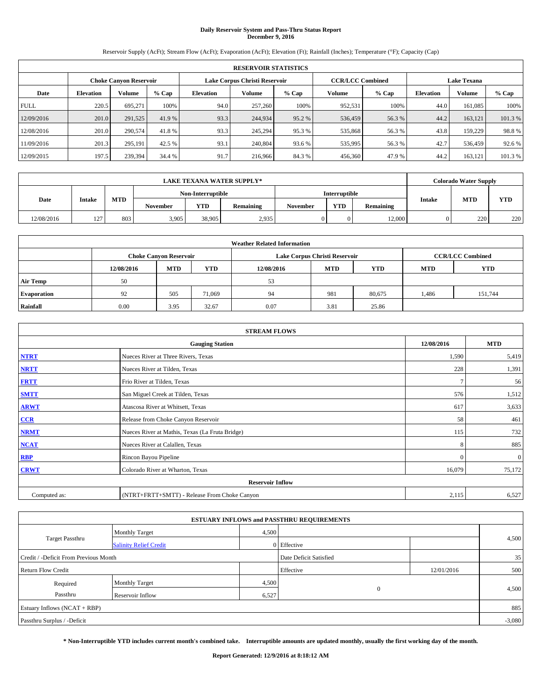## **Daily Reservoir System and Pass-Thru Status Report December 9, 2016**

Reservoir Supply (AcFt); Stream Flow (AcFt); Evaporation (AcFt); Elevation (Ft); Rainfall (Inches); Temperature (°F); Capacity (Cap)

|             | <b>RESERVOIR STATISTICS</b> |                               |         |                               |         |         |                         |         |                    |               |        |  |  |  |
|-------------|-----------------------------|-------------------------------|---------|-------------------------------|---------|---------|-------------------------|---------|--------------------|---------------|--------|--|--|--|
|             |                             | <b>Choke Canyon Reservoir</b> |         | Lake Corpus Christi Reservoir |         |         | <b>CCR/LCC Combined</b> |         | <b>Lake Texana</b> |               |        |  |  |  |
| Date        | <b>Elevation</b>            | Volume                        | $%$ Cap | <b>Elevation</b>              | Volume  | $%$ Cap | Volume                  | $%$ Cap | <b>Elevation</b>   | <b>Volume</b> | % Cap  |  |  |  |
| <b>FULL</b> | 220.5                       | 695.271                       | 100%    | 94.0                          | 257,260 | 100%    | 952,531                 | 100%    | 44.0               | 161,085       | 100%   |  |  |  |
| 12/09/2016  | 201.0                       | 291,525                       | 41.9 %  | 93.3                          | 244,934 | 95.2%   | 536,459                 | 56.3%   | 44.2               | 163,121       | 101.3% |  |  |  |
| 12/08/2016  | 201.0                       | 290,574                       | 41.8%   | 93.3                          | 245.294 | 95.3 %  | 535,868                 | 56.3 %  | 43.8               | 159,229       | 98.8%  |  |  |  |
| 11/09/2016  | 201.3                       | 295.191                       | 42.5 %  | 93.1                          | 240,804 | 93.6 %  | 535,995                 | 56.3%   | 42.7               | 536,459       | 92.6 % |  |  |  |
| 12/09/2015  | 197.5                       | 239,394                       | 34.4 %  | 91.7                          | 216,966 | 84.3%   | 456,360                 | 47.9 %  | 44.2               | 163,121       | 101.3% |  |  |  |

|            | LAKE TEXANA WATER SUPPLY* |            |                   |            |           |          |                      |           |        | <b>Colorado Water Supply</b> |            |  |
|------------|---------------------------|------------|-------------------|------------|-----------|----------|----------------------|-----------|--------|------------------------------|------------|--|
|            |                           |            | Non-Interruptible |            |           |          | <b>Interruptible</b> |           |        |                              |            |  |
| Date       | Intake                    | <b>MTD</b> | <b>November</b>   | <b>YTD</b> | Remaining | November | <b>YTD</b>           | Remaining | Intake | <b>MTD</b>                   | <b>YTD</b> |  |
| 12/08/2016 | 127<br>$\overline{1}$     | 803        | 3,905             | 38,905     | 2,935     |          |                      | 12,000    | 0      | 220                          | 220        |  |

|                    | <b>Weather Related Information</b> |                                                                                                |        |      |                               |                         |       |         |  |  |  |  |  |
|--------------------|------------------------------------|------------------------------------------------------------------------------------------------|--------|------|-------------------------------|-------------------------|-------|---------|--|--|--|--|--|
|                    |                                    | <b>Choke Canyon Reservoir</b>                                                                  |        |      | Lake Corpus Christi Reservoir | <b>CCR/LCC Combined</b> |       |         |  |  |  |  |  |
|                    | 12/08/2016                         | <b>YTD</b><br><b>YTD</b><br><b>MTD</b><br><b>MTD</b><br><b>YTD</b><br>12/08/2016<br><b>MTD</b> |        |      |                               |                         |       |         |  |  |  |  |  |
| <b>Air Temp</b>    | 50                                 |                                                                                                |        | 53   |                               |                         |       |         |  |  |  |  |  |
| <b>Evaporation</b> | 92                                 | 505                                                                                            | 71.069 | 94   | 981                           | 80,675                  | 1,486 | 151,744 |  |  |  |  |  |
| Rainfall           | 0.00                               | 3.95                                                                                           | 32.67  | 0.07 | 3.81                          | 25.86                   |       |         |  |  |  |  |  |

| <b>STREAM FLOWS</b> |                                                 |            |              |  |  |  |  |  |
|---------------------|-------------------------------------------------|------------|--------------|--|--|--|--|--|
|                     | <b>Gauging Station</b>                          | 12/08/2016 | <b>MTD</b>   |  |  |  |  |  |
| <b>NTRT</b>         | Nueces River at Three Rivers, Texas             | 1,590      | 5,419        |  |  |  |  |  |
| <b>NRTT</b>         | Nueces River at Tilden, Texas                   | 228        | 1,391        |  |  |  |  |  |
| <b>FRTT</b>         | Frio River at Tilden, Texas                     |            | 56           |  |  |  |  |  |
| <b>SMTT</b>         | San Miguel Creek at Tilden, Texas               | 576        | 1,512        |  |  |  |  |  |
| <b>ARWT</b>         | Atascosa River at Whitsett, Texas               | 617        | 3,633        |  |  |  |  |  |
| $CCR$               | Release from Choke Canyon Reservoir             | 58         | 461          |  |  |  |  |  |
| <b>NRMT</b>         | Nueces River at Mathis, Texas (La Fruta Bridge) | 115        | 732          |  |  |  |  |  |
| <b>NCAT</b>         | Nueces River at Calallen, Texas                 | 8          | 885          |  |  |  |  |  |
| RBP                 | Rincon Bayou Pipeline                           | $\Omega$   | $\mathbf{0}$ |  |  |  |  |  |
| <b>CRWT</b>         | Colorado River at Wharton, Texas                | 16,079     | 75,172       |  |  |  |  |  |
|                     | <b>Reservoir Inflow</b>                         |            |              |  |  |  |  |  |
| Computed as:        | (NTRT+FRTT+SMTT) - Release From Choke Canyon    | 2,115      | 6,527        |  |  |  |  |  |

|                                                                 |                               |       | <b>ESTUARY INFLOWS and PASSTHRU REQUIREMENTS</b> |            |          |  |  |  |
|-----------------------------------------------------------------|-------------------------------|-------|--------------------------------------------------|------------|----------|--|--|--|
|                                                                 | <b>Monthly Target</b>         | 4,500 |                                                  |            |          |  |  |  |
| <b>Target Passthru</b>                                          | <b>Salinity Relief Credit</b> |       | 0 Effective                                      |            | 4,500    |  |  |  |
| Credit / -Deficit From Previous Month<br>Date Deficit Satisfied |                               |       |                                                  |            |          |  |  |  |
| <b>Return Flow Credit</b>                                       |                               |       | Effective                                        | 12/01/2016 | 500      |  |  |  |
| Required                                                        | <b>Monthly Target</b>         | 4,500 |                                                  |            |          |  |  |  |
| Passthru                                                        | Reservoir Inflow              | 6,527 | $\Omega$                                         |            | 4,500    |  |  |  |
| Estuary Inflows $(NCAT + RBP)$                                  |                               |       |                                                  |            | 885      |  |  |  |
| Passthru Surplus / -Deficit                                     |                               |       |                                                  |            | $-3,080$ |  |  |  |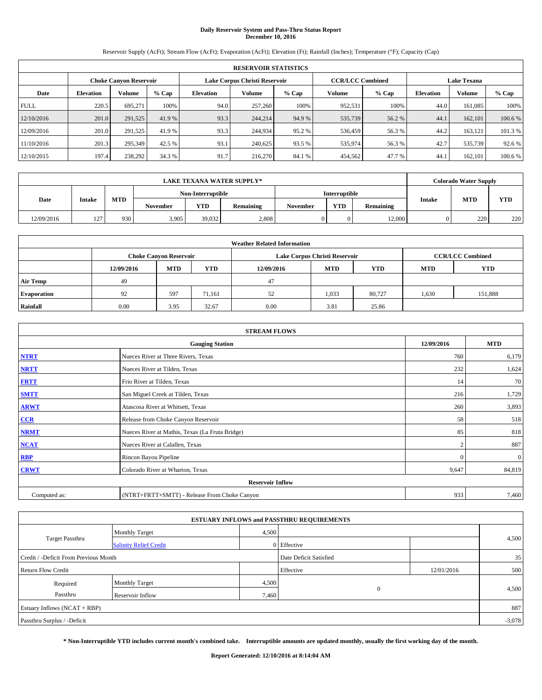# **Daily Reservoir System and Pass-Thru Status Report December 10, 2016**

Reservoir Supply (AcFt); Stream Flow (AcFt); Evaporation (AcFt); Elevation (Ft); Rainfall (Inches); Temperature (°F); Capacity (Cap)

|             | <b>RESERVOIR STATISTICS</b> |                               |         |                               |         |         |                         |         |                    |         |         |  |  |
|-------------|-----------------------------|-------------------------------|---------|-------------------------------|---------|---------|-------------------------|---------|--------------------|---------|---------|--|--|
|             |                             | <b>Choke Canyon Reservoir</b> |         | Lake Corpus Christi Reservoir |         |         | <b>CCR/LCC Combined</b> |         | <b>Lake Texana</b> |         |         |  |  |
| Date        | <b>Elevation</b>            | Volume                        | $%$ Cap | <b>Elevation</b>              | Volume  | $%$ Cap | Volume                  | $%$ Cap | <b>Elevation</b>   | Volume  | % Cap   |  |  |
| <b>FULL</b> | 220.5                       | 695.271                       | 100%    | 94.0                          | 257,260 | 100%    | 952,531                 | 100%    | 44.0               | 161,085 | 100%    |  |  |
| 12/10/2016  | 201.0                       | 291,525                       | 41.9 %  | 93.3                          | 244,214 | 94.9 %  | 535,739                 | 56.2 %  | 44.1               | 162,101 | 100.6 % |  |  |
| 12/09/2016  | 201.0                       | 291,525                       | 41.9 %  | 93.3                          | 244,934 | 95.2 %  | 536,459                 | 56.3 %  | 44.2               | 163,121 | 101.3 % |  |  |
| 11/10/2016  | 201.3                       | 295,349                       | 42.5 %  | 93.1                          | 240,625 | 93.5 %  | 535,974                 | 56.3%   | 42.7               | 535,739 | 92.6 %  |  |  |
| 12/10/2015  | 197.4                       | 238,292                       | 34.3 %  | 91.7                          | 216,270 | 84.1 %  | 454,562                 | 47.7 %  | 44.1               | 162,101 | 100.6 % |  |  |

|            | LAKE TEXANA WATER SUPPLY* |            |                   |            |           |          |               |           |        | <b>Colorado Water Supply</b> |     |  |
|------------|---------------------------|------------|-------------------|------------|-----------|----------|---------------|-----------|--------|------------------------------|-----|--|
|            |                           |            | Non-Interruptible |            |           |          | Interruptible |           |        |                              |     |  |
| Date       | Intake                    | <b>MTD</b> | <b>November</b>   | <b>YTD</b> | Remaining | November | <b>YTD</b>    | Remaining | Intake | <b>MTD</b>                   | YTD |  |
| 12/09/2016 | 127<br>$\overline{ }$     | 930        | 3.905             | 39,032     | 2,808     |          |               | 12,000    | 0      | 220                          | 220 |  |

|                    | <b>Weather Related Information</b>                                                             |                               |        |      |                               |                         |       |            |  |  |  |  |  |
|--------------------|------------------------------------------------------------------------------------------------|-------------------------------|--------|------|-------------------------------|-------------------------|-------|------------|--|--|--|--|--|
|                    |                                                                                                | <b>Choke Canyon Reservoir</b> |        |      | Lake Corpus Christi Reservoir | <b>CCR/LCC Combined</b> |       |            |  |  |  |  |  |
|                    | <b>YTD</b><br><b>MTD</b><br><b>MTD</b><br><b>YTD</b><br><b>MTD</b><br>12/09/2016<br>12/09/2016 |                               |        |      |                               |                         |       | <b>YTD</b> |  |  |  |  |  |
| <b>Air Temp</b>    | 49                                                                                             |                               |        | 47   |                               |                         |       |            |  |  |  |  |  |
| <b>Evaporation</b> | 92                                                                                             | 597                           | 71.161 | 52   | 1,033                         | 80,727                  | 1,630 | 151,888    |  |  |  |  |  |
| Rainfall           | 0.00                                                                                           | 3.95                          | 32.67  | 0.00 | 3.81                          | 25.86                   |       |            |  |  |  |  |  |

| <b>STREAM FLOWS</b> |                                                 |                |              |  |  |  |  |  |  |
|---------------------|-------------------------------------------------|----------------|--------------|--|--|--|--|--|--|
|                     | <b>Gauging Station</b>                          |                |              |  |  |  |  |  |  |
| <b>NTRT</b>         | Nueces River at Three Rivers, Texas             | 760            | 6,179        |  |  |  |  |  |  |
| <b>NRTT</b>         | Nueces River at Tilden, Texas                   | 232            | 1,624        |  |  |  |  |  |  |
| <b>FRTT</b>         | Frio River at Tilden, Texas                     | 14             | 70           |  |  |  |  |  |  |
| <b>SMTT</b>         | San Miguel Creek at Tilden, Texas               | 216            | 1,729        |  |  |  |  |  |  |
| <b>ARWT</b>         | Atascosa River at Whitsett, Texas               | 260            | 3,893        |  |  |  |  |  |  |
| CCR                 | Release from Choke Canyon Reservoir             | 58             | 518          |  |  |  |  |  |  |
| <b>NRMT</b>         | Nueces River at Mathis, Texas (La Fruta Bridge) | 85             | 818          |  |  |  |  |  |  |
| <b>NCAT</b>         | Nueces River at Calallen, Texas                 | $\overline{2}$ | 887          |  |  |  |  |  |  |
| <b>RBP</b>          | Rincon Bayou Pipeline                           | $\Omega$       | $\mathbf{0}$ |  |  |  |  |  |  |
| <b>CRWT</b>         | Colorado River at Wharton, Texas                | 9,647          | 84,819       |  |  |  |  |  |  |
|                     | <b>Reservoir Inflow</b>                         |                |              |  |  |  |  |  |  |
| Computed as:        | (NTRT+FRTT+SMTT) - Release From Choke Canyon    | 933            | 7,460        |  |  |  |  |  |  |

|                                       |                               |       | <b>ESTUARY INFLOWS and PASSTHRU REQUIREMENTS</b> |            |          |  |
|---------------------------------------|-------------------------------|-------|--------------------------------------------------|------------|----------|--|
|                                       | <b>Monthly Target</b>         | 4,500 |                                                  |            |          |  |
| <b>Target Passthru</b>                | <b>Salinity Relief Credit</b> |       | 0 Effective                                      |            | 4,500    |  |
| Credit / -Deficit From Previous Month |                               |       | Date Deficit Satisfied                           |            | 35       |  |
| <b>Return Flow Credit</b>             |                               |       | Effective                                        | 12/01/2016 | 500      |  |
| Required                              | <b>Monthly Target</b>         | 4,500 |                                                  |            |          |  |
| Passthru                              | Reservoir Inflow              | 7,460 | $\Omega$                                         |            | 4,500    |  |
| Estuary Inflows $(NCAT + RBP)$        |                               |       |                                                  |            | 887      |  |
| Passthru Surplus / -Deficit           |                               |       |                                                  |            | $-3,078$ |  |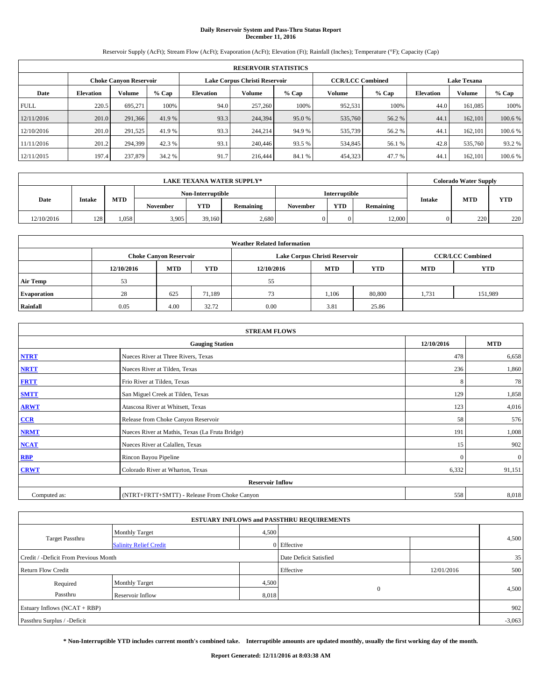# **Daily Reservoir System and Pass-Thru Status Report December 11, 2016**

Reservoir Supply (AcFt); Stream Flow (AcFt); Evaporation (AcFt); Elevation (Ft); Rainfall (Inches); Temperature (°F); Capacity (Cap)

|             | <b>RESERVOIR STATISTICS</b> |                               |         |                  |                               |         |                         |         |                  |                    |         |  |
|-------------|-----------------------------|-------------------------------|---------|------------------|-------------------------------|---------|-------------------------|---------|------------------|--------------------|---------|--|
|             |                             | <b>Choke Canyon Reservoir</b> |         |                  | Lake Corpus Christi Reservoir |         | <b>CCR/LCC Combined</b> |         |                  | <b>Lake Texana</b> |         |  |
| Date        | <b>Elevation</b>            | Volume                        | $%$ Cap | <b>Elevation</b> | Volume                        | $%$ Cap | Volume                  | $%$ Cap | <b>Elevation</b> | Volume             | % Cap   |  |
| <b>FULL</b> | 220.5                       | 695.271                       | 100%    | 94.0             | 257,260                       | 100%    | 952,531                 | 100%    | 44.0             | 161,085            | 100%    |  |
| 12/11/2016  | 201.0                       | 291.366                       | 41.9 %  | 93.3             | 244,394                       | 95.0 %  | 535,760                 | 56.2 %  | 44.1             | 162,101            | 100.6 % |  |
| 12/10/2016  | 201.0                       | 291,525                       | 41.9 %  | 93.3             | 244,214                       | 94.9 %  | 535,739                 | 56.2 %  | 44.1             | 162,101            | 100.6 % |  |
| 11/11/2016  | 201.2                       | 294,399                       | 42.3 %  | 93.1             | 240,446                       | 93.5 %  | 534,845                 | 56.1 %  | 42.8             | 535,760            | 93.2 %  |  |
| 12/11/2015  | 197.4                       | 237,879                       | 34.2 %  | 91.7             | 216,444                       | 84.1 %  | 454,323                 | 47.7 %  | 44.1             | 162,101            | 100.6 % |  |

| <b>LAKE TEXANA WATER SUPPLY*</b> |               |       |                   |                 |       |                      |          | <b>Colorado Water Supply</b> |           |               |            |     |
|----------------------------------|---------------|-------|-------------------|-----------------|-------|----------------------|----------|------------------------------|-----------|---------------|------------|-----|
|                                  |               |       | Non-Interruptible |                 |       | <b>Interruptible</b> |          |                              |           |               |            |     |
| Date                             | <b>Intake</b> |       | <b>MTD</b>        | <b>November</b> | YTD   | Remaining            | November | <b>YTD</b>                   | Remaining | <b>Intake</b> | <b>MTD</b> | YTD |
| 12/10/2016                       | 128           | 1.058 | 3.905             | 39,160          | 2.680 |                      |          | 12,000                       |           | 220           | 220        |     |

| <b>Weather Related Information</b> |            |                               |            |            |                               |                         |            |            |  |  |
|------------------------------------|------------|-------------------------------|------------|------------|-------------------------------|-------------------------|------------|------------|--|--|
|                                    |            | <b>Choke Canyon Reservoir</b> |            |            | Lake Corpus Christi Reservoir | <b>CCR/LCC Combined</b> |            |            |  |  |
|                                    | 12/10/2016 | <b>MTD</b>                    | <b>YTD</b> | 12/10/2016 | <b>MTD</b>                    | <b>YTD</b>              | <b>MTD</b> | <b>YTD</b> |  |  |
| <b>Air Temp</b>                    | 53         |                               |            | 55         |                               |                         |            |            |  |  |
| <b>Evaporation</b>                 | 28         | 625                           | 71.189     | 73         | 1,106                         | 80,800                  | 1,731      | 151,989    |  |  |
| Rainfall                           | 0.05       | 4.00                          | 32.72      | 0.00       | 3.81                          | 25.86                   |            |            |  |  |

| <b>STREAM FLOWS</b> |                                                 |          |              |  |  |  |  |  |  |
|---------------------|-------------------------------------------------|----------|--------------|--|--|--|--|--|--|
|                     | <b>Gauging Station</b>                          |          |              |  |  |  |  |  |  |
| <b>NTRT</b>         | Nueces River at Three Rivers, Texas             | 478      | 6,658        |  |  |  |  |  |  |
| <b>NRTT</b>         | Nueces River at Tilden, Texas                   | 236      | 1,860        |  |  |  |  |  |  |
| <b>FRTT</b>         | Frio River at Tilden, Texas                     | 8        | 78           |  |  |  |  |  |  |
| <b>SMTT</b>         | San Miguel Creek at Tilden, Texas               | 129      | 1,858        |  |  |  |  |  |  |
| <b>ARWT</b>         | Atascosa River at Whitsett, Texas               | 123      | 4,016        |  |  |  |  |  |  |
| $CCR$               | Release from Choke Canyon Reservoir             | 58       | 576          |  |  |  |  |  |  |
| <b>NRMT</b>         | Nueces River at Mathis, Texas (La Fruta Bridge) | 191      | 1,008        |  |  |  |  |  |  |
| <b>NCAT</b>         | Nueces River at Calallen, Texas                 | 15       | 902          |  |  |  |  |  |  |
| RBP                 | Rincon Bayou Pipeline                           | $\Omega$ | $\mathbf{0}$ |  |  |  |  |  |  |
| <b>CRWT</b>         | Colorado River at Wharton, Texas                | 6,332    | 91,151       |  |  |  |  |  |  |
|                     |                                                 |          |              |  |  |  |  |  |  |
| Computed as:        | (NTRT+FRTT+SMTT) - Release From Choke Canyon    | 558      | 8,018        |  |  |  |  |  |  |

|                                       |                               |       | <b>ESTUARY INFLOWS and PASSTHRU REQUIREMENTS</b> |            |          |  |
|---------------------------------------|-------------------------------|-------|--------------------------------------------------|------------|----------|--|
|                                       | <b>Monthly Target</b>         | 4,500 |                                                  |            |          |  |
| <b>Target Passthru</b>                | <b>Salinity Relief Credit</b> |       | 0 Effective                                      |            | 4,500    |  |
| Credit / -Deficit From Previous Month |                               |       | Date Deficit Satisfied                           |            | 35       |  |
| <b>Return Flow Credit</b>             |                               |       | Effective                                        | 12/01/2016 | 500      |  |
| Required                              | <b>Monthly Target</b>         | 4,500 |                                                  |            |          |  |
| Passthru                              | Reservoir Inflow              | 8,018 | $\Omega$                                         |            | 4,500    |  |
| Estuary Inflows $(NCAT + RBP)$        |                               |       |                                                  |            | 902      |  |
| Passthru Surplus / -Deficit           |                               |       |                                                  |            | $-3,063$ |  |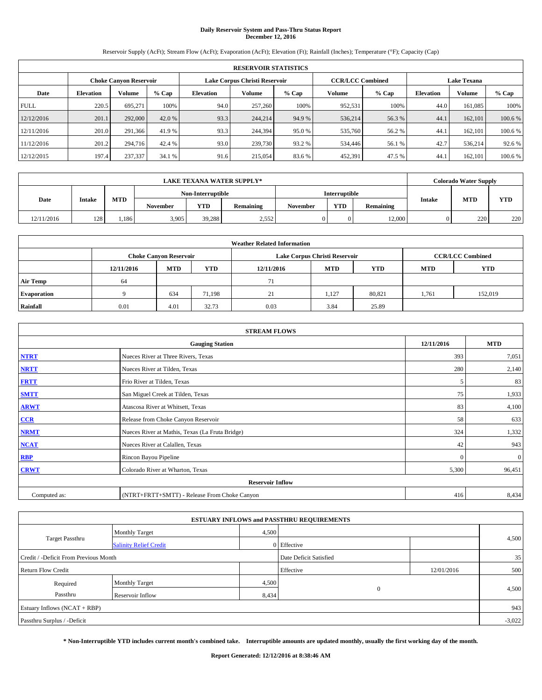# **Daily Reservoir System and Pass-Thru Status Report December 12, 2016**

Reservoir Supply (AcFt); Stream Flow (AcFt); Evaporation (AcFt); Elevation (Ft); Rainfall (Inches); Temperature (°F); Capacity (Cap)

|             | <b>RESERVOIR STATISTICS</b> |                               |         |                  |                               |         |                         |         |                  |                    |         |  |
|-------------|-----------------------------|-------------------------------|---------|------------------|-------------------------------|---------|-------------------------|---------|------------------|--------------------|---------|--|
|             |                             | <b>Choke Canyon Reservoir</b> |         |                  | Lake Corpus Christi Reservoir |         | <b>CCR/LCC Combined</b> |         |                  | <b>Lake Texana</b> |         |  |
| Date        | <b>Elevation</b>            | Volume                        | $%$ Cap | <b>Elevation</b> | Volume                        | $%$ Cap | Volume                  | $%$ Cap | <b>Elevation</b> | Volume             | % Cap   |  |
| <b>FULL</b> | 220.5                       | 695.271                       | 100%    | 94.0             | 257,260                       | 100%    | 952,531                 | 100%    | 44.0             | 161,085            | 100%    |  |
| 12/12/2016  | 201.1                       | 292,000                       | 42.0 %  | 93.3             | 244,214                       | 94.9 %  | 536,214                 | 56.3 %  | 44.1             | 162,101            | 100.6 % |  |
| 12/11/2016  | 201.0                       | 291,366                       | 41.9 %  | 93.3             | 244,394                       | 95.0 %  | 535,760                 | 56.2 %  | 44.1             | 162,101            | 100.6 % |  |
| 11/12/2016  | 201.2                       | 294,716                       | 42.4 %  | 93.0             | 239,730                       | 93.2 %  | 534,446                 | 56.1 %  | 42.7             | 536,214            | 92.6 %  |  |
| 12/12/2015  | 197.4                       | 237,337                       | 34.1 %  | 91.6             | 215,054                       | 83.6 %  | 452,391                 | 47.5 %  | 44.1             | 162,101            | 100.6 % |  |

| <b>LAKE TEXANA WATER SUPPLY*</b> |               |            |                   |                 |       |                      |                 | <b>Colorado Water Supply</b> |           |               |            |     |
|----------------------------------|---------------|------------|-------------------|-----------------|-------|----------------------|-----------------|------------------------------|-----------|---------------|------------|-----|
|                                  |               |            | Non-Interruptible |                 |       | <b>Interruptible</b> |                 |                              |           |               |            |     |
| Date                             | <b>Intake</b> | <b>MTD</b> |                   | <b>November</b> | YTD   | Remaining            | <b>November</b> | <b>YTD</b>                   | Remaining | <b>Intake</b> | <b>MTD</b> | YTD |
| 12/11/2016                       | 128           | .186       | 3.905             | 39,288          | 2,552 |                      |                 | 12,000                       |           | 220           | 220        |     |

| <b>Weather Related Information</b> |            |                               |            |            |                               |                         |            |            |  |  |
|------------------------------------|------------|-------------------------------|------------|------------|-------------------------------|-------------------------|------------|------------|--|--|
|                                    |            | <b>Choke Canyon Reservoir</b> |            |            | Lake Corpus Christi Reservoir | <b>CCR/LCC Combined</b> |            |            |  |  |
|                                    | 12/11/2016 | <b>MTD</b>                    | <b>YTD</b> | 12/11/2016 | <b>MTD</b>                    | <b>YTD</b>              | <b>MTD</b> | <b>YTD</b> |  |  |
| <b>Air Temp</b>                    | 64         |                               |            | 71         |                               |                         |            |            |  |  |
| <b>Evaporation</b>                 |            | 634                           | 71.198     | 21         | 1,127                         | 80,821                  | 1,761      | 152,019    |  |  |
| Rainfall                           | 0.01       | 4.01                          | 32.73      | 0.03       | 3.84                          | 25.89                   |            |            |  |  |

| <b>STREAM FLOWS</b> |                                                 |          |              |  |  |  |  |  |  |
|---------------------|-------------------------------------------------|----------|--------------|--|--|--|--|--|--|
|                     | <b>Gauging Station</b>                          |          |              |  |  |  |  |  |  |
| <b>NTRT</b>         | Nueces River at Three Rivers, Texas             | 393      | 7,051        |  |  |  |  |  |  |
| <b>NRTT</b>         | Nueces River at Tilden, Texas                   | 280      | 2,140        |  |  |  |  |  |  |
| <b>FRTT</b>         | Frio River at Tilden, Texas                     | 5        | 83           |  |  |  |  |  |  |
| <b>SMTT</b>         | San Miguel Creek at Tilden, Texas               | 75       | 1,933        |  |  |  |  |  |  |
| <b>ARWT</b>         | Atascosa River at Whitsett, Texas               | 83       | 4,100        |  |  |  |  |  |  |
| CCR                 | Release from Choke Canyon Reservoir             | 58       | 633          |  |  |  |  |  |  |
| <b>NRMT</b>         | Nueces River at Mathis, Texas (La Fruta Bridge) | 324      | 1,332        |  |  |  |  |  |  |
| <b>NCAT</b>         | Nueces River at Calallen, Texas                 | 42       | 943          |  |  |  |  |  |  |
| <b>RBP</b>          | Rincon Bayou Pipeline                           | $\Omega$ | $\mathbf{0}$ |  |  |  |  |  |  |
| <b>CRWT</b>         | Colorado River at Wharton, Texas                | 5,300    | 96,451       |  |  |  |  |  |  |
|                     |                                                 |          |              |  |  |  |  |  |  |
| Computed as:        | (NTRT+FRTT+SMTT) - Release From Choke Canyon    | 416      | 8,434        |  |  |  |  |  |  |

|                                       |                               |       | <b>ESTUARY INFLOWS and PASSTHRU REQUIREMENTS</b> |            |          |  |
|---------------------------------------|-------------------------------|-------|--------------------------------------------------|------------|----------|--|
|                                       | <b>Monthly Target</b>         | 4,500 |                                                  |            |          |  |
| <b>Target Passthru</b>                | <b>Salinity Relief Credit</b> |       | 0 Effective                                      |            | 4,500    |  |
| Credit / -Deficit From Previous Month |                               |       | Date Deficit Satisfied                           |            | 35       |  |
| <b>Return Flow Credit</b>             |                               |       | Effective                                        | 12/01/2016 | 500      |  |
| Required                              | <b>Monthly Target</b>         | 4,500 |                                                  |            |          |  |
| Passthru                              | Reservoir Inflow              | 8,434 | $\Omega$                                         |            | 4,500    |  |
| Estuary Inflows $(NCAT + RBP)$        |                               |       |                                                  |            | 943      |  |
| Passthru Surplus / -Deficit           |                               |       |                                                  |            | $-3,022$ |  |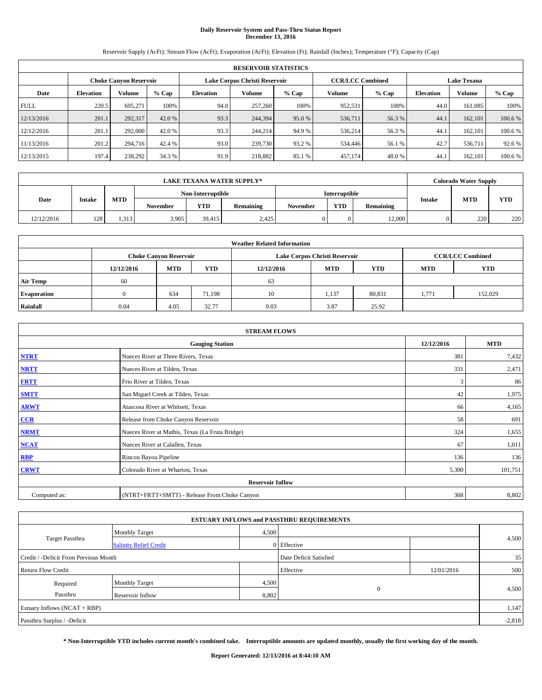# **Daily Reservoir System and Pass-Thru Status Report December 13, 2016**

Reservoir Supply (AcFt); Stream Flow (AcFt); Evaporation (AcFt); Elevation (Ft); Rainfall (Inches); Temperature (°F); Capacity (Cap)

|             | <b>RESERVOIR STATISTICS</b> |                               |         |           |                               |         |                         |         |                  |                    |         |  |
|-------------|-----------------------------|-------------------------------|---------|-----------|-------------------------------|---------|-------------------------|---------|------------------|--------------------|---------|--|
|             |                             | <b>Choke Canyon Reservoir</b> |         |           | Lake Corpus Christi Reservoir |         | <b>CCR/LCC Combined</b> |         |                  | <b>Lake Texana</b> |         |  |
| Date        | <b>Elevation</b>            | Volume                        | $%$ Cap | Elevation | Volume                        | $%$ Cap | <b>Volume</b>           | $%$ Cap | <b>Elevation</b> | <b>Volume</b>      | % Cap   |  |
| <b>FULL</b> | 220.5                       | 695.271                       | 100%    | 94.0      | 257,260                       | 100%    | 952,531                 | 100%    | 44.0             | 161.085            | 100%    |  |
| 12/13/2016  | 201.1                       | 292,317                       | 42.0 %  | 93.3      | 244,394                       | 95.0 %  | 536,711                 | 56.3 %  | 44.1             | 162,101            | 100.6%  |  |
| 12/12/2016  | 201.1                       | 292,000                       | 42.0 %  | 93.3      | 244,214                       | 94.9 %  | 536,214                 | 56.3 %  | 44.1             | 162,101            | 100.6%  |  |
| 11/13/2016  | 201.2                       | 294,716                       | 42.4 %  | 93.0      | 239,730                       | 93.2 %  | 534,446                 | 56.1 %  | 42.7             | 536,711            | 92.6 %  |  |
| 12/13/2015  | 197.4                       | 238,292                       | 34.3 %  | 91.9      | 218,882                       | 85.1 %  | 457,174                 | 48.0%   | 44.              | 162,101            | 100.6 % |  |

| <b>LAKE TEXANA WATER SUPPLY*</b> |               |            |                 |                   |           |          |               |           |               | <b>Colorado Water Supply</b> |            |
|----------------------------------|---------------|------------|-----------------|-------------------|-----------|----------|---------------|-----------|---------------|------------------------------|------------|
|                                  |               |            |                 | Non-Interruptible |           |          | Interruptible |           |               |                              |            |
| Date                             | <b>Intake</b> | <b>MTD</b> | <b>November</b> | YTD               | Remaining | November | <b>YTD</b>    | Remaining | <b>Intake</b> | <b>MTD</b>                   | <b>YTD</b> |
| 12/12/2016                       | 128           | 1.313      | 3,905           | 39.415            | 2,425     |          |               | 12,000    |               | 220                          | 220        |

| <b>Weather Related Information</b> |                                                                                                |                               |        |      |                               |                         |       |            |  |  |
|------------------------------------|------------------------------------------------------------------------------------------------|-------------------------------|--------|------|-------------------------------|-------------------------|-------|------------|--|--|
|                                    |                                                                                                | <b>Choke Canyon Reservoir</b> |        |      | Lake Corpus Christi Reservoir | <b>CCR/LCC Combined</b> |       |            |  |  |
|                                    | <b>YTD</b><br><b>MTD</b><br><b>MTD</b><br><b>YTD</b><br>12/12/2016<br>12/12/2016<br><b>MTD</b> |                               |        |      |                               |                         |       | <b>YTD</b> |  |  |
| <b>Air Temp</b>                    | 60                                                                                             |                               |        | 63   |                               |                         |       |            |  |  |
| <b>Evaporation</b>                 |                                                                                                | 634                           | 71.198 | 10   | 1,137                         | 80,831                  | 1,771 | 152,029    |  |  |
| Rainfall                           | 0.04                                                                                           | 4.05                          | 32.77  | 0.03 | 3.87                          | 25.92                   |       |            |  |  |

| <b>STREAM FLOWS</b> |                                                 |            |            |  |  |  |  |  |  |
|---------------------|-------------------------------------------------|------------|------------|--|--|--|--|--|--|
|                     | <b>Gauging Station</b>                          | 12/12/2016 | <b>MTD</b> |  |  |  |  |  |  |
| <b>NTRT</b>         | Nueces River at Three Rivers, Texas             | 381        | 7,432      |  |  |  |  |  |  |
| <b>NRTT</b>         | Nueces River at Tilden, Texas                   | 331        | 2,471      |  |  |  |  |  |  |
| <b>FRTT</b>         | Frio River at Tilden, Texas                     | 3          | 86         |  |  |  |  |  |  |
| <b>SMTT</b>         | San Miguel Creek at Tilden, Texas               | 42         | 1,975      |  |  |  |  |  |  |
| <b>ARWT</b>         | Atascosa River at Whitsett, Texas               | 66         | 4,165      |  |  |  |  |  |  |
| CCR                 | Release from Choke Canyon Reservoir             | 58         | 691        |  |  |  |  |  |  |
| <b>NRMT</b>         | Nueces River at Mathis, Texas (La Fruta Bridge) | 324        | 1,655      |  |  |  |  |  |  |
| <b>NCAT</b>         | Nueces River at Calallen, Texas                 | 67         | 1,011      |  |  |  |  |  |  |
| <b>RBP</b>          | Rincon Bayou Pipeline                           | 136        | 136        |  |  |  |  |  |  |
| <b>CRWT</b>         | Colorado River at Wharton, Texas                | 5,300      | 101,751    |  |  |  |  |  |  |
|                     |                                                 |            |            |  |  |  |  |  |  |
| Computed as:        | (NTRT+FRTT+SMTT) - Release From Choke Canyon    |            |            |  |  |  |  |  |  |

|                                       |                               |           | <b>ESTUARY INFLOWS and PASSTHRU REQUIREMENTS</b> |     |       |  |  |  |
|---------------------------------------|-------------------------------|-----------|--------------------------------------------------|-----|-------|--|--|--|
|                                       | <b>Monthly Target</b>         | 4,500     |                                                  |     |       |  |  |  |
| <b>Target Passthru</b>                | <b>Salinity Relief Credit</b> |           | 0 Effective                                      |     | 4,500 |  |  |  |
| Credit / -Deficit From Previous Month |                               |           | Date Deficit Satisfied                           |     | 35    |  |  |  |
| <b>Return Flow Credit</b>             |                               | Effective | 12/01/2016                                       | 500 |       |  |  |  |
| Required                              | <b>Monthly Target</b>         | 4,500     |                                                  |     |       |  |  |  |
| Passthru                              | Reservoir Inflow              | 8,802     | $\Omega$                                         |     | 4,500 |  |  |  |
| Estuary Inflows $(NCAT + RBP)$        |                               |           |                                                  |     |       |  |  |  |
| Passthru Surplus / -Deficit           |                               |           |                                                  |     |       |  |  |  |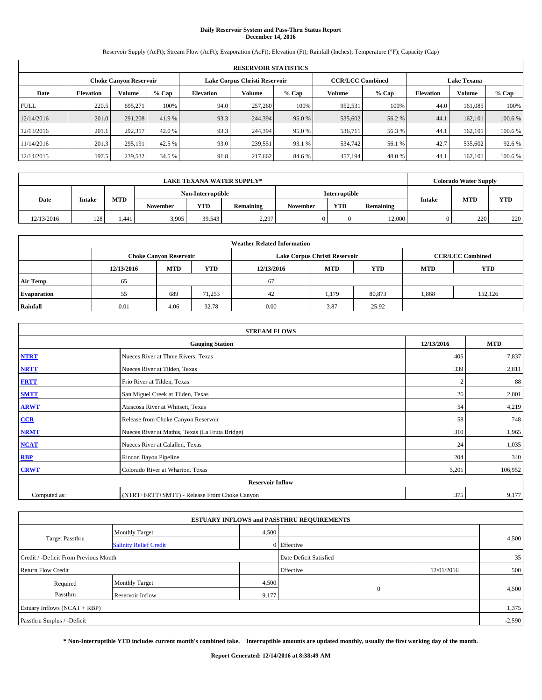# **Daily Reservoir System and Pass-Thru Status Report December 14, 2016**

Reservoir Supply (AcFt); Stream Flow (AcFt); Evaporation (AcFt); Elevation (Ft); Rainfall (Inches); Temperature (°F); Capacity (Cap)

|             | <b>RESERVOIR STATISTICS</b>   |         |         |                  |                               |         |                         |         |                  |                    |         |  |
|-------------|-------------------------------|---------|---------|------------------|-------------------------------|---------|-------------------------|---------|------------------|--------------------|---------|--|
|             | <b>Choke Canyon Reservoir</b> |         |         |                  | Lake Corpus Christi Reservoir |         | <b>CCR/LCC Combined</b> |         |                  | <b>Lake Texana</b> |         |  |
| Date        | <b>Elevation</b>              | Volume  | $%$ Cap | <b>Elevation</b> | Volume                        | $%$ Cap | Volume                  | $%$ Cap | <b>Elevation</b> | <b>Volume</b>      | % Cap   |  |
| <b>FULL</b> | 220.5                         | 695.271 | 100%    | 94.0             | 257,260                       | 100%    | 952,531                 | 100%    | 44.0             | 161,085            | 100%    |  |
| 12/14/2016  | 201.0                         | 291.208 | 41.9 %  | 93.3             | 244,394                       | 95.0 %  | 535,602                 | 56.2 %  | 44.1             | 162,101            | 100.6 % |  |
| 12/13/2016  | 201.1                         | 292.317 | 42.0 %  | 93.3             | 244,394                       | 95.0 %  | 536,711                 | 56.3 %  | 44.1             | 162,101            | 100.6 % |  |
| 11/14/2016  | 201.3                         | 295.191 | 42.5 %  | 93.0             | 239.551                       | 93.1 %  | 534,742                 | 56.1 %  | 42.7             | 535,602            | 92.6 %  |  |
| 12/14/2015  | 197.5                         | 239,532 | 34.5 %  | 91.8             | 217,662                       | 84.6 %  | 457,194                 | 48.0%   | 44.1             | 162,101            | 100.6 % |  |

|            | <b>LAKE TEXANA WATER SUPPLY*</b> |            |                 |                   |           |                 |                      |           |                             |     | <b>Colorado Water Supply</b> |
|------------|----------------------------------|------------|-----------------|-------------------|-----------|-----------------|----------------------|-----------|-----------------------------|-----|------------------------------|
|            |                                  |            |                 | Non-Interruptible |           |                 | <b>Interruptible</b> |           |                             |     |                              |
| Date       | <b>Intake</b>                    | <b>MTD</b> | <b>November</b> | YTD               | Remaining | <b>November</b> | <b>YTD</b>           | Remaining | <b>MTD</b><br><b>Intake</b> | YTD |                              |
| 12/13/2016 | 128                              | 1.441      | 3,905           | 39,543            | 2,297     |                 |                      | 12,000    |                             | 220 | 220                          |

| <b>Weather Related Information</b> |                                                                                                |                               |        |      |                               |                         |       |         |  |  |
|------------------------------------|------------------------------------------------------------------------------------------------|-------------------------------|--------|------|-------------------------------|-------------------------|-------|---------|--|--|
|                                    |                                                                                                | <b>Choke Canyon Reservoir</b> |        |      | Lake Corpus Christi Reservoir | <b>CCR/LCC Combined</b> |       |         |  |  |
|                                    | <b>YTD</b><br><b>MTD</b><br><b>MTD</b><br><b>YTD</b><br>12/13/2016<br>12/13/2016<br><b>MTD</b> |                               |        |      |                               |                         |       |         |  |  |
| <b>Air Temp</b>                    | 65                                                                                             |                               |        | 67   |                               |                         |       |         |  |  |
| <b>Evaporation</b>                 | 55                                                                                             | 689                           | 71,253 | 42   | 1,179                         | 80,873                  | 1,868 | 152,126 |  |  |
| Rainfall                           | 0.01                                                                                           | 4.06                          | 32.78  | 0.00 | 3.87                          | 25.92                   |       |         |  |  |

| <b>STREAM FLOWS</b> |                                                 |            |            |  |  |  |  |  |  |
|---------------------|-------------------------------------------------|------------|------------|--|--|--|--|--|--|
|                     | <b>Gauging Station</b>                          | 12/13/2016 | <b>MTD</b> |  |  |  |  |  |  |
| <b>NTRT</b>         | Nueces River at Three Rivers, Texas             | 405        | 7,837      |  |  |  |  |  |  |
| <b>NRTT</b>         | Nueces River at Tilden, Texas                   | 339        | 2,811      |  |  |  |  |  |  |
| <b>FRTT</b>         | Frio River at Tilden, Texas                     |            | 88         |  |  |  |  |  |  |
| <b>SMTT</b>         | San Miguel Creek at Tilden, Texas               | 26         | 2,001      |  |  |  |  |  |  |
| <b>ARWT</b>         | Atascosa River at Whitsett, Texas               | 54         | 4,219      |  |  |  |  |  |  |
| CCR                 | Release from Choke Canyon Reservoir             | 58         | 748        |  |  |  |  |  |  |
| <b>NRMT</b>         | Nueces River at Mathis, Texas (La Fruta Bridge) | 310        | 1,965      |  |  |  |  |  |  |
| <b>NCAT</b>         | Nueces River at Calallen, Texas                 | 24         | 1,035      |  |  |  |  |  |  |
| <b>RBP</b>          | Rincon Bayou Pipeline                           | 204        | 340        |  |  |  |  |  |  |
| <b>CRWT</b>         | Colorado River at Wharton, Texas                | 5,201      | 106,952    |  |  |  |  |  |  |
|                     |                                                 |            |            |  |  |  |  |  |  |
| Computed as:        | (NTRT+FRTT+SMTT) - Release From Choke Canyon    | 375        | 9,177      |  |  |  |  |  |  |

|                                       |                               |           | <b>ESTUARY INFLOWS and PASSTHRU REQUIREMENTS</b> |     |       |  |  |  |
|---------------------------------------|-------------------------------|-----------|--------------------------------------------------|-----|-------|--|--|--|
|                                       | <b>Monthly Target</b>         | 4,500     |                                                  |     |       |  |  |  |
| <b>Target Passthru</b>                | <b>Salinity Relief Credit</b> |           | 0 Effective                                      |     | 4,500 |  |  |  |
| Credit / -Deficit From Previous Month |                               |           | Date Deficit Satisfied                           |     | 35    |  |  |  |
| <b>Return Flow Credit</b>             |                               | Effective | 12/01/2016                                       | 500 |       |  |  |  |
| Required                              | <b>Monthly Target</b>         | 4,500     |                                                  |     |       |  |  |  |
| Passthru                              | <b>Reservoir Inflow</b>       | 9,177     | $\Omega$                                         |     | 4,500 |  |  |  |
| Estuary Inflows (NCAT + RBP)          |                               |           |                                                  |     |       |  |  |  |
| Passthru Surplus / -Deficit           |                               |           |                                                  |     |       |  |  |  |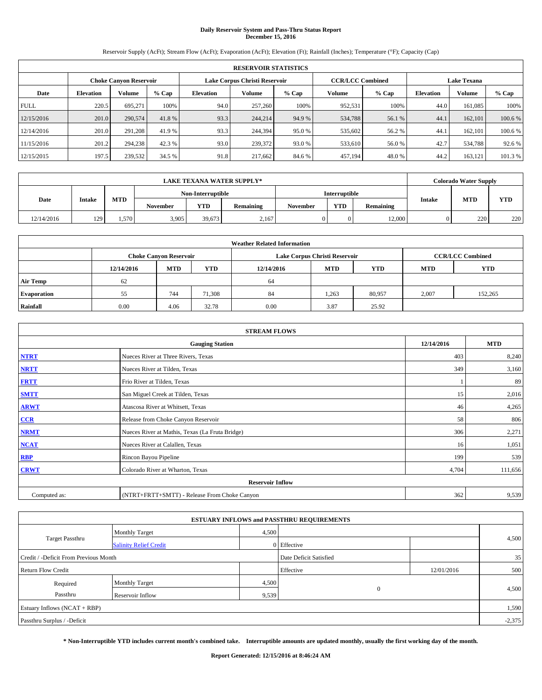# **Daily Reservoir System and Pass-Thru Status Report December 15, 2016**

Reservoir Supply (AcFt); Stream Flow (AcFt); Evaporation (AcFt); Elevation (Ft); Rainfall (Inches); Temperature (°F); Capacity (Cap)

|             | <b>RESERVOIR STATISTICS</b>   |         |         |                  |                               |         |                         |         |                  |                    |         |  |
|-------------|-------------------------------|---------|---------|------------------|-------------------------------|---------|-------------------------|---------|------------------|--------------------|---------|--|
|             | <b>Choke Canyon Reservoir</b> |         |         |                  | Lake Corpus Christi Reservoir |         | <b>CCR/LCC Combined</b> |         |                  | <b>Lake Texana</b> |         |  |
| Date        | <b>Elevation</b>              | Volume  | $%$ Cap | <b>Elevation</b> | Volume                        | $%$ Cap | Volume                  | $%$ Cap | <b>Elevation</b> | <b>Volume</b>      | % Cap   |  |
| <b>FULL</b> | 220.5                         | 695.271 | 100%    | 94.0             | 257,260                       | 100%    | 952,531                 | 100%    | 44.0             | 161,085            | 100%    |  |
| 12/15/2016  | 201.0                         | 290,574 | 41.8%   | 93.3             | 244,214                       | 94.9 %  | 534,788                 | 56.1 %  | 44.1             | 162,101            | 100.6 % |  |
| 12/14/2016  | 201.0                         | 291.208 | 41.9 %  | 93.3             | 244,394                       | 95.0 %  | 535,602                 | 56.2 %  | 44.1             | 162,101            | 100.6 % |  |
| 11/15/2016  | 201.2                         | 294,238 | 42.3 %  | 93.0             | 239,372                       | 93.0 %  | 533,610                 | 56.0 %  | 42.7             | 534,788            | 92.6 %  |  |
| 12/15/2015  | 197.5                         | 239,532 | 34.5 %  | 91.8             | 217,662                       | 84.6 %  | 457,194                 | 48.0%   | 44.2             | 163,121            | 101.3%  |  |

| <b>LAKE TEXANA WATER SUPPLY*</b> |               |            |                 |                   |           |          |               |           |               | <b>Colorado Water Supply</b> |            |  |
|----------------------------------|---------------|------------|-----------------|-------------------|-----------|----------|---------------|-----------|---------------|------------------------------|------------|--|
|                                  |               |            |                 | Non-Interruptible |           |          | Interruptible |           |               |                              |            |  |
| Date                             | <b>Intake</b> | <b>MTD</b> | <b>November</b> | YTD               | Remaining | November | <b>YTD</b>    | Remaining | <b>Intake</b> | <b>MTD</b>                   | <b>YTD</b> |  |
| 12/14/2016                       | 129           | . . 570 .  | 3,905           | 39.673            | 2,167     |          |               | 12,000    |               | 220                          | 220        |  |

| <b>Weather Related Information</b> |            |                               |            |            |                                        |                         |       |         |  |  |  |
|------------------------------------|------------|-------------------------------|------------|------------|----------------------------------------|-------------------------|-------|---------|--|--|--|
|                                    |            | <b>Choke Canyon Reservoir</b> |            |            | Lake Corpus Christi Reservoir          | <b>CCR/LCC Combined</b> |       |         |  |  |  |
|                                    | 12/14/2016 | <b>MTD</b>                    | <b>YTD</b> | 12/14/2016 | <b>MTD</b><br><b>YTD</b><br><b>MTD</b> |                         |       |         |  |  |  |
| <b>Air Temp</b>                    | 62         |                               |            | 64         |                                        |                         |       |         |  |  |  |
| <b>Evaporation</b>                 | 55         | 744                           | 71,308     | 84         | 1,263                                  | 80,957                  | 2,007 | 152,265 |  |  |  |
| Rainfall                           | 0.00       | 4.06                          | 32.78      | 0.00       | 3.87                                   | 25.92                   |       |         |  |  |  |

| <b>STREAM FLOWS</b> |                                                 |            |         |  |  |  |  |  |
|---------------------|-------------------------------------------------|------------|---------|--|--|--|--|--|
|                     | 12/14/2016                                      | <b>MTD</b> |         |  |  |  |  |  |
| <b>NTRT</b>         | Nueces River at Three Rivers, Texas             | 403        | 8,240   |  |  |  |  |  |
| <b>NRTT</b>         | Nueces River at Tilden, Texas                   | 349        | 3,160   |  |  |  |  |  |
| <b>FRTT</b>         | Frio River at Tilden, Texas                     |            | 89      |  |  |  |  |  |
| <b>SMTT</b>         | San Miguel Creek at Tilden, Texas               | 15         | 2,016   |  |  |  |  |  |
| <b>ARWT</b>         | Atascosa River at Whitsett, Texas               | 46         | 4,265   |  |  |  |  |  |
| $CCR$               | Release from Choke Canyon Reservoir             | 58         | 806     |  |  |  |  |  |
| <b>NRMT</b>         | Nueces River at Mathis, Texas (La Fruta Bridge) | 306        | 2,271   |  |  |  |  |  |
| <b>NCAT</b>         | Nueces River at Calallen, Texas                 | 16         | 1,051   |  |  |  |  |  |
| <b>RBP</b>          | Rincon Bayou Pipeline                           | 199        | 539     |  |  |  |  |  |
| <b>CRWT</b>         | Colorado River at Wharton, Texas                | 4,704      | 111,656 |  |  |  |  |  |
|                     | <b>Reservoir Inflow</b>                         |            |         |  |  |  |  |  |
| Computed as:        | (NTRT+FRTT+SMTT) - Release From Choke Canyon    | 362        | 9,539   |  |  |  |  |  |

|                                       |                               |       | <b>ESTUARY INFLOWS and PASSTHRU REQUIREMENTS</b> |            |       |  |  |  |
|---------------------------------------|-------------------------------|-------|--------------------------------------------------|------------|-------|--|--|--|
|                                       | <b>Monthly Target</b>         | 4,500 |                                                  |            |       |  |  |  |
| <b>Target Passthru</b>                | <b>Salinity Relief Credit</b> |       | 0 Effective                                      |            | 4,500 |  |  |  |
| Credit / -Deficit From Previous Month |                               |       | Date Deficit Satisfied                           |            | 35    |  |  |  |
| <b>Return Flow Credit</b>             |                               |       | Effective                                        | 12/01/2016 | 500   |  |  |  |
| Required                              | <b>Monthly Target</b>         | 4,500 |                                                  |            |       |  |  |  |
| Passthru                              | Reservoir Inflow              | 9,539 | $\Omega$                                         |            | 4,500 |  |  |  |
| Estuary Inflows $(NCAT + RBP)$        |                               |       |                                                  |            |       |  |  |  |
| Passthru Surplus / -Deficit           |                               |       |                                                  |            |       |  |  |  |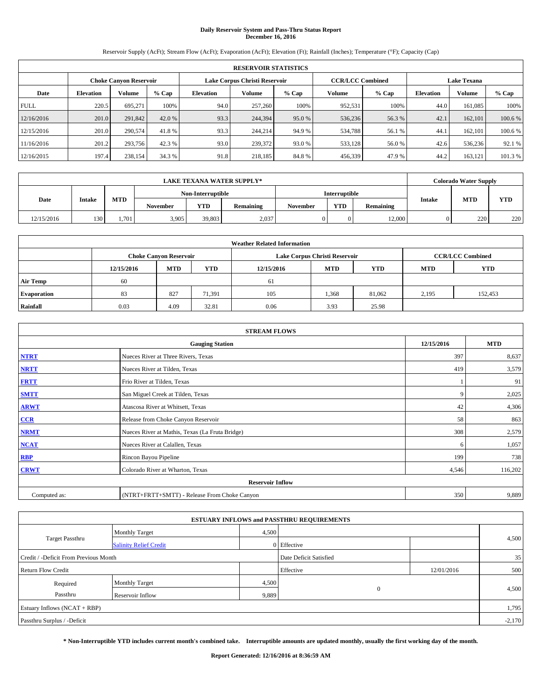# **Daily Reservoir System and Pass-Thru Status Report December 16, 2016**

Reservoir Supply (AcFt); Stream Flow (AcFt); Evaporation (AcFt); Elevation (Ft); Rainfall (Inches); Temperature (°F); Capacity (Cap)

|             | <b>RESERVOIR STATISTICS</b> |                               |         |                  |                               |         |                         |         |                  |                    |         |  |
|-------------|-----------------------------|-------------------------------|---------|------------------|-------------------------------|---------|-------------------------|---------|------------------|--------------------|---------|--|
|             |                             | <b>Choke Canyon Reservoir</b> |         |                  | Lake Corpus Christi Reservoir |         | <b>CCR/LCC Combined</b> |         |                  | <b>Lake Texana</b> |         |  |
| Date        | <b>Elevation</b>            | Volume                        | $%$ Cap | <b>Elevation</b> | Volume                        | $%$ Cap | Volume                  | $%$ Cap | <b>Elevation</b> | <b>Volume</b>      | % Cap   |  |
| <b>FULL</b> | 220.5                       | 695.271                       | 100%    | 94.0             | 257,260                       | 100%    | 952,531                 | 100%    | 44.0             | 161,085            | 100%    |  |
| 12/16/2016  | 201.0                       | 291,842                       | 42.0 %  | 93.3             | 244,394                       | 95.0 %  | 536,236                 | 56.3 %  | 42.1             | 162,101            | 100.6 % |  |
| 12/15/2016  | 201.0                       | 290,574                       | 41.8%   | 93.3             | 244,214                       | 94.9 %  | 534,788                 | 56.1 %  | 44.1             | 162,101            | 100.6 % |  |
| 11/16/2016  | 201.2                       | 293,756                       | 42.3 %  | 93.0             | 239,372                       | 93.0 %  | 533,128                 | 56.0 %  | 42.6             | 536,236            | 92.1 %  |  |
| 12/16/2015  | 197.4                       | 238,154                       | 34.3 %  | 91.8             | 218,185                       | 84.8%   | 456,339                 | 47.9 %  | 44.2             | 163,121            | 101.3%  |  |

| <b>LAKE TEXANA WATER SUPPLY*</b> |               |            |                 |                   |                      |          |            |           | <b>Colorado Water Supply</b> |     |
|----------------------------------|---------------|------------|-----------------|-------------------|----------------------|----------|------------|-----------|------------------------------|-----|
|                                  |               |            |                 | Non-Interruptible | <b>Interruptible</b> |          |            |           |                              | YTD |
| Date                             | <b>Intake</b> | <b>MTD</b> | <b>November</b> | <b>YTD</b>        | Remaining            | November | <b>YTD</b> | Remaining | <b>MTD</b><br><b>Intake</b>  |     |
| 12/15/2016                       | 130           | 1,701      | 3.905           | 39,803            | 2,037                |          |            | 12,000    | 220                          | 220 |

| <b>Weather Related Information</b> |            |                               |            |            |                                                      |                         |       |         |  |  |
|------------------------------------|------------|-------------------------------|------------|------------|------------------------------------------------------|-------------------------|-------|---------|--|--|
|                                    |            | <b>Choke Canyon Reservoir</b> |            |            | Lake Corpus Christi Reservoir                        | <b>CCR/LCC Combined</b> |       |         |  |  |
|                                    | 12/15/2016 | <b>MTD</b>                    | <b>YTD</b> | 12/15/2016 | <b>YTD</b><br><b>MTD</b><br><b>YTD</b><br><b>MTD</b> |                         |       |         |  |  |
| <b>Air Temp</b>                    | 60         |                               |            | 61         |                                                      |                         |       |         |  |  |
| <b>Evaporation</b>                 | 83         | 827                           | 71,391     | 105        | 1,368                                                | 81,062                  | 2,195 | 152,453 |  |  |
| Rainfall                           | 0.03       | 4.09                          | 32.81      | 0.06       | 3.93                                                 | 25.98                   |       |         |  |  |

| <b>STREAM FLOWS</b> |                                                 |            |         |  |  |  |  |  |
|---------------------|-------------------------------------------------|------------|---------|--|--|--|--|--|
|                     | 12/15/2016                                      | <b>MTD</b> |         |  |  |  |  |  |
| <b>NTRT</b>         | Nueces River at Three Rivers, Texas             | 397        | 8,637   |  |  |  |  |  |
| <b>NRTT</b>         | Nueces River at Tilden, Texas                   | 419        | 3,579   |  |  |  |  |  |
| <b>FRTT</b>         | Frio River at Tilden, Texas                     |            | 91      |  |  |  |  |  |
| <b>SMTT</b>         | San Miguel Creek at Tilden, Texas               | 9          | 2,025   |  |  |  |  |  |
| <b>ARWT</b>         | Atascosa River at Whitsett, Texas               | 42         | 4,306   |  |  |  |  |  |
| CCR                 | Release from Choke Canyon Reservoir             | 58         | 863     |  |  |  |  |  |
| <b>NRMT</b>         | Nueces River at Mathis, Texas (La Fruta Bridge) | 308        | 2,579   |  |  |  |  |  |
| <b>NCAT</b>         | Nueces River at Calallen, Texas                 | 6          | 1,057   |  |  |  |  |  |
| <b>RBP</b>          | Rincon Bayou Pipeline                           | 199        | 738     |  |  |  |  |  |
| <b>CRWT</b>         | Colorado River at Wharton, Texas                | 4,546      | 116,202 |  |  |  |  |  |
|                     |                                                 |            |         |  |  |  |  |  |
| Computed as:        | (NTRT+FRTT+SMTT) - Release From Choke Canyon    | 350        | 9,889   |  |  |  |  |  |

|                                       |                               |       | <b>ESTUARY INFLOWS and PASSTHRU REQUIREMENTS</b> |            |       |  |  |  |
|---------------------------------------|-------------------------------|-------|--------------------------------------------------|------------|-------|--|--|--|
|                                       | <b>Monthly Target</b>         | 4,500 |                                                  |            |       |  |  |  |
| <b>Target Passthru</b>                | <b>Salinity Relief Credit</b> |       | 0 Effective                                      |            | 4,500 |  |  |  |
| Credit / -Deficit From Previous Month |                               |       | Date Deficit Satisfied                           |            | 35    |  |  |  |
| <b>Return Flow Credit</b>             |                               |       | Effective                                        | 12/01/2016 | 500   |  |  |  |
| Required                              | <b>Monthly Target</b>         | 4,500 |                                                  |            |       |  |  |  |
| Passthru                              | <b>Reservoir Inflow</b>       | 9,889 | $\Omega$                                         |            | 4,500 |  |  |  |
| Estuary Inflows (NCAT + RBP)          |                               |       |                                                  |            |       |  |  |  |
| Passthru Surplus / -Deficit           |                               |       |                                                  |            |       |  |  |  |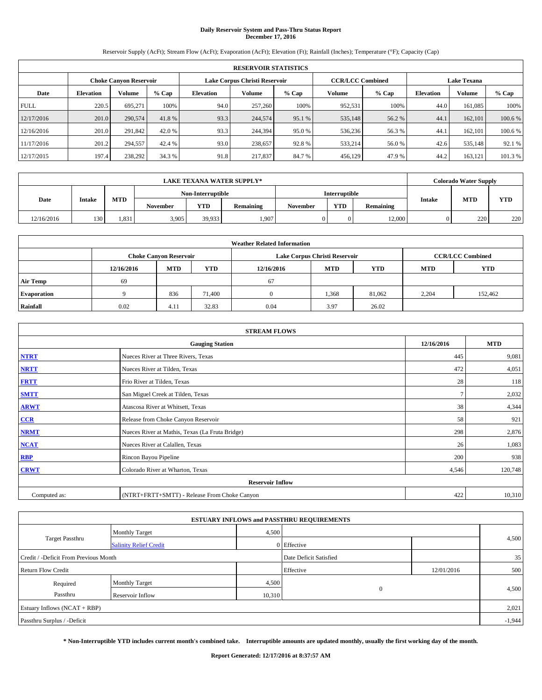# **Daily Reservoir System and Pass-Thru Status Report December 17, 2016**

Reservoir Supply (AcFt); Stream Flow (AcFt); Evaporation (AcFt); Elevation (Ft); Rainfall (Inches); Temperature (°F); Capacity (Cap)

|             | <b>RESERVOIR STATISTICS</b> |                               |         |                  |                               |         |                         |         |                  |                    |         |  |
|-------------|-----------------------------|-------------------------------|---------|------------------|-------------------------------|---------|-------------------------|---------|------------------|--------------------|---------|--|
|             |                             | <b>Choke Canyon Reservoir</b> |         |                  | Lake Corpus Christi Reservoir |         | <b>CCR/LCC Combined</b> |         |                  | <b>Lake Texana</b> |         |  |
| Date        | <b>Elevation</b>            | Volume                        | $%$ Cap | <b>Elevation</b> | Volume                        | $%$ Cap | Volume                  | $%$ Cap | <b>Elevation</b> | <b>Volume</b>      | % Cap   |  |
| <b>FULL</b> | 220.5                       | 695.271                       | 100%    | 94.0             | 257,260                       | 100%    | 952,531                 | 100%    | 44.0             | 161,085            | 100%    |  |
| 12/17/2016  | 201.0                       | 290,574                       | 41.8%   | 93.3             | 244,574                       | 95.1 %  | 535,148                 | 56.2 %  | 44.1             | 162,101            | 100.6 % |  |
| 12/16/2016  | 201.0                       | 291,842                       | 42.0 %  | 93.3             | 244,394                       | 95.0 %  | 536,236                 | 56.3 %  | 44.1             | 162,101            | 100.6 % |  |
| 11/17/2016  | 201.2                       | 294,557                       | 42.4 %  | 93.0             | 238,657                       | 92.8%   | 533,214                 | 56.0 %  | 42.6             | 535,148            | 92.1 %  |  |
| 12/17/2015  | 197.4                       | 238,292                       | 34.3 %  | 91.8             | 217,837                       | 84.7%   | 456,129                 | 47.9 %  | 44.2             | 163,121            | 101.3%  |  |

| LAKE TEXANA WATER SUPPLY* |               |            |                   |            |           |                 |                      |           |  | <b>Colorado Water Supply</b> |     |
|---------------------------|---------------|------------|-------------------|------------|-----------|-----------------|----------------------|-----------|--|------------------------------|-----|
|                           |               |            | Non-Interruptible |            |           |                 | <b>Interruptible</b> |           |  |                              | YTD |
| Date                      | <b>Intake</b> | <b>MTD</b> | <b>November</b>   | <b>YTD</b> | Remaining | <b>November</b> | <b>YTD</b>           | Remaining |  | <b>MTD</b><br>Intake         |     |
| 12/16/2016                | 130           | 1.831      | 3.905             | 39,933     | 1,907     |                 |                      | 12,000    |  | 220                          | 220 |

| <b>Weather Related Information</b> |            |                               |            |            |                                                      |                         |       |         |  |  |
|------------------------------------|------------|-------------------------------|------------|------------|------------------------------------------------------|-------------------------|-------|---------|--|--|
|                                    |            | <b>Choke Canyon Reservoir</b> |            |            | Lake Corpus Christi Reservoir                        | <b>CCR/LCC Combined</b> |       |         |  |  |
|                                    | 12/16/2016 | <b>MTD</b>                    | <b>YTD</b> | 12/16/2016 | <b>YTD</b><br><b>MTD</b><br><b>YTD</b><br><b>MTD</b> |                         |       |         |  |  |
| <b>Air Temp</b>                    | 69         |                               |            | 67         |                                                      |                         |       |         |  |  |
| <b>Evaporation</b>                 |            | 836                           | 71.400     |            | 1,368                                                | 81,062                  | 2,204 | 152,462 |  |  |
| Rainfall                           | 0.02       | 4.11                          | 32.83      | 0.04       | 3.97                                                 | 26.02                   |       |         |  |  |

| <b>STREAM FLOWS</b> |                                                 |            |         |  |  |  |  |  |  |
|---------------------|-------------------------------------------------|------------|---------|--|--|--|--|--|--|
|                     | 12/16/2016                                      | <b>MTD</b> |         |  |  |  |  |  |  |
| <b>NTRT</b>         | Nueces River at Three Rivers, Texas             | 445        | 9,081   |  |  |  |  |  |  |
| <b>NRTT</b>         | Nueces River at Tilden, Texas                   | 472        | 4,051   |  |  |  |  |  |  |
| <b>FRTT</b>         | Frio River at Tilden, Texas                     | 28         | 118     |  |  |  |  |  |  |
| <b>SMTT</b>         | San Miguel Creek at Tilden, Texas               |            | 2,032   |  |  |  |  |  |  |
| <b>ARWT</b>         | Atascosa River at Whitsett, Texas               | 38         | 4,344   |  |  |  |  |  |  |
| $CCR$               | Release from Choke Canyon Reservoir             | 58         | 921     |  |  |  |  |  |  |
| <b>NRMT</b>         | Nueces River at Mathis, Texas (La Fruta Bridge) | 298        | 2,876   |  |  |  |  |  |  |
| <b>NCAT</b>         | Nueces River at Calallen, Texas                 | 26         | 1,083   |  |  |  |  |  |  |
| RBP                 | Rincon Bayou Pipeline                           | 200        | 938     |  |  |  |  |  |  |
| <b>CRWT</b>         | Colorado River at Wharton, Texas                | 4,546      | 120,748 |  |  |  |  |  |  |
|                     | <b>Reservoir Inflow</b>                         |            |         |  |  |  |  |  |  |
| Computed as:        | (NTRT+FRTT+SMTT) - Release From Choke Canyon    | 422        | 10,310  |  |  |  |  |  |  |

| <b>ESTUARY INFLOWS and PASSTHRU REQUIREMENTS</b> |                               |        |                        |            |       |  |  |  |  |  |
|--------------------------------------------------|-------------------------------|--------|------------------------|------------|-------|--|--|--|--|--|
|                                                  | <b>Monthly Target</b>         | 4,500  |                        |            |       |  |  |  |  |  |
| Target Passthru                                  | <b>Salinity Relief Credit</b> |        | 0 Effective            |            | 4,500 |  |  |  |  |  |
| Credit / -Deficit From Previous Month            |                               |        | Date Deficit Satisfied |            | 35    |  |  |  |  |  |
| <b>Return Flow Credit</b>                        |                               |        | Effective              | 12/01/2016 | 500   |  |  |  |  |  |
| Required                                         | <b>Monthly Target</b>         |        | 4,500                  |            |       |  |  |  |  |  |
| Passthru                                         | Reservoir Inflow              | 10,310 | $\mathbf{0}$           |            | 4,500 |  |  |  |  |  |
| Estuary Inflows (NCAT + RBP)                     |                               |        |                        |            |       |  |  |  |  |  |
| Passthru Surplus / -Deficit                      |                               |        |                        |            |       |  |  |  |  |  |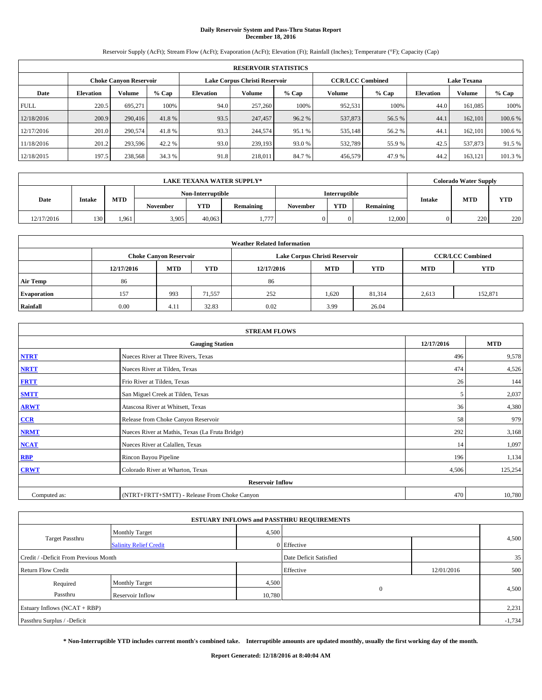# **Daily Reservoir System and Pass-Thru Status Report December 18, 2016**

Reservoir Supply (AcFt); Stream Flow (AcFt); Evaporation (AcFt); Elevation (Ft); Rainfall (Inches); Temperature (°F); Capacity (Cap)

|             | <b>RESERVOIR STATISTICS</b> |                               |         |                  |                               |         |                                               |         |                  |               |         |  |
|-------------|-----------------------------|-------------------------------|---------|------------------|-------------------------------|---------|-----------------------------------------------|---------|------------------|---------------|---------|--|
|             |                             | <b>Choke Canyon Reservoir</b> |         |                  | Lake Corpus Christi Reservoir |         | <b>CCR/LCC Combined</b><br><b>Lake Texana</b> |         |                  |               |         |  |
| Date        | <b>Elevation</b>            | Volume                        | $%$ Cap | <b>Elevation</b> | Volume                        | $%$ Cap | Volume                                        | $%$ Cap | <b>Elevation</b> | <b>Volume</b> | % Cap   |  |
| <b>FULL</b> | 220.5                       | 695.271                       | 100%    | 94.0             | 257,260                       | 100%    | 952,531                                       | 100%    | 44.0             | 161.085       | 100%    |  |
| 12/18/2016  | 200.9                       | 290,416                       | 41.8%   | 93.5             | 247,457                       | 96.2 %  | 537,873                                       | 56.5 %  | 44.1             | 162,101       | 100.6%  |  |
| 12/17/2016  | 201.0                       | 290,574                       | 41.8%   | 93.3             | 244,574                       | 95.1 %  | 535,148                                       | 56.2 %  | 44.1             | 162,101       | 100.6%  |  |
| 11/18/2016  | 201.2                       | 293,596                       | 42.2 %  | 93.0             | 239,193                       | 93.0 %  | 532,789                                       | 55.9%   | 42.5             | 537,873       | 91.5 %  |  |
| 12/18/2015  | 197.5                       | 238,568                       | 34.3 %  | 91.8             | 218,011                       | 84.7%   | 456,579                                       | 47.9%   | 44.2             | 163,121       | 101.3 % |  |

|            |               |            |                   |        | <b>LAKE TEXANA WATER SUPPLY*</b> |          |               |           |               | <b>Colorado Water Supply</b> |            |
|------------|---------------|------------|-------------------|--------|----------------------------------|----------|---------------|-----------|---------------|------------------------------|------------|
|            |               |            | Non-Interruptible |        |                                  |          | Interruptible |           |               |                              |            |
| Date       | <b>Intake</b> | <b>MTD</b> | <b>November</b>   | YTD    | Remaining                        | November | <b>YTD</b>    | Remaining | <b>Intake</b> | <b>MTD</b>                   | <b>YTD</b> |
| 12/17/2016 | 130           | .961       | 3,905             | 40.063 | 1.777                            |          |               | 12,000    |               | 220                          | 220        |

| <b>Weather Related Information</b> |            |                                                                                                |        |      |                               |        |       |                         |  |  |
|------------------------------------|------------|------------------------------------------------------------------------------------------------|--------|------|-------------------------------|--------|-------|-------------------------|--|--|
|                                    |            | <b>Choke Canyon Reservoir</b>                                                                  |        |      | Lake Corpus Christi Reservoir |        |       | <b>CCR/LCC Combined</b> |  |  |
|                                    | 12/17/2016 | <b>YTD</b><br><b>YTD</b><br><b>MTD</b><br><b>MTD</b><br><b>YTD</b><br>12/17/2016<br><b>MTD</b> |        |      |                               |        |       |                         |  |  |
| <b>Air Temp</b>                    | 86         |                                                                                                |        | 86   |                               |        |       |                         |  |  |
| <b>Evaporation</b>                 | 157        | 993                                                                                            | 71,557 | 252  | 1,620                         | 81,314 | 2,613 | 152,871                 |  |  |
| Rainfall                           | 0.00       | 4.11                                                                                           | 32.83  | 0.02 | 3.99                          | 26.04  |       |                         |  |  |

|              | <b>STREAM FLOWS</b>                             |            |            |
|--------------|-------------------------------------------------|------------|------------|
|              | <b>Gauging Station</b>                          | 12/17/2016 | <b>MTD</b> |
| <b>NTRT</b>  | Nueces River at Three Rivers, Texas             | 496        | 9,578      |
| <b>NRTT</b>  | Nueces River at Tilden, Texas                   | 474        | 4,526      |
| <b>FRTT</b>  | Frio River at Tilden, Texas                     | 26         | 144        |
| <b>SMTT</b>  | San Miguel Creek at Tilden, Texas               | 5          | 2,037      |
| <b>ARWT</b>  | Atascosa River at Whitsett, Texas               | 36         | 4,380      |
| CCR          | Release from Choke Canyon Reservoir             | 58         | 979        |
| <b>NRMT</b>  | Nueces River at Mathis, Texas (La Fruta Bridge) | 292        | 3,168      |
| <b>NCAT</b>  | Nueces River at Calallen, Texas                 | 14         | 1,097      |
| <b>RBP</b>   | Rincon Bayou Pipeline                           | 196        | 1,134      |
| <b>CRWT</b>  | Colorado River at Wharton, Texas                | 4,506      | 125,254    |
|              | <b>Reservoir Inflow</b>                         |            |            |
| Computed as: | (NTRT+FRTT+SMTT) - Release From Choke Canyon    | 470        | 10,780     |

|                                       |                               |        | <b>ESTUARY INFLOWS and PASSTHRU REQUIREMENTS</b> |            |          |  |  |
|---------------------------------------|-------------------------------|--------|--------------------------------------------------|------------|----------|--|--|
|                                       | <b>Monthly Target</b>         | 4,500  |                                                  |            |          |  |  |
| Target Passthru                       | <b>Salinity Relief Credit</b> |        | 0 Effective                                      |            | 4,500    |  |  |
| Credit / -Deficit From Previous Month |                               |        | Date Deficit Satisfied                           |            | 35       |  |  |
| <b>Return Flow Credit</b>             |                               |        | Effective                                        | 12/01/2016 | 500      |  |  |
| Required                              | <b>Monthly Target</b>         | 4,500  |                                                  |            |          |  |  |
| Passthru                              | Reservoir Inflow              | 10,780 | $\mathbf{0}$                                     |            | 4,500    |  |  |
| Estuary Inflows (NCAT + RBP)          |                               |        |                                                  |            |          |  |  |
| Passthru Surplus / -Deficit           |                               |        |                                                  |            | $-1,734$ |  |  |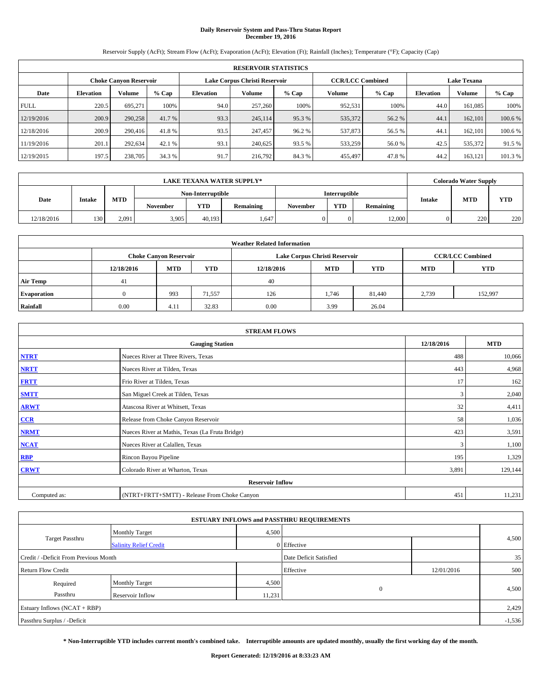# **Daily Reservoir System and Pass-Thru Status Report December 19, 2016**

Reservoir Supply (AcFt); Stream Flow (AcFt); Evaporation (AcFt); Elevation (Ft); Rainfall (Inches); Temperature (°F); Capacity (Cap)

|             | <b>RESERVOIR STATISTICS</b> |                               |         |                  |                               |         |                         |         |                  |                    |         |  |
|-------------|-----------------------------|-------------------------------|---------|------------------|-------------------------------|---------|-------------------------|---------|------------------|--------------------|---------|--|
|             |                             | <b>Choke Canyon Reservoir</b> |         |                  | Lake Corpus Christi Reservoir |         | <b>CCR/LCC Combined</b> |         |                  | <b>Lake Texana</b> |         |  |
| Date        | <b>Elevation</b>            | Volume                        | $%$ Cap | <b>Elevation</b> | Volume                        | $%$ Cap | Volume                  | $%$ Cap | <b>Elevation</b> | <b>Volume</b>      | % Cap   |  |
| <b>FULL</b> | 220.5                       | 695.271                       | 100%    | 94.0             | 257,260                       | 100%    | 952,531                 | 100%    | 44.0             | 161,085            | 100%    |  |
| 12/19/2016  | 200.9                       | 290,258                       | 41.7 %  | 93.3             | 245,114                       | 95.3 %  | 535,372                 | 56.2 %  | 44.1             | 162,101            | 100.6 % |  |
| 12/18/2016  | 200.9                       | 290,416                       | 41.8%   | 93.5             | 247,457                       | 96.2%   | 537,873                 | 56.5 %  | 44.1             | 162,101            | 100.6 % |  |
| 11/19/2016  | 201.1                       | 292,634                       | 42.1 %  | 93.1             | 240,625                       | 93.5 %  | 533,259                 | 56.0 %  | 42.5             | 535,372            | 91.5 %  |  |
| 12/19/2015  | 197.5                       | 238,705                       | 34.3 %  | 91.7             | 216,792                       | 84.3%   | 455,497                 | 47.8%   | 44.2             | 163,121            | 101.3 % |  |

|            |               |            |                   |        | <b>LAKE TEXANA WATER SUPPLY*</b> |               |            |           |               | <b>Colorado Water Supply</b> |     |            |
|------------|---------------|------------|-------------------|--------|----------------------------------|---------------|------------|-----------|---------------|------------------------------|-----|------------|
|            |               |            | Non-Interruptible |        |                                  | Interruptible |            |           |               |                              |     |            |
| Date       | <b>Intake</b> | <b>MTD</b> | <b>November</b>   | YTD    | Remaining                        | November      | <b>YTD</b> | Remaining | <b>Intake</b> | <b>MTD</b>                   |     | <b>YTD</b> |
| 12/18/2016 | 130           | 2.091      | 3,905             | 40.193 | 1.647                            |               |            | 12,000    |               | 220                          | 220 |            |

| <b>Weather Related Information</b> |            |                                                                                                |        |      |                               |        |                         |         |  |  |
|------------------------------------|------------|------------------------------------------------------------------------------------------------|--------|------|-------------------------------|--------|-------------------------|---------|--|--|
|                                    |            | <b>Choke Canyon Reservoir</b>                                                                  |        |      | Lake Corpus Christi Reservoir |        | <b>CCR/LCC Combined</b> |         |  |  |
|                                    | 12/18/2016 | <b>YTD</b><br><b>YTD</b><br><b>MTD</b><br><b>MTD</b><br><b>YTD</b><br>12/18/2016<br><b>MTD</b> |        |      |                               |        |                         |         |  |  |
| <b>Air Temp</b>                    | 41         |                                                                                                |        | 40   |                               |        |                         |         |  |  |
| <b>Evaporation</b>                 |            | 993                                                                                            | 71,557 | 126  | 1,746                         | 81,440 | 2,739                   | 152,997 |  |  |
| Rainfall                           | 0.00       | 4.11                                                                                           | 32.83  | 0.00 | 3.99                          | 26.04  |                         |         |  |  |

|              | <b>STREAM FLOWS</b>                             |            |            |  |  |  |  |  |  |  |
|--------------|-------------------------------------------------|------------|------------|--|--|--|--|--|--|--|
|              | <b>Gauging Station</b>                          | 12/18/2016 | <b>MTD</b> |  |  |  |  |  |  |  |
| <b>NTRT</b>  | Nueces River at Three Rivers, Texas             | 488        | 10,066     |  |  |  |  |  |  |  |
| <b>NRTT</b>  | Nueces River at Tilden, Texas                   | 443        | 4,968      |  |  |  |  |  |  |  |
| <b>FRTT</b>  | Frio River at Tilden, Texas                     | 17         | 162        |  |  |  |  |  |  |  |
| <b>SMTT</b>  | San Miguel Creek at Tilden, Texas               | 3          | 2,040      |  |  |  |  |  |  |  |
| <b>ARWT</b>  | Atascosa River at Whitsett, Texas               | 32         | 4,411      |  |  |  |  |  |  |  |
| $CCR$        | Release from Choke Canyon Reservoir             | 58         | 1,036      |  |  |  |  |  |  |  |
| <b>NRMT</b>  | Nueces River at Mathis, Texas (La Fruta Bridge) | 423        | 3,591      |  |  |  |  |  |  |  |
| <b>NCAT</b>  | Nueces River at Calallen, Texas                 | 3          | 1,100      |  |  |  |  |  |  |  |
| <b>RBP</b>   | Rincon Bayou Pipeline                           | 195        | 1,329      |  |  |  |  |  |  |  |
| <b>CRWT</b>  | Colorado River at Wharton, Texas                | 3,891      | 129,144    |  |  |  |  |  |  |  |
|              | <b>Reservoir Inflow</b>                         |            |            |  |  |  |  |  |  |  |
| Computed as: | (NTRT+FRTT+SMTT) - Release From Choke Canyon    | 451        | 11,231     |  |  |  |  |  |  |  |

| <b>ESTUARY INFLOWS and PASSTHRU REQUIREMENTS</b> |                               |        |                        |            |       |  |  |  |  |  |
|--------------------------------------------------|-------------------------------|--------|------------------------|------------|-------|--|--|--|--|--|
|                                                  | <b>Monthly Target</b>         | 4,500  |                        |            |       |  |  |  |  |  |
| Target Passthru                                  | <b>Salinity Relief Credit</b> |        | 0 Effective            |            | 4,500 |  |  |  |  |  |
| Credit / -Deficit From Previous Month            |                               |        | Date Deficit Satisfied |            | 35    |  |  |  |  |  |
| <b>Return Flow Credit</b>                        |                               |        | Effective              | 12/01/2016 | 500   |  |  |  |  |  |
| Required                                         | <b>Monthly Target</b>         | 4,500  |                        |            |       |  |  |  |  |  |
| Passthru                                         | Reservoir Inflow              | 11,231 | $\mathbf{0}$           |            | 4,500 |  |  |  |  |  |
| Estuary Inflows (NCAT + RBP)                     |                               |        |                        |            |       |  |  |  |  |  |
| Passthru Surplus / -Deficit                      |                               |        |                        |            |       |  |  |  |  |  |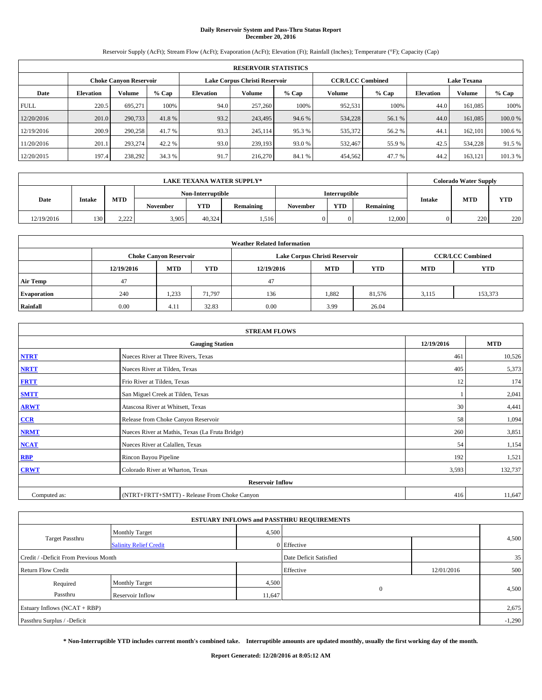# **Daily Reservoir System and Pass-Thru Status Report December 20, 2016**

Reservoir Supply (AcFt); Stream Flow (AcFt); Evaporation (AcFt); Elevation (Ft); Rainfall (Inches); Temperature (°F); Capacity (Cap)

|             | <b>RESERVOIR STATISTICS</b> |                               |         |                  |                               |         |                                               |         |                  |               |         |
|-------------|-----------------------------|-------------------------------|---------|------------------|-------------------------------|---------|-----------------------------------------------|---------|------------------|---------------|---------|
|             |                             | <b>Choke Canyon Reservoir</b> |         |                  | Lake Corpus Christi Reservoir |         | <b>CCR/LCC Combined</b><br><b>Lake Texana</b> |         |                  |               |         |
| Date        | <b>Elevation</b>            | Volume                        | $%$ Cap | <b>Elevation</b> | Volume                        | $%$ Cap | Volume                                        | $%$ Cap | <b>Elevation</b> | <b>Volume</b> | % Cap   |
| <b>FULL</b> | 220.5                       | 695.271                       | 100%    | 94.0             | 257,260                       | 100%    | 952,531                                       | 100%    | 44.0             | 161,085       | 100%    |
| 12/20/2016  | 201.0                       | 290,733                       | 41.8%   | 93.2             | 243,495                       | 94.6 %  | 534,228                                       | 56.1 %  | 44.0             | 161,085       | 100.0%  |
| 12/19/2016  | 200.9                       | 290,258                       | 41.7 %  | 93.3             | 245.114                       | 95.3 %  | 535,372                                       | 56.2 %  | 44.1             | 162,101       | 100.6 % |
| 11/20/2016  | 201.1                       | 293.274                       | 42.2 %  | 93.0             | 239.193                       | 93.0 %  | 532,467                                       | 55.9 %  | 42.5             | 534,228       | 91.5 %  |
| 12/20/2015  | 197.4                       | 238,292                       | 34.3 %  | 91.7             | 216,270                       | 84.1 %  | 454,562                                       | 47.7 %  | 44.2             | 163,121       | 101.3%  |

|            | <b>LAKE TEXANA WATER SUPPLY*</b> |            |                   |        |           |          |               |           |               | <b>Colorado Water Supply</b> |            |
|------------|----------------------------------|------------|-------------------|--------|-----------|----------|---------------|-----------|---------------|------------------------------|------------|
|            |                                  |            | Non-Interruptible |        |           |          | Interruptible |           |               |                              |            |
| Date       | <b>Intake</b>                    | <b>MTD</b> | <b>November</b>   | YTD    | Remaining | November | <b>YTD</b>    | Remaining | <b>Intake</b> | <b>MTD</b>                   | <b>YTD</b> |
| 12/19/2016 | 130                              | 2.222      | 3,905             | 40.324 | .516      |          |               | 12,000    |               | 220                          | 220        |

|                    | <b>Weather Related Information</b> |                                                                                                |        |      |                               |                         |       |         |  |  |  |  |  |
|--------------------|------------------------------------|------------------------------------------------------------------------------------------------|--------|------|-------------------------------|-------------------------|-------|---------|--|--|--|--|--|
|                    |                                    | <b>Choke Canyon Reservoir</b>                                                                  |        |      | Lake Corpus Christi Reservoir | <b>CCR/LCC Combined</b> |       |         |  |  |  |  |  |
|                    | 12/19/2016                         | <b>YTD</b><br><b>YTD</b><br><b>MTD</b><br><b>MTD</b><br><b>YTD</b><br>12/19/2016<br><b>MTD</b> |        |      |                               |                         |       |         |  |  |  |  |  |
| <b>Air Temp</b>    | 47                                 |                                                                                                |        | 47   |                               |                         |       |         |  |  |  |  |  |
| <b>Evaporation</b> | 240                                | 1,233                                                                                          | 71,797 | 136  | 1,882                         | 81,576                  | 3,115 | 153,373 |  |  |  |  |  |
| Rainfall           | 0.00                               | 4.11                                                                                           | 32.83  | 0.00 | 3.99                          | 26.04                   |       |         |  |  |  |  |  |

| <b>STREAM FLOWS</b> |                                                    |       |         |  |  |  |  |  |  |
|---------------------|----------------------------------------------------|-------|---------|--|--|--|--|--|--|
|                     | <b>Gauging Station</b><br>12/19/2016<br><b>MTD</b> |       |         |  |  |  |  |  |  |
| <b>NTRT</b>         | Nueces River at Three Rivers, Texas                | 461   | 10,526  |  |  |  |  |  |  |
| <b>NRTT</b>         | Nueces River at Tilden, Texas                      | 405   | 5,373   |  |  |  |  |  |  |
| <b>FRTT</b>         | Frio River at Tilden, Texas                        | 12    | 174     |  |  |  |  |  |  |
| <b>SMTT</b>         | San Miguel Creek at Tilden, Texas                  |       | 2,041   |  |  |  |  |  |  |
| <b>ARWT</b>         | Atascosa River at Whitsett, Texas                  | 30    | 4,441   |  |  |  |  |  |  |
| $CCR$               | Release from Choke Canyon Reservoir                | 58    | 1,094   |  |  |  |  |  |  |
| <b>NRMT</b>         | Nueces River at Mathis, Texas (La Fruta Bridge)    | 260   | 3,851   |  |  |  |  |  |  |
| <b>NCAT</b>         | Nueces River at Calallen, Texas                    | 54    | 1,154   |  |  |  |  |  |  |
| RBP                 | Rincon Bayou Pipeline                              | 192   | 1,521   |  |  |  |  |  |  |
| <b>CRWT</b>         | Colorado River at Wharton, Texas                   | 3,593 | 132,737 |  |  |  |  |  |  |
|                     | <b>Reservoir Inflow</b>                            |       |         |  |  |  |  |  |  |
| Computed as:        | (NTRT+FRTT+SMTT) - Release From Choke Canyon       | 416   | 11,647  |  |  |  |  |  |  |

|                                                                 |                               |        | <b>ESTUARY INFLOWS and PASSTHRU REQUIREMENTS</b> |            |          |  |  |
|-----------------------------------------------------------------|-------------------------------|--------|--------------------------------------------------|------------|----------|--|--|
|                                                                 | <b>Monthly Target</b>         | 4,500  |                                                  |            |          |  |  |
| Target Passthru                                                 | <b>Salinity Relief Credit</b> |        | 0 Effective                                      |            | 4,500    |  |  |
| Credit / -Deficit From Previous Month<br>Date Deficit Satisfied |                               |        |                                                  |            |          |  |  |
| <b>Return Flow Credit</b>                                       |                               |        | Effective                                        | 12/01/2016 | 500      |  |  |
| Required                                                        | <b>Monthly Target</b>         | 4,500  |                                                  |            |          |  |  |
| Passthru                                                        | Reservoir Inflow              | 11,647 | $\overline{0}$                                   |            | 4,500    |  |  |
| Estuary Inflows (NCAT + RBP)                                    |                               |        |                                                  |            | 2,675    |  |  |
| Passthru Surplus / -Deficit                                     |                               |        |                                                  |            | $-1,290$ |  |  |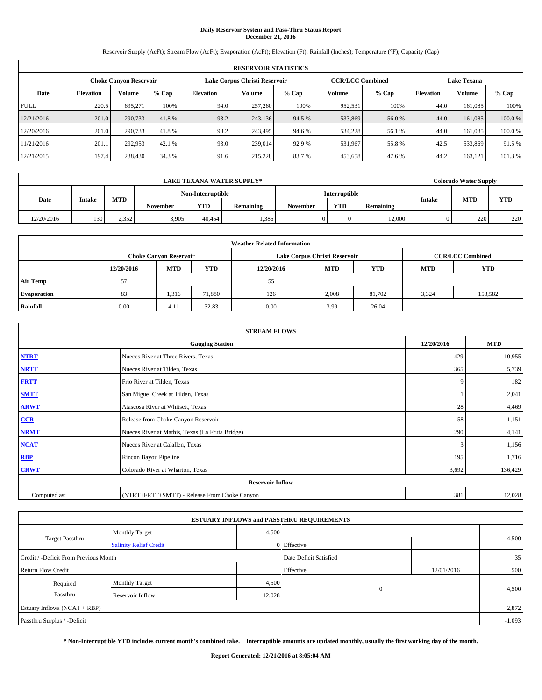# **Daily Reservoir System and Pass-Thru Status Report December 21, 2016**

Reservoir Supply (AcFt); Stream Flow (AcFt); Evaporation (AcFt); Elevation (Ft); Rainfall (Inches); Temperature (°F); Capacity (Cap)

|             | <b>RESERVOIR STATISTICS</b> |                               |         |                               |         |         |                         |         |                    |         |        |  |
|-------------|-----------------------------|-------------------------------|---------|-------------------------------|---------|---------|-------------------------|---------|--------------------|---------|--------|--|
|             |                             | <b>Choke Canyon Reservoir</b> |         | Lake Corpus Christi Reservoir |         |         | <b>CCR/LCC Combined</b> |         | <b>Lake Texana</b> |         |        |  |
| Date        | <b>Elevation</b>            | Volume                        | $%$ Cap | <b>Elevation</b>              | Volume  | $%$ Cap | Volume                  | $%$ Cap | <b>Elevation</b>   | Volume  | % Cap  |  |
| <b>FULL</b> | 220.5                       | 695.271                       | 100%    | 94.0                          | 257,260 | 100%    | 952,531                 | 100%    | 44.0               | 161,085 | 100%   |  |
| 12/21/2016  | 201.0                       | 290,733                       | 41.8%   | 93.2                          | 243,136 | 94.5 %  | 533,869                 | 56.0 %  | 44.0               | 161,085 | 100.0% |  |
| 12/20/2016  | 201.0                       | 290,733                       | 41.8%   | 93.2                          | 243,495 | 94.6 %  | 534,228                 | 56.1 %  | 44.0               | 161,085 | 100.0% |  |
| 11/21/2016  | 201.1                       | 292,953                       | 42.1 %  | 93.0                          | 239,014 | 92.9 %  | 531,967                 | 55.8 %  | 42.5               | 533,869 | 91.5 % |  |
| 12/21/2015  | 197.4                       | 238,430                       | 34.3 %  | 91.6                          | 215,228 | 83.7%   | 453,658                 | 47.6 %  | 44.2               | 163,121 | 101.3% |  |

|            | LAKE TEXANA WATER SUPPLY* |            |                   |            |           |          |                      |           |               | <b>Colorado Water Supply</b> |     |
|------------|---------------------------|------------|-------------------|------------|-----------|----------|----------------------|-----------|---------------|------------------------------|-----|
|            |                           |            | Non-Interruptible |            |           |          | <b>Interruptible</b> |           |               |                              |     |
| Date       | <b>Intake</b>             | <b>MTD</b> | <b>November</b>   | <b>YTD</b> | Remaining | November | <b>YTD</b>           | Remaining | <b>Intake</b> | <b>MTD</b>                   | YTD |
| 12/20/2016 | 130                       | 2.352      | 3.905             | 40.454     | .386      |          |                      | 12,000    |               | 220                          | 220 |

|                    | <b>Weather Related Information</b> |                                                                                                |        |      |                               |                         |       |         |  |  |  |  |  |
|--------------------|------------------------------------|------------------------------------------------------------------------------------------------|--------|------|-------------------------------|-------------------------|-------|---------|--|--|--|--|--|
|                    |                                    | <b>Choke Canyon Reservoir</b>                                                                  |        |      | Lake Corpus Christi Reservoir | <b>CCR/LCC Combined</b> |       |         |  |  |  |  |  |
|                    | 12/20/2016                         | <b>YTD</b><br><b>YTD</b><br><b>MTD</b><br><b>MTD</b><br><b>YTD</b><br>12/20/2016<br><b>MTD</b> |        |      |                               |                         |       |         |  |  |  |  |  |
| <b>Air Temp</b>    | 57                                 |                                                                                                |        | 55   |                               |                         |       |         |  |  |  |  |  |
| <b>Evaporation</b> | 83                                 | 1,316                                                                                          | 71,880 | 126  | 2,008                         | 81,702                  | 3,324 | 153,582 |  |  |  |  |  |
| Rainfall           | 0.00                               | 4.11                                                                                           | 32.83  | 0.00 | 3.99                          | 26.04                   |       |         |  |  |  |  |  |

| <b>STREAM FLOWS</b> |                                                 |            |            |  |  |  |  |  |
|---------------------|-------------------------------------------------|------------|------------|--|--|--|--|--|
|                     | <b>Gauging Station</b>                          | 12/20/2016 | <b>MTD</b> |  |  |  |  |  |
| <b>NTRT</b>         | Nueces River at Three Rivers, Texas             | 429        | 10,955     |  |  |  |  |  |
| <b>NRTT</b>         | Nueces River at Tilden, Texas                   | 365        | 5,739      |  |  |  |  |  |
| <b>FRTT</b>         | Frio River at Tilden, Texas                     | 9          | 182        |  |  |  |  |  |
| <b>SMTT</b>         | San Miguel Creek at Tilden, Texas               |            | 2,041      |  |  |  |  |  |
| <b>ARWT</b>         | Atascosa River at Whitsett, Texas               | 28         | 4,469      |  |  |  |  |  |
| $CCR$               | Release from Choke Canyon Reservoir             | 58         | 1,151      |  |  |  |  |  |
| <b>NRMT</b>         | Nueces River at Mathis, Texas (La Fruta Bridge) | 290        | 4,141      |  |  |  |  |  |
| <b>NCAT</b>         | Nueces River at Calallen, Texas                 | 3          | 1,156      |  |  |  |  |  |
| RBP                 | Rincon Bayou Pipeline                           | 195        | 1,716      |  |  |  |  |  |
| <b>CRWT</b>         | Colorado River at Wharton, Texas                | 3,692      | 136,429    |  |  |  |  |  |
|                     | <b>Reservoir Inflow</b>                         |            |            |  |  |  |  |  |
| Computed as:        | (NTRT+FRTT+SMTT) - Release From Choke Canyon    | 381        | 12,028     |  |  |  |  |  |

|                                                                 |                               |        | <b>ESTUARY INFLOWS and PASSTHRU REQUIREMENTS</b> |            |          |  |  |  |
|-----------------------------------------------------------------|-------------------------------|--------|--------------------------------------------------|------------|----------|--|--|--|
|                                                                 | <b>Monthly Target</b>         | 4,500  |                                                  |            |          |  |  |  |
| Target Passthru                                                 | <b>Salinity Relief Credit</b> |        | 0 Effective                                      |            | 4,500    |  |  |  |
| Date Deficit Satisfied<br>Credit / -Deficit From Previous Month |                               |        |                                                  |            |          |  |  |  |
| <b>Return Flow Credit</b>                                       |                               |        | Effective                                        | 12/01/2016 | 500      |  |  |  |
| Required                                                        | <b>Monthly Target</b>         | 4,500  |                                                  |            |          |  |  |  |
| Passthru                                                        | Reservoir Inflow              | 12,028 | $\mathbf{0}$                                     |            | 4,500    |  |  |  |
| Estuary Inflows (NCAT + RBP)                                    |                               |        |                                                  |            | 2,872    |  |  |  |
| Passthru Surplus / -Deficit                                     |                               |        |                                                  |            | $-1,093$ |  |  |  |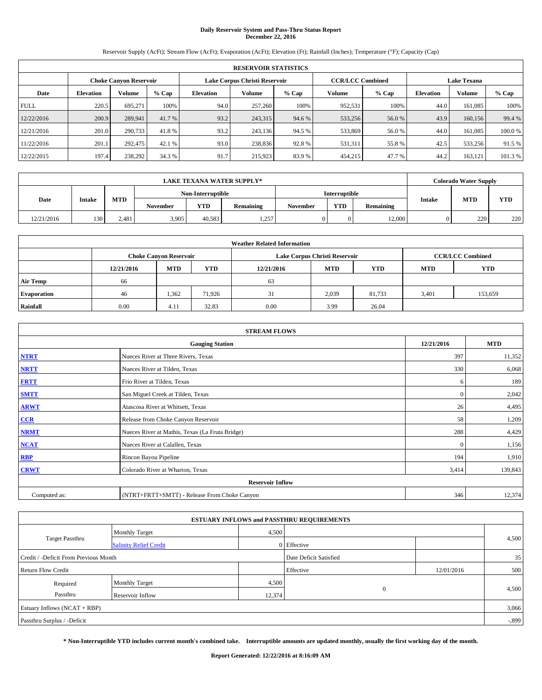# **Daily Reservoir System and Pass-Thru Status Report December 22, 2016**

Reservoir Supply (AcFt); Stream Flow (AcFt); Evaporation (AcFt); Elevation (Ft); Rainfall (Inches); Temperature (°F); Capacity (Cap)

|             | <b>RESERVOIR STATISTICS</b> |                        |         |                               |               |         |                         |         |                    |               |        |  |
|-------------|-----------------------------|------------------------|---------|-------------------------------|---------------|---------|-------------------------|---------|--------------------|---------------|--------|--|
|             |                             | Choke Canvon Reservoir |         | Lake Corpus Christi Reservoir |               |         | <b>CCR/LCC Combined</b> |         | <b>Lake Texana</b> |               |        |  |
| Date        | <b>Elevation</b>            | Volume                 | $%$ Cap | <b>Elevation</b>              | <b>Volume</b> | $%$ Cap | Volume                  | $%$ Cap | <b>Elevation</b>   | <b>Volume</b> | % Cap  |  |
| <b>FULL</b> | 220.5                       | 695,271                | 100%    | 94.0                          | 257,260       | 100%    | 952,531                 | 100%    | 44.0               | 161.085       | 100%   |  |
| 12/22/2016  | 200.9                       | 289,941                | 41.7 %  | 93.2                          | 243,315       | 94.6 %  | 533,256                 | 56.0 %  | 43.9               | 160,156       | 99.4 % |  |
| 12/21/2016  | 201.0                       | 290,733                | 41.8%   | 93.2                          | 243,136       | 94.5 %  | 533,869                 | 56.0%   | 44.0               | 161.085       | 100.0% |  |
| 11/22/2016  | 201.1                       | 292,475                | 42.1 %  | 93.0                          | 238,836       | 92.8%   | 531,311                 | 55.8%   | 42.5               | 533,256       | 91.5%  |  |
| 12/22/2015  | 197.4                       | 238,292                | 34.3 %  | 91.7                          | 215,923       | 83.9%   | 454,215                 | 47.7 %  | 44.2               | 163.121       | 101.3% |  |

|            | LAKE TEXANA WATER SUPPLY* |            |                   |            |           |                 |                      |           |  | <b>Colorado Water Supply</b> |     |  |
|------------|---------------------------|------------|-------------------|------------|-----------|-----------------|----------------------|-----------|--|------------------------------|-----|--|
|            |                           |            | Non-Interruptible |            |           |                 | <b>Interruptible</b> |           |  | <b>MTD</b><br><b>Intake</b>  |     |  |
| Date       | <b>Intake</b>             | <b>MTD</b> | <b>November</b>   | <b>YTD</b> | Remaining | <b>November</b> | <b>YTD</b>           | Remaining |  |                              | YTD |  |
| 12/21/2016 | 130                       | 2.481      | 3.905             | 40.583     | 1,257     |                 |                      | 12,000    |  | 220                          | 220 |  |

|                    | <b>Weather Related Information</b> |                                                                                                |        |      |                               |                         |       |         |  |  |  |  |  |
|--------------------|------------------------------------|------------------------------------------------------------------------------------------------|--------|------|-------------------------------|-------------------------|-------|---------|--|--|--|--|--|
|                    |                                    | <b>Choke Canyon Reservoir</b>                                                                  |        |      | Lake Corpus Christi Reservoir | <b>CCR/LCC Combined</b> |       |         |  |  |  |  |  |
|                    | 12/21/2016                         | <b>YTD</b><br><b>YTD</b><br><b>MTD</b><br><b>MTD</b><br><b>YTD</b><br>12/21/2016<br><b>MTD</b> |        |      |                               |                         |       |         |  |  |  |  |  |
| <b>Air Temp</b>    | 66                                 |                                                                                                |        | 63   |                               |                         |       |         |  |  |  |  |  |
| <b>Evaporation</b> | 46                                 | 1,362                                                                                          | 71.926 | 31   | 2,039                         | 81,733                  | 3,401 | 153,659 |  |  |  |  |  |
| Rainfall           | 0.00                               | 4.11                                                                                           | 32.83  | 0.00 | 3.99                          | 26.04                   |       |         |  |  |  |  |  |

| <b>STREAM FLOWS</b> |                                                 |              |         |  |  |  |  |  |  |
|---------------------|-------------------------------------------------|--------------|---------|--|--|--|--|--|--|
|                     | <b>Gauging Station</b>                          |              |         |  |  |  |  |  |  |
| <b>NTRT</b>         | Nueces River at Three Rivers, Texas             |              |         |  |  |  |  |  |  |
| <b>NRTT</b>         | Nueces River at Tilden, Texas                   | 330          | 6,068   |  |  |  |  |  |  |
| <b>FRTT</b>         | Frio River at Tilden, Texas                     | 6            | 189     |  |  |  |  |  |  |
| <b>SMTT</b>         | San Miguel Creek at Tilden, Texas               | $\mathbf{0}$ | 2,042   |  |  |  |  |  |  |
| <b>ARWT</b>         | Atascosa River at Whitsett, Texas               | 26           | 4,495   |  |  |  |  |  |  |
| $CCR$               | Release from Choke Canyon Reservoir             | 58           | 1,209   |  |  |  |  |  |  |
| <b>NRMT</b>         | Nueces River at Mathis, Texas (La Fruta Bridge) | 288          | 4,429   |  |  |  |  |  |  |
| <b>NCAT</b>         | Nueces River at Calallen, Texas                 | $\mathbf{0}$ | 1,156   |  |  |  |  |  |  |
| RBP                 | Rincon Bayou Pipeline                           | 194          | 1,910   |  |  |  |  |  |  |
| <b>CRWT</b>         | Colorado River at Wharton, Texas                | 3,414        | 139,843 |  |  |  |  |  |  |
|                     | <b>Reservoir Inflow</b>                         |              |         |  |  |  |  |  |  |
| Computed as:        | (NTRT+FRTT+SMTT) - Release From Choke Canyon    | 346          | 12,374  |  |  |  |  |  |  |

| <b>ESTUARY INFLOWS and PASSTHRU REQUIREMENTS</b> |                               |        |                        |            |          |  |  |  |  |  |
|--------------------------------------------------|-------------------------------|--------|------------------------|------------|----------|--|--|--|--|--|
|                                                  | <b>Monthly Target</b>         | 4,500  |                        |            |          |  |  |  |  |  |
| <b>Target Passthru</b>                           | <b>Salinity Relief Credit</b> |        | 0 Effective            |            | 4,500    |  |  |  |  |  |
| Credit / -Deficit From Previous Month            |                               |        | Date Deficit Satisfied |            | 35       |  |  |  |  |  |
| <b>Return Flow Credit</b>                        |                               |        | Effective              | 12/01/2016 | 500      |  |  |  |  |  |
| Required                                         | <b>Monthly Target</b>         | 4,500  |                        |            |          |  |  |  |  |  |
| Passthru                                         | Reservoir Inflow              | 12,374 | $\mathbf{0}$           |            | 4,500    |  |  |  |  |  |
| Estuary Inflows $(NCAT + RBP)$                   |                               |        |                        |            | 3,066    |  |  |  |  |  |
| Passthru Surplus / -Deficit                      |                               |        |                        |            | $-0.899$ |  |  |  |  |  |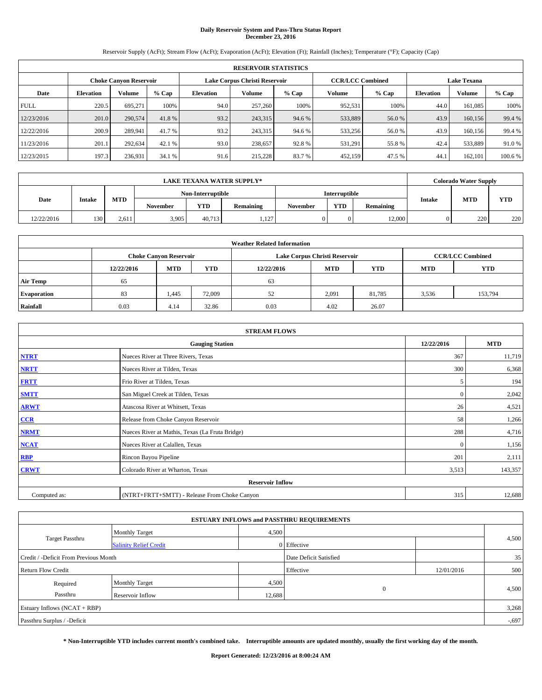# **Daily Reservoir System and Pass-Thru Status Report December 23, 2016**

Reservoir Supply (AcFt); Stream Flow (AcFt); Evaporation (AcFt); Elevation (Ft); Rainfall (Inches); Temperature (°F); Capacity (Cap)

|             | <b>RESERVOIR STATISTICS</b> |                        |         |                  |                               |         |                         |         |                  |                    |         |  |
|-------------|-----------------------------|------------------------|---------|------------------|-------------------------------|---------|-------------------------|---------|------------------|--------------------|---------|--|
|             |                             | Choke Canvon Reservoir |         |                  | Lake Corpus Christi Reservoir |         | <b>CCR/LCC Combined</b> |         |                  | <b>Lake Texana</b> |         |  |
| Date        | <b>Elevation</b>            | Volume                 | $%$ Cap | <b>Elevation</b> | Volume                        | $%$ Cap | Volume                  | $%$ Cap | <b>Elevation</b> | <b>Volume</b>      | % Cap   |  |
| <b>FULL</b> | 220.5                       | 695.271                | 100%    | 94.0             | 257,260                       | 100%    | 952,531                 | 100%    | 44.0             | 161.085            | 100%    |  |
| 12/23/2016  | 201.0                       | 290,574                | 41.8%   | 93.2             | 243,315                       | 94.6 %  | 533,889                 | 56.0%   | 43.9             | 160,156            | 99.4 %  |  |
| 12/22/2016  | 200.9                       | 289.941                | 41.7 %  | 93.2             | 243,315                       | 94.6 %  | 533,256                 | 56.0%   | 43.9             | 160,156            | 99.4 %  |  |
| 11/23/2016  | 201.1                       | 292.634                | 42.1 %  | 93.0             | 238,657                       | 92.8%   | 531,291                 | 55.8%   | 42.4             | 533,889            | 91.0 %  |  |
| 12/23/2015  | 197.3                       | 236,931                | 34.1 %  | 91.6             | 215,228                       | 83.7%   | 452,159                 | 47.5 %  | 44.              | 162,101            | 100.6 % |  |

| <b>LAKE TEXANA WATER SUPPLY*</b> |               |            |                 |                   |           |               | <b>Colorado Water Supply</b> |           |               |            |            |
|----------------------------------|---------------|------------|-----------------|-------------------|-----------|---------------|------------------------------|-----------|---------------|------------|------------|
|                                  |               |            |                 | Non-Interruptible |           | Interruptible |                              |           |               |            |            |
| Date                             | <b>Intake</b> | <b>MTD</b> | <b>November</b> | YTD               | Remaining | November      | <b>YTD</b>                   | Remaining | <b>Intake</b> | <b>MTD</b> | <b>YTD</b> |
| 12/22/2016                       | 130           | 2.611      | 3,905           | 40.713            | 1,127     |               |                              | 12,000    |               | 220        | 220        |

| <b>Weather Related Information</b> |            |                               |            |            |                               |                         |            |            |  |  |
|------------------------------------|------------|-------------------------------|------------|------------|-------------------------------|-------------------------|------------|------------|--|--|
|                                    |            | <b>Choke Canyon Reservoir</b> |            |            | Lake Corpus Christi Reservoir | <b>CCR/LCC Combined</b> |            |            |  |  |
|                                    | 12/22/2016 | <b>MTD</b>                    | <b>YTD</b> | 12/22/2016 | <b>MTD</b>                    | <b>YTD</b>              | <b>MTD</b> | <b>YTD</b> |  |  |
| <b>Air Temp</b>                    | 65         |                               |            | 63         |                               |                         |            |            |  |  |
| <b>Evaporation</b>                 | 83         | 1,445                         | 72,009     | 52         | 2,091                         | 81,785                  | 3,536      | 153,794    |  |  |
| Rainfall                           | 0.03       | 4.14                          | 32.86      | 0.03       | 4.02                          | 26.07                   |            |            |  |  |

| <b>STREAM FLOWS</b> |                                                 |              |         |  |  |  |  |  |  |
|---------------------|-------------------------------------------------|--------------|---------|--|--|--|--|--|--|
|                     | <b>Gauging Station</b>                          |              |         |  |  |  |  |  |  |
| <b>NTRT</b>         | 367                                             | 11,719       |         |  |  |  |  |  |  |
| <b>NRTT</b>         | Nueces River at Tilden, Texas                   | 300          | 6,368   |  |  |  |  |  |  |
| <b>FRTT</b>         | Frio River at Tilden, Texas                     | 5            | 194     |  |  |  |  |  |  |
| <b>SMTT</b>         | San Miguel Creek at Tilden, Texas               | $\mathbf{0}$ | 2,042   |  |  |  |  |  |  |
| <b>ARWT</b>         | Atascosa River at Whitsett, Texas               | 26           | 4,521   |  |  |  |  |  |  |
| $CCR$               | Release from Choke Canyon Reservoir             | 58           | 1,266   |  |  |  |  |  |  |
| <b>NRMT</b>         | Nueces River at Mathis, Texas (La Fruta Bridge) | 288          | 4,716   |  |  |  |  |  |  |
| <b>NCAT</b>         | Nueces River at Calallen, Texas                 | $\mathbf{0}$ | 1,156   |  |  |  |  |  |  |
| RBP                 | Rincon Bayou Pipeline                           | 201          | 2,111   |  |  |  |  |  |  |
| <b>CRWT</b>         | Colorado River at Wharton, Texas                | 3,513        | 143,357 |  |  |  |  |  |  |
|                     | <b>Reservoir Inflow</b>                         |              |         |  |  |  |  |  |  |
| Computed as:        | (NTRT+FRTT+SMTT) - Release From Choke Canyon    | 315          | 12,688  |  |  |  |  |  |  |

| <b>ESTUARY INFLOWS and PASSTHRU REQUIREMENTS</b> |                               |        |                        |            |          |  |  |  |  |  |
|--------------------------------------------------|-------------------------------|--------|------------------------|------------|----------|--|--|--|--|--|
|                                                  | <b>Monthly Target</b>         | 4,500  |                        |            |          |  |  |  |  |  |
| <b>Target Passthru</b>                           | <b>Salinity Relief Credit</b> |        | 0 Effective            |            | 4,500    |  |  |  |  |  |
| Credit / -Deficit From Previous Month            |                               |        | Date Deficit Satisfied |            | 35       |  |  |  |  |  |
| <b>Return Flow Credit</b>                        |                               |        | Effective              | 12/01/2016 | 500      |  |  |  |  |  |
| Required                                         | <b>Monthly Target</b>         | 4,500  |                        |            |          |  |  |  |  |  |
| Passthru                                         | Reservoir Inflow              | 12,688 | $\mathbf{0}$           |            | 4,500    |  |  |  |  |  |
| Estuary Inflows $(NCAT + RBP)$                   |                               |        |                        |            | 3,268    |  |  |  |  |  |
| Passthru Surplus / -Deficit                      |                               |        |                        |            | $-0.697$ |  |  |  |  |  |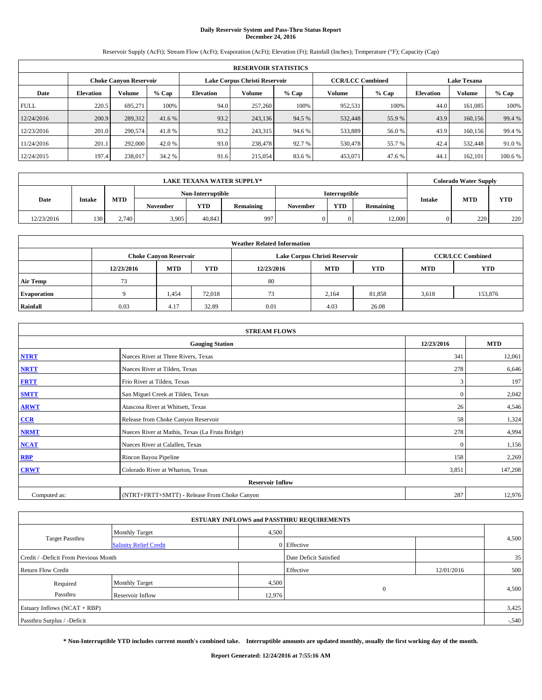# **Daily Reservoir System and Pass-Thru Status Report December 24, 2016**

Reservoir Supply (AcFt); Stream Flow (AcFt); Evaporation (AcFt); Elevation (Ft); Rainfall (Inches); Temperature (°F); Capacity (Cap)

|             | <b>RESERVOIR STATISTICS</b> |                               |         |           |                               |         |                         |         |                  |                    |         |  |
|-------------|-----------------------------|-------------------------------|---------|-----------|-------------------------------|---------|-------------------------|---------|------------------|--------------------|---------|--|
|             |                             | <b>Choke Canyon Reservoir</b> |         |           | Lake Corpus Christi Reservoir |         | <b>CCR/LCC Combined</b> |         |                  | <b>Lake Texana</b> |         |  |
| Date        | <b>Elevation</b>            | Volume                        | $%$ Cap | Elevation | Volume                        | $%$ Cap | Volume                  | $%$ Cap | <b>Elevation</b> | <b>Volume</b>      | % Cap   |  |
| <b>FULL</b> | 220.5                       | 695.271                       | 100%    | 94.0      | 257,260                       | 100%    | 952,531                 | 100%    | 44.0             | 161.085            | 100%    |  |
| 12/24/2016  | 200.9                       | 289,312                       | 41.6 %  | 93.2      | 243,136                       | 94.5 %  | 532,448                 | 55.9%   | 43.9             | 160,156            | 99.4 %  |  |
| 12/23/2016  | 201.0                       | 290,574                       | 41.8%   | 93.2      | 243,315                       | 94.6 %  | 533,889                 | 56.0%   | 43.9             | 160,156            | 99.4 %  |  |
| 11/24/2016  | 201.1                       | 292,000                       | 42.0 %  | 93.0      | 238,478                       | 92.7 %  | 530,478                 | 55.7 %  | 42.4             | 532,448            | 91.0%   |  |
| 12/24/2015  | 197.4                       | 238,017                       | 34.2 %  | 91.6      | 215,054                       | 83.6%   | 453,071                 | 47.6 %  | 44.              | 162,101            | 100.6 % |  |

| <b>LAKE TEXANA WATER SUPPLY*</b> |               |            |                   |            |           |               | <b>Colorado Water Supply</b> |           |               |            |            |
|----------------------------------|---------------|------------|-------------------|------------|-----------|---------------|------------------------------|-----------|---------------|------------|------------|
|                                  |               |            | Non-Interruptible |            |           | Interruptible |                              |           |               |            |            |
| Date                             | <b>Intake</b> | <b>MTD</b> | November          | <b>YTD</b> | Remaining | November      | <b>YTD</b>                   | Remaining | <b>Intake</b> | <b>MTD</b> | <b>YTD</b> |
| 12/23/2016                       | 130           | 2.740      | 3,905             | 40.843     | 997       |               |                              | 12,000    |               | 220        | 220        |

| <b>Weather Related Information</b> |            |                               |            |            |                               |                         |            |            |  |  |
|------------------------------------|------------|-------------------------------|------------|------------|-------------------------------|-------------------------|------------|------------|--|--|
|                                    |            | <b>Choke Canyon Reservoir</b> |            |            | Lake Corpus Christi Reservoir | <b>CCR/LCC Combined</b> |            |            |  |  |
|                                    | 12/23/2016 | <b>MTD</b>                    | <b>YTD</b> | 12/23/2016 | <b>MTD</b>                    | <b>YTD</b>              | <b>MTD</b> | <b>YTD</b> |  |  |
| <b>Air Temp</b>                    | 73         |                               |            | 80         |                               |                         |            |            |  |  |
| <b>Evaporation</b>                 |            | 1,454                         | 72,018     | 73         | 2.164                         | 81,858                  | 3,618      | 153,876    |  |  |
| Rainfall                           | 0.03       | 4.17                          | 32.89      | 0.01       | 4.03                          | 26.08                   |            |            |  |  |

| <b>STREAM FLOWS</b> |                                                 |              |         |  |  |  |  |  |  |
|---------------------|-------------------------------------------------|--------------|---------|--|--|--|--|--|--|
|                     | <b>Gauging Station</b>                          |              |         |  |  |  |  |  |  |
| <b>NTRT</b>         | Nueces River at Three Rivers, Texas             | 341          | 12,061  |  |  |  |  |  |  |
| <b>NRTT</b>         | Nueces River at Tilden, Texas                   | 278          | 6,646   |  |  |  |  |  |  |
| <b>FRTT</b>         | Frio River at Tilden, Texas                     | 3            | 197     |  |  |  |  |  |  |
| <b>SMTT</b>         | San Miguel Creek at Tilden, Texas               | $\mathbf{0}$ | 2,042   |  |  |  |  |  |  |
| <b>ARWT</b>         | Atascosa River at Whitsett, Texas               | 26           | 4,546   |  |  |  |  |  |  |
| CCR                 | Release from Choke Canyon Reservoir             | 58           | 1,324   |  |  |  |  |  |  |
| <b>NRMT</b>         | Nueces River at Mathis, Texas (La Fruta Bridge) | 278          | 4,994   |  |  |  |  |  |  |
| <b>NCAT</b>         | Nueces River at Calallen, Texas                 | $\Omega$     | 1,156   |  |  |  |  |  |  |
| <b>RBP</b>          | Rincon Bayou Pipeline                           | 158          | 2,269   |  |  |  |  |  |  |
| <b>CRWT</b>         | Colorado River at Wharton, Texas                | 3,851        | 147,208 |  |  |  |  |  |  |
|                     | <b>Reservoir Inflow</b>                         |              |         |  |  |  |  |  |  |
| Computed as:        | (NTRT+FRTT+SMTT) - Release From Choke Canyon    | 287          | 12,976  |  |  |  |  |  |  |

| <b>ESTUARY INFLOWS and PASSTHRU REQUIREMENTS</b> |                               |        |                        |            |        |  |  |  |  |  |
|--------------------------------------------------|-------------------------------|--------|------------------------|------------|--------|--|--|--|--|--|
|                                                  | <b>Monthly Target</b>         | 4,500  |                        |            |        |  |  |  |  |  |
| <b>Target Passthru</b>                           | <b>Salinity Relief Credit</b> |        | 0 Effective            |            | 4,500  |  |  |  |  |  |
| Credit / -Deficit From Previous Month            |                               |        | Date Deficit Satisfied |            | 35     |  |  |  |  |  |
| <b>Return Flow Credit</b>                        |                               |        | Effective              | 12/01/2016 | 500    |  |  |  |  |  |
| Required                                         | <b>Monthly Target</b>         | 4,500  |                        |            |        |  |  |  |  |  |
| Passthru                                         | Reservoir Inflow              | 12,976 | $\mathbf{0}$           |            | 4,500  |  |  |  |  |  |
| Estuary Inflows $(NCAT + RBP)$                   |                               |        |                        |            | 3,425  |  |  |  |  |  |
| Passthru Surplus / -Deficit                      |                               |        |                        |            | $-540$ |  |  |  |  |  |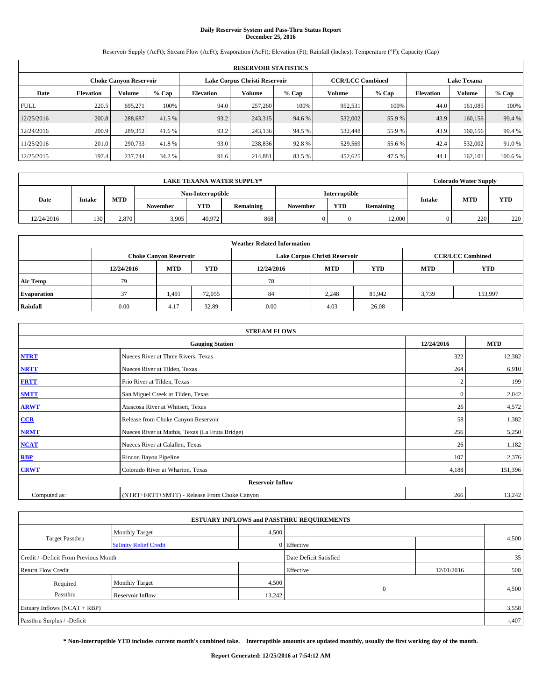# **Daily Reservoir System and Pass-Thru Status Report December 25, 2016**

Reservoir Supply (AcFt); Stream Flow (AcFt); Evaporation (AcFt); Elevation (Ft); Rainfall (Inches); Temperature (°F); Capacity (Cap)

| <b>RESERVOIR STATISTICS</b> |                  |                               |         |           |                               |         |                         |         |                  |               |                    |  |
|-----------------------------|------------------|-------------------------------|---------|-----------|-------------------------------|---------|-------------------------|---------|------------------|---------------|--------------------|--|
|                             |                  | <b>Choke Canyon Reservoir</b> |         |           | Lake Corpus Christi Reservoir |         | <b>CCR/LCC Combined</b> |         |                  |               | <b>Lake Texana</b> |  |
| Date                        | <b>Elevation</b> | Volume                        | $%$ Cap | Elevation | Volume                        | $%$ Cap | Volume                  | $%$ Cap | <b>Elevation</b> | <b>Volume</b> | % Cap              |  |
| <b>FULL</b>                 | 220.5            | 695.271                       | 100%    | 94.0      | 257,260                       | 100%    | 952,531                 | 100%    | 44.0             | 161.085       | 100%               |  |
| 12/25/2016                  | 200.8            | 288,687                       | 41.5 %  | 93.2      | 243,315                       | 94.6 %  | 532,002                 | 55.9%   | 43.9             | 160,156       | 99.4 %             |  |
| 12/24/2016                  | 200.9            | 289,312                       | 41.6 %  | 93.2      | 243,136                       | 94.5 %  | 532,448                 | 55.9%   | 43.9             | 160,156       | 99.4 %             |  |
| 11/25/2016                  | 201.0            | 290,733                       | 41.8%   | 93.0      | 238,836                       | 92.8%   | 529,569                 | 55.6 %  | 42.4             | 532,002       | 91.0%              |  |
| 12/25/2015                  | 197.4            | 237,744                       | 34.2 %  | 91.6      | 214,881                       | 83.5 %  | 452,625                 | 47.5 %  | 44.              | 162,101       | 100.6 %            |  |

|            | <b>LAKE TEXANA WATER SUPPLY*</b> |            |          |                   |           |          |               |           |               | <b>Colorado Water Supply</b> |            |
|------------|----------------------------------|------------|----------|-------------------|-----------|----------|---------------|-----------|---------------|------------------------------|------------|
|            |                                  |            |          | Non-Interruptible |           |          | Interruptible |           |               |                              |            |
| Date       | <b>Intake</b>                    | <b>MTD</b> | November | <b>YTD</b>        | Remaining | November | <b>YTD</b>    | Remaining | <b>Intake</b> | <b>MTD</b>                   | <b>YTD</b> |
| 12/24/2016 | 130                              | 2.870      | 3,905    | 40.972            | 868       |          |               | 12,000    |               | 220                          | 220        |

| <b>Weather Related Information</b> |            |                               |            |            |                               |            |                         |            |  |  |
|------------------------------------|------------|-------------------------------|------------|------------|-------------------------------|------------|-------------------------|------------|--|--|
|                                    |            | <b>Choke Canyon Reservoir</b> |            |            | Lake Corpus Christi Reservoir |            | <b>CCR/LCC Combined</b> |            |  |  |
|                                    | 12/24/2016 | <b>MTD</b>                    | <b>YTD</b> | 12/24/2016 | <b>MTD</b>                    | <b>YTD</b> | <b>MTD</b>              | <b>YTD</b> |  |  |
| <b>Air Temp</b>                    | 79         |                               |            | 78         |                               |            |                         |            |  |  |
| <b>Evaporation</b>                 | 37         | 1,491                         | 72,055     | 84         | 2,248                         | 81.942     | 3,739                   | 153,997    |  |  |
| Rainfall                           | 0.00       | 4.17                          | 32.89      | 0.00       | 4.03                          | 26.08      |                         |            |  |  |

| <b>STREAM FLOWS</b> |                                                 |              |            |  |  |  |  |  |  |
|---------------------|-------------------------------------------------|--------------|------------|--|--|--|--|--|--|
|                     | <b>Gauging Station</b>                          | 12/24/2016   | <b>MTD</b> |  |  |  |  |  |  |
| <b>NTRT</b>         | Nueces River at Three Rivers, Texas             | 322          | 12,382     |  |  |  |  |  |  |
| <b>NRTT</b>         | Nueces River at Tilden, Texas                   | 264          | 6,910      |  |  |  |  |  |  |
| <b>FRTT</b>         | Frio River at Tilden, Texas                     |              | 199        |  |  |  |  |  |  |
| <b>SMTT</b>         | San Miguel Creek at Tilden, Texas               | $\mathbf{0}$ | 2,042      |  |  |  |  |  |  |
| <b>ARWT</b>         | Atascosa River at Whitsett, Texas               | 26           | 4,572      |  |  |  |  |  |  |
| $CCR$               | Release from Choke Canyon Reservoir             | 58           | 1,382      |  |  |  |  |  |  |
| <b>NRMT</b>         | Nueces River at Mathis, Texas (La Fruta Bridge) | 256          | 5,250      |  |  |  |  |  |  |
| <b>NCAT</b>         | Nueces River at Calallen, Texas                 | 26           | 1,182      |  |  |  |  |  |  |
| RBP                 | Rincon Bayou Pipeline                           | 107          | 2,376      |  |  |  |  |  |  |
| <b>CRWT</b>         | Colorado River at Wharton, Texas                | 4,188        | 151,396    |  |  |  |  |  |  |
|                     | <b>Reservoir Inflow</b>                         |              |            |  |  |  |  |  |  |
| Computed as:        | (NTRT+FRTT+SMTT) - Release From Choke Canyon    | 266          | 13,242     |  |  |  |  |  |  |

| <b>ESTUARY INFLOWS and PASSTHRU REQUIREMENTS</b> |                               |                        |              |            |       |  |  |  |  |  |
|--------------------------------------------------|-------------------------------|------------------------|--------------|------------|-------|--|--|--|--|--|
|                                                  | <b>Monthly Target</b>         | 4,500                  |              |            |       |  |  |  |  |  |
| <b>Target Passthru</b>                           | <b>Salinity Relief Credit</b> |                        | 0 Effective  |            | 4,500 |  |  |  |  |  |
| Credit / -Deficit From Previous Month            |                               | Date Deficit Satisfied |              | 35         |       |  |  |  |  |  |
| <b>Return Flow Credit</b>                        |                               |                        | Effective    | 12/01/2016 | 500   |  |  |  |  |  |
| Required                                         | <b>Monthly Target</b>         | 4,500                  |              |            |       |  |  |  |  |  |
| Passthru                                         | Reservoir Inflow              | 13,242                 | $\mathbf{0}$ |            | 4,500 |  |  |  |  |  |
| Estuary Inflows $(NCAT + RBP)$                   |                               |                        |              |            |       |  |  |  |  |  |
| Passthru Surplus / -Deficit                      |                               |                        |              |            |       |  |  |  |  |  |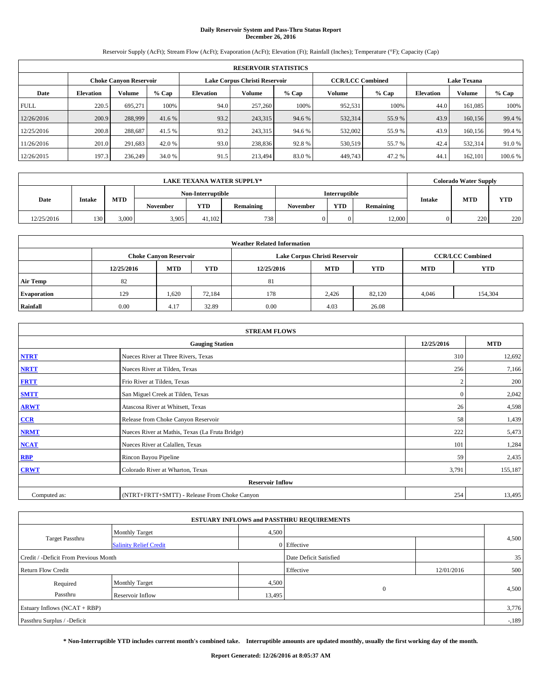# **Daily Reservoir System and Pass-Thru Status Report December 26, 2016**

Reservoir Supply (AcFt); Stream Flow (AcFt); Evaporation (AcFt); Elevation (Ft); Rainfall (Inches); Temperature (°F); Capacity (Cap)

| <b>RESERVOIR STATISTICS</b> |                  |                               |         |           |                               |         |                         |                    |                  |               |         |
|-----------------------------|------------------|-------------------------------|---------|-----------|-------------------------------|---------|-------------------------|--------------------|------------------|---------------|---------|
|                             |                  | <b>Choke Canyon Reservoir</b> |         |           | Lake Corpus Christi Reservoir |         | <b>CCR/LCC Combined</b> | <b>Lake Texana</b> |                  |               |         |
| Date                        | <b>Elevation</b> | Volume                        | $%$ Cap | Elevation | Volume                        | $%$ Cap | Volume                  | $%$ Cap            | <b>Elevation</b> | <b>Volume</b> | % Cap   |
| <b>FULL</b>                 | 220.5            | 695.271                       | 100%    | 94.0      | 257,260                       | 100%    | 952,531                 | 100%               | 44.0             | 161.085       | 100%    |
| 12/26/2016                  | 200.9            | 288,999                       | 41.6 %  | 93.2      | 243,315                       | 94.6 %  | 532,314                 | 55.9%              | 43.9             | 160,156       | 99.4 %  |
| 12/25/2016                  | 200.8            | 288,687                       | 41.5 %  | 93.2      | 243,315                       | 94.6 %  | 532,002                 | 55.9%              | 43.9             | 160,156       | 99.4 %  |
| 11/26/2016                  | 201.0            | 291,683                       | 42.0 %  | 93.0      | 238,836                       | 92.8%   | 530,519                 | 55.7 %             | 42.4             | 532.314       | 91.0%   |
| 12/26/2015                  | 197.3            | 236,249                       | 34.0 %  | 91.5      | 213,494                       | 83.0%   | 449,743                 | 47.2%              | 44.              | 162,101       | 100.6 % |

|            | <b>LAKE TEXANA WATER SUPPLY*</b> |            |                 |                   |           |          |               |           |               | <b>Colorado Water Supply</b> |            |
|------------|----------------------------------|------------|-----------------|-------------------|-----------|----------|---------------|-----------|---------------|------------------------------|------------|
|            |                                  |            |                 | Non-Interruptible |           |          | Interruptible |           |               |                              |            |
| Date       | <b>Intake</b>                    | <b>MTD</b> | <b>November</b> | YTD               | Remaining | November | <b>YTD</b>    | Remaining | <b>Intake</b> | <b>MTD</b>                   | <b>YTD</b> |
| 12/25/2016 | 130                              | 3.000      | 3,905           | 41.102            | 7381      |          |               | 12,000    |               | 220                          | 220        |

| <b>Weather Related Information</b> |            |                                                                                  |        |      |                               |                         |       |            |  |  |
|------------------------------------|------------|----------------------------------------------------------------------------------|--------|------|-------------------------------|-------------------------|-------|------------|--|--|
|                                    |            | <b>Choke Canyon Reservoir</b>                                                    |        |      | Lake Corpus Christi Reservoir | <b>CCR/LCC Combined</b> |       |            |  |  |
|                                    | 12/25/2016 | <b>YTD</b><br><b>MTD</b><br><b>MTD</b><br><b>YTD</b><br><b>MTD</b><br>12/25/2016 |        |      |                               |                         |       | <b>YTD</b> |  |  |
| <b>Air Temp</b>                    | 82         |                                                                                  |        | 81   |                               |                         |       |            |  |  |
| <b>Evaporation</b>                 | 129        | 1,620                                                                            | 72,184 | 178  | 2.426                         | 82,120                  | 4,046 | 154,304    |  |  |
| Rainfall                           | 0.00       | 4.17                                                                             | 32.89  | 0.00 | 4.03                          | 26.08                   |       |            |  |  |

| <b>STREAM FLOWS</b> |                                                 |              |            |  |  |  |  |  |  |
|---------------------|-------------------------------------------------|--------------|------------|--|--|--|--|--|--|
|                     | <b>Gauging Station</b>                          | 12/25/2016   | <b>MTD</b> |  |  |  |  |  |  |
| <b>NTRT</b>         | Nueces River at Three Rivers, Texas             | 310          | 12,692     |  |  |  |  |  |  |
| <b>NRTT</b>         | Nueces River at Tilden, Texas                   | 256          | 7,166      |  |  |  |  |  |  |
| <b>FRTT</b>         | Frio River at Tilden, Texas                     |              | 200        |  |  |  |  |  |  |
| <b>SMTT</b>         | San Miguel Creek at Tilden, Texas               | $\mathbf{0}$ | 2,042      |  |  |  |  |  |  |
| <b>ARWT</b>         | Atascosa River at Whitsett, Texas               | 26           | 4,598      |  |  |  |  |  |  |
| $CCR$               | Release from Choke Canyon Reservoir             | 58           | 1,439      |  |  |  |  |  |  |
| <b>NRMT</b>         | Nueces River at Mathis, Texas (La Fruta Bridge) | 222          | 5,473      |  |  |  |  |  |  |
| <b>NCAT</b>         | Nueces River at Calallen, Texas                 | 101          | 1,284      |  |  |  |  |  |  |
| RBP                 | Rincon Bayou Pipeline                           | 59           | 2,435      |  |  |  |  |  |  |
| <b>CRWT</b>         | Colorado River at Wharton, Texas                | 3,791        | 155,187    |  |  |  |  |  |  |
|                     | <b>Reservoir Inflow</b>                         |              |            |  |  |  |  |  |  |
| Computed as:        | (NTRT+FRTT+SMTT) - Release From Choke Canyon    | 254          | 13,495     |  |  |  |  |  |  |

| <b>ESTUARY INFLOWS and PASSTHRU REQUIREMENTS</b> |                               |                        |              |            |       |  |  |  |  |  |
|--------------------------------------------------|-------------------------------|------------------------|--------------|------------|-------|--|--|--|--|--|
|                                                  | <b>Monthly Target</b>         | 4,500                  |              |            |       |  |  |  |  |  |
| <b>Target Passthru</b>                           | <b>Salinity Relief Credit</b> |                        | 0 Effective  |            | 4,500 |  |  |  |  |  |
| Credit / -Deficit From Previous Month            |                               | Date Deficit Satisfied |              | 35         |       |  |  |  |  |  |
| <b>Return Flow Credit</b>                        |                               |                        | Effective    | 12/01/2016 | 500   |  |  |  |  |  |
| Required                                         | <b>Monthly Target</b>         | 4,500                  |              |            |       |  |  |  |  |  |
| Passthru                                         | Reservoir Inflow              | 13,495                 | $\mathbf{0}$ |            | 4,500 |  |  |  |  |  |
| Estuary Inflows $(NCAT + RBP)$                   |                               |                        |              |            |       |  |  |  |  |  |
| Passthru Surplus / -Deficit                      |                               |                        |              |            |       |  |  |  |  |  |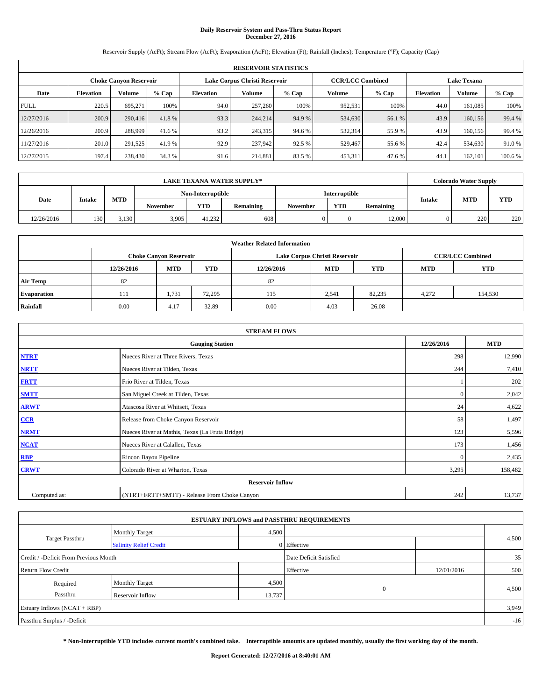# **Daily Reservoir System and Pass-Thru Status Report December 27, 2016**

Reservoir Supply (AcFt); Stream Flow (AcFt); Evaporation (AcFt); Elevation (Ft); Rainfall (Inches); Temperature (°F); Capacity (Cap)

| <b>RESERVOIR STATISTICS</b> |                  |                        |         |                  |                               |         |                         |         |                  |                    |        |  |
|-----------------------------|------------------|------------------------|---------|------------------|-------------------------------|---------|-------------------------|---------|------------------|--------------------|--------|--|
|                             |                  | Choke Canvon Reservoir |         |                  | Lake Corpus Christi Reservoir |         | <b>CCR/LCC Combined</b> |         |                  | <b>Lake Texana</b> |        |  |
| Date                        | <b>Elevation</b> | Volume                 | $%$ Cap | <b>Elevation</b> | <b>Volume</b>                 | $%$ Cap | Volume                  | $%$ Cap | <b>Elevation</b> | <b>Volume</b>      | % Cap  |  |
| <b>FULL</b>                 | 220.5            | 695,271                | 100%    | 94.0             | 257,260                       | 100%    | 952,531                 | 100%    | 44.0             | 161.085            | 100%   |  |
| 12/27/2016                  | 200.9            | 290,416                | 41.8%   | 93.3             | 244,214                       | 94.9 %  | 534,630                 | 56.1 %  | 43.9             | 160,156            | 99.4 % |  |
| 12/26/2016                  | 200.9            | 288,999                | 41.6 %  | 93.2             | 243,315                       | 94.6 %  | 532,314                 | 55.9 %  | 43.9             | 160.156            | 99.4 % |  |
| 11/27/2016                  | 201.0            | 291,525                | 41.9 %  | 92.9             | 237,942                       | 92.5 %  | 529,467                 | 55.6 %  | 42.4             | 534,630            | 91.0%  |  |
| 12/27/2015                  | 197.4            | 238,430                | 34.3 %  | 91.6             | 214.881                       | 83.5 %  | 453,311                 | 47.6 %  | 44.              | 162,101            | 100.6% |  |

|            | <b>LAKE TEXANA WATER SUPPLY*</b> |            |                 |                   |     |  |                      |           |        |            | <b>Colorado Water Supply</b> |
|------------|----------------------------------|------------|-----------------|-------------------|-----|--|----------------------|-----------|--------|------------|------------------------------|
|            |                                  |            |                 | Non-Interruptible |     |  | <b>Interruptible</b> |           |        |            |                              |
| Date       | <b>Intake</b>                    | <b>MTD</b> | <b>November</b> | YTD<br>Remaining  |     |  | <b>YTD</b>           | Remaining | Intake | <b>MTD</b> | YTD                          |
| 12/26/2016 | 130                              | 3.130      | 3,905           | 41.232            | 608 |  |                      | 12,000    |        | 220        | 220                          |

| <b>Weather Related Information</b> |            |                               |            |                                                      |                               |                         |       |         |  |  |
|------------------------------------|------------|-------------------------------|------------|------------------------------------------------------|-------------------------------|-------------------------|-------|---------|--|--|
|                                    |            | <b>Choke Canyon Reservoir</b> |            |                                                      | Lake Corpus Christi Reservoir | <b>CCR/LCC Combined</b> |       |         |  |  |
|                                    | 12/26/2016 | <b>MTD</b>                    | <b>YTD</b> | <b>MTD</b><br><b>YTD</b><br><b>MTD</b><br>12/26/2016 |                               |                         |       |         |  |  |
| <b>Air Temp</b>                    | 82         |                               |            | 82                                                   |                               |                         |       |         |  |  |
| <b>Evaporation</b>                 | 111        | 1.731                         | 72,295     | 115                                                  | 2,541                         | 82,235                  | 4,272 | 154,530 |  |  |
| Rainfall                           | 0.00       | 4.17                          | 32.89      | 0.00                                                 | 4.03                          | 26.08                   |       |         |  |  |

| <b>STREAM FLOWS</b> |                                                 |              |            |  |  |  |  |  |  |
|---------------------|-------------------------------------------------|--------------|------------|--|--|--|--|--|--|
|                     | <b>Gauging Station</b>                          | 12/26/2016   | <b>MTD</b> |  |  |  |  |  |  |
| <b>NTRT</b>         | Nueces River at Three Rivers, Texas             | 298          | 12,990     |  |  |  |  |  |  |
| <b>NRTT</b>         | Nueces River at Tilden, Texas                   | 244          | 7,410      |  |  |  |  |  |  |
| <b>FRTT</b>         | Frio River at Tilden, Texas                     |              | 202        |  |  |  |  |  |  |
| <b>SMTT</b>         | San Miguel Creek at Tilden, Texas               | $\mathbf{0}$ | 2,042      |  |  |  |  |  |  |
| <b>ARWT</b>         | Atascosa River at Whitsett, Texas               | 24           | 4,622      |  |  |  |  |  |  |
| $CCR$               | Release from Choke Canyon Reservoir             | 58           | 1,497      |  |  |  |  |  |  |
| <b>NRMT</b>         | Nueces River at Mathis, Texas (La Fruta Bridge) | 123          | 5,596      |  |  |  |  |  |  |
| <b>NCAT</b>         | Nueces River at Calallen, Texas                 | 173          | 1,456      |  |  |  |  |  |  |
| RBP                 | Rincon Bayou Pipeline                           | $\Omega$     | 2,435      |  |  |  |  |  |  |
| <b>CRWT</b>         | Colorado River at Wharton, Texas                | 3,295        | 158,482    |  |  |  |  |  |  |
|                     |                                                 |              |            |  |  |  |  |  |  |
| Computed as:        | (NTRT+FRTT+SMTT) - Release From Choke Canyon    | 242          | 13,737     |  |  |  |  |  |  |

|                                       |                               |        | <b>ESTUARY INFLOWS and PASSTHRU REQUIREMENTS</b> |            |       |
|---------------------------------------|-------------------------------|--------|--------------------------------------------------|------------|-------|
|                                       | <b>Monthly Target</b>         | 4,500  |                                                  |            |       |
| <b>Target Passthru</b>                | <b>Salinity Relief Credit</b> |        | 0 Effective                                      |            | 4,500 |
| Credit / -Deficit From Previous Month |                               |        | Date Deficit Satisfied                           |            | 35    |
| <b>Return Flow Credit</b>             |                               |        | Effective                                        | 12/01/2016 | 500   |
| Required                              | <b>Monthly Target</b>         | 4,500  |                                                  |            |       |
| Passthru                              | Reservoir Inflow              | 13,737 | $\mathbf{0}$                                     |            | 4,500 |
| Estuary Inflows $(NCAT + RBP)$        |                               |        |                                                  |            | 3,949 |
| Passthru Surplus / -Deficit           |                               |        |                                                  |            | $-16$ |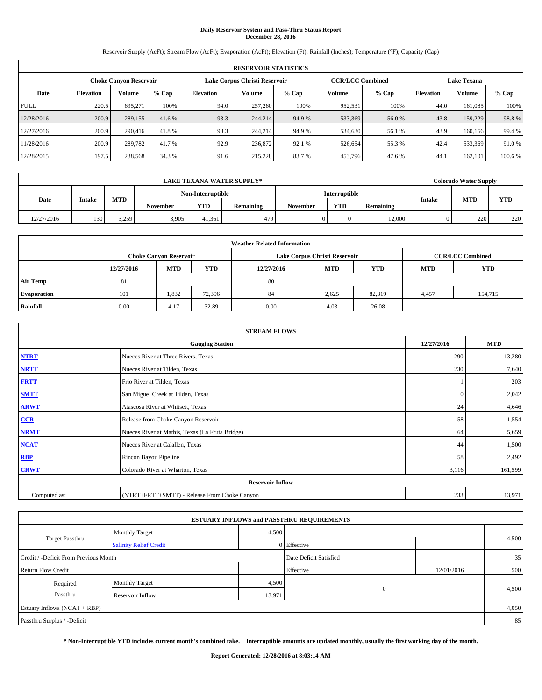# **Daily Reservoir System and Pass-Thru Status Report December 28, 2016**

Reservoir Supply (AcFt); Stream Flow (AcFt); Evaporation (AcFt); Elevation (Ft); Rainfall (Inches); Temperature (°F); Capacity (Cap)

|             | <b>RESERVOIR STATISTICS</b> |                               |         |                               |         |         |                         |         |                  |                    |         |  |
|-------------|-----------------------------|-------------------------------|---------|-------------------------------|---------|---------|-------------------------|---------|------------------|--------------------|---------|--|
|             |                             | <b>Choke Canyon Reservoir</b> |         | Lake Corpus Christi Reservoir |         |         | <b>CCR/LCC Combined</b> |         |                  | <b>Lake Texana</b> |         |  |
| Date        | <b>Elevation</b>            | Volume                        | $%$ Cap | Elevation                     | Volume  | $%$ Cap | Volume                  | $%$ Cap | <b>Elevation</b> | <b>Volume</b>      | % Cap   |  |
| <b>FULL</b> | 220.5                       | 695.271                       | 100%    | 94.0                          | 257,260 | 100%    | 952,531                 | 100%    | 44.0             | 161.085            | 100%    |  |
| 12/28/2016  | 200.9                       | 289,155                       | 41.6 %  | 93.3                          | 244,214 | 94.9 %  | 533,369                 | 56.0 %  | 43.8             | 159,229            | 98.8%   |  |
| 12/27/2016  | 200.9                       | 290,416                       | 41.8%   | 93.3                          | 244,214 | 94.9 %  | 534,630                 | 56.1 %  | 43.9             | 160,156            | 99.4 %  |  |
| 11/28/2016  | 200.9                       | 289,782                       | 41.7 %  | 92.9                          | 236,872 | 92.1 %  | 526,654                 | 55.3 %  | 42.4             | 533,369            | 91.0%   |  |
| 12/28/2015  | 197.5                       | 238,568                       | 34.3 %  | 91.6                          | 215.228 | 83.7%   | 453,796                 | 47.6 %  | 44.              | 162,101            | 100.6 % |  |

| <b>LAKE TEXANA WATER SUPPLY*</b> |               |            |                   |        |           |                 |                      |           |                      | <b>Colorado Water Supply</b> |     |
|----------------------------------|---------------|------------|-------------------|--------|-----------|-----------------|----------------------|-----------|----------------------|------------------------------|-----|
|                                  |               |            | Non-Interruptible |        |           |                 | <b>Interruptible</b> |           |                      |                              |     |
| Date                             | <b>Intake</b> | <b>MTD</b> | <b>November</b>   | YTD    | Remaining | <b>November</b> | <b>YTD</b>           | Remaining | <b>MTD</b><br>Intake |                              | YTD |
| 12/27/2016                       | 130           | 3.259      | 3,905             | 41.361 | 479       |                 |                      | 12,000    |                      | 220                          | 220 |

| <b>Weather Related Information</b> |            |                               |            |            |                                                      |                         |       |         |  |  |
|------------------------------------|------------|-------------------------------|------------|------------|------------------------------------------------------|-------------------------|-------|---------|--|--|
|                                    |            | <b>Choke Canyon Reservoir</b> |            |            | Lake Corpus Christi Reservoir                        | <b>CCR/LCC Combined</b> |       |         |  |  |
|                                    | 12/27/2016 | <b>MTD</b>                    | <b>YTD</b> | 12/27/2016 | <b>YTD</b><br><b>MTD</b><br><b>YTD</b><br><b>MTD</b> |                         |       |         |  |  |
| <b>Air Temp</b>                    | 81         |                               |            | 80         |                                                      |                         |       |         |  |  |
| <b>Evaporation</b>                 | 101        | 1,832                         | 72,396     | 84         | 2,625                                                | 82,319                  | 4,457 | 154,715 |  |  |
| Rainfall                           | 0.00       | 4.17                          | 32.89      | 0.00       | 4.03                                                 | 26.08                   |       |         |  |  |

| <b>STREAM FLOWS</b> |                                                 |              |         |  |  |  |  |  |  |
|---------------------|-------------------------------------------------|--------------|---------|--|--|--|--|--|--|
|                     | 12/27/2016                                      | <b>MTD</b>   |         |  |  |  |  |  |  |
| <b>NTRT</b>         | Nueces River at Three Rivers, Texas             | 290          | 13,280  |  |  |  |  |  |  |
| <b>NRTT</b>         | Nueces River at Tilden, Texas                   | 230          | 7,640   |  |  |  |  |  |  |
| <b>FRTT</b>         | Frio River at Tilden, Texas                     |              | 203     |  |  |  |  |  |  |
| <b>SMTT</b>         | San Miguel Creek at Tilden, Texas               | $\mathbf{0}$ | 2,042   |  |  |  |  |  |  |
| <b>ARWT</b>         | Atascosa River at Whitsett, Texas               | 24           | 4,646   |  |  |  |  |  |  |
| $CCR$               | Release from Choke Canyon Reservoir             | 58           | 1,554   |  |  |  |  |  |  |
| <b>NRMT</b>         | Nueces River at Mathis, Texas (La Fruta Bridge) | 64           | 5,659   |  |  |  |  |  |  |
| <b>NCAT</b>         | Nueces River at Calallen, Texas                 | 44           | 1,500   |  |  |  |  |  |  |
| RBP                 | Rincon Bayou Pipeline                           | 58           | 2,492   |  |  |  |  |  |  |
| <b>CRWT</b>         | Colorado River at Wharton, Texas                | 3,116        | 161,599 |  |  |  |  |  |  |
|                     | <b>Reservoir Inflow</b>                         |              |         |  |  |  |  |  |  |
| Computed as:        | (NTRT+FRTT+SMTT) - Release From Choke Canyon    | 233          | 13,971  |  |  |  |  |  |  |

|                                       |                               |        | <b>ESTUARY INFLOWS and PASSTHRU REQUIREMENTS</b> |            |       |
|---------------------------------------|-------------------------------|--------|--------------------------------------------------|------------|-------|
|                                       | <b>Monthly Target</b>         | 4,500  |                                                  |            |       |
| <b>Target Passthru</b>                | <b>Salinity Relief Credit</b> |        | 0 Effective                                      |            | 4,500 |
| Credit / -Deficit From Previous Month |                               |        | Date Deficit Satisfied                           |            | 35    |
| <b>Return Flow Credit</b>             |                               |        | Effective                                        | 12/01/2016 | 500   |
| Required                              | <b>Monthly Target</b>         | 4,500  |                                                  |            |       |
| Passthru                              | Reservoir Inflow              | 13,971 | $\mathbf{0}$                                     |            | 4,500 |
| Estuary Inflows $(NCAT + RBP)$        |                               |        |                                                  |            | 4,050 |
| Passthru Surplus / -Deficit           |                               |        |                                                  |            | 85    |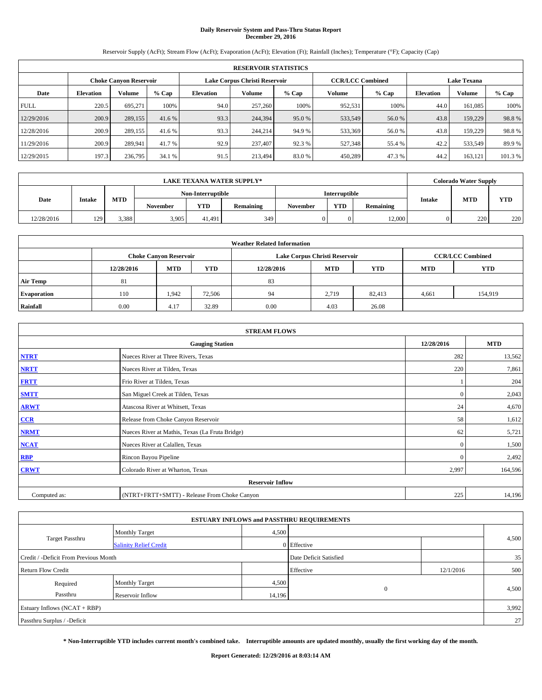# **Daily Reservoir System and Pass-Thru Status Report December 29, 2016**

Reservoir Supply (AcFt); Stream Flow (AcFt); Evaporation (AcFt); Elevation (Ft); Rainfall (Inches); Temperature (°F); Capacity (Cap)

|             | <b>RESERVOIR STATISTICS</b> |                               |         |                  |                               |         |                         |         |                  |                    |         |  |
|-------------|-----------------------------|-------------------------------|---------|------------------|-------------------------------|---------|-------------------------|---------|------------------|--------------------|---------|--|
|             |                             | <b>Choke Canyon Reservoir</b> |         |                  | Lake Corpus Christi Reservoir |         | <b>CCR/LCC Combined</b> |         |                  | <b>Lake Texana</b> |         |  |
| Date        | <b>Elevation</b>            | Volume                        | $%$ Cap | <b>Elevation</b> | Volume                        | $%$ Cap | Volume                  | $%$ Cap | <b>Elevation</b> | <b>Volume</b>      | % Cap   |  |
| <b>FULL</b> | 220.5                       | 695.271                       | 100%    | 94.0             | 257,260                       | 100%    | 952,531                 | 100%    | 44.0             | 161.085            | 100%    |  |
| 12/29/2016  | 200.9                       | 289,155                       | 41.6 %  | 93.3             | 244,394                       | 95.0 %  | 533,549                 | 56.0 %  | 43.8             | 159,229            | 98.8%   |  |
| 12/28/2016  | 200.9                       | 289,155                       | 41.6 %  | 93.3             | 244,214                       | 94.9 %  | 533,369                 | 56.0%   | 43.8             | 159,229            | 98.8%   |  |
| 11/29/2016  | 200.9                       | 289.941                       | 41.7 %  | 92.9             | 237,407                       | 92.3 %  | 527,348                 | 55.4 %  | 42.2             | 533,549            | 89.9%   |  |
| 12/29/2015  | 197.3                       | 236,795                       | 34.1 %  | 91.5             | 213,494                       | 83.0%   | 450,289                 | 47.3%   | 44.2             | 163,121            | 101.3 % |  |

| LAKE TEXANA WATER SUPPLY* |               |            |                   |            |           |                 |                      |           | <b>Colorado Water Supply</b> |     |
|---------------------------|---------------|------------|-------------------|------------|-----------|-----------------|----------------------|-----------|------------------------------|-----|
|                           |               |            | Non-Interruptible |            |           |                 | <b>Interruptible</b> |           |                              | YTD |
| Date                      | <b>Intake</b> | <b>MTD</b> | <b>November</b>   | <b>YTD</b> | Remaining | <b>November</b> | <b>YTD</b>           | Remaining | <b>MTD</b><br><b>Intake</b>  |     |
| 12/28/2016                | 120           | 3,388      | 3,905             | 41.491     | 349       |                 |                      | 12,000    | 220                          | 220 |

| <b>Weather Related Information</b> |            |                               |            |            |                                                      |                         |       |         |  |  |
|------------------------------------|------------|-------------------------------|------------|------------|------------------------------------------------------|-------------------------|-------|---------|--|--|
|                                    |            | <b>Choke Canyon Reservoir</b> |            |            | Lake Corpus Christi Reservoir                        | <b>CCR/LCC Combined</b> |       |         |  |  |
|                                    | 12/28/2016 | <b>MTD</b>                    | <b>YTD</b> | 12/28/2016 | <b>YTD</b><br><b>MTD</b><br><b>YTD</b><br><b>MTD</b> |                         |       |         |  |  |
| <b>Air Temp</b>                    | 81         |                               |            | 83         |                                                      |                         |       |         |  |  |
| <b>Evaporation</b>                 | 110        | 1.942                         | 72,506     | 94         | 2,719                                                | 82,413                  | 4,661 | 154,919 |  |  |
| Rainfall                           | 0.00       | 4.17                          | 32.89      | 0.00       | 4.03                                                 | 26.08                   |       |         |  |  |

| <b>STREAM FLOWS</b> |                                                 |              |            |  |  |  |  |  |  |
|---------------------|-------------------------------------------------|--------------|------------|--|--|--|--|--|--|
|                     | <b>Gauging Station</b>                          | 12/28/2016   | <b>MTD</b> |  |  |  |  |  |  |
| <b>NTRT</b>         | Nueces River at Three Rivers, Texas             | 282          | 13,562     |  |  |  |  |  |  |
| <b>NRTT</b>         | Nueces River at Tilden, Texas                   | 220          | 7,861      |  |  |  |  |  |  |
| <b>FRTT</b>         | Frio River at Tilden, Texas                     |              | 204        |  |  |  |  |  |  |
| <b>SMTT</b>         | San Miguel Creek at Tilden, Texas               | $\mathbf{0}$ | 2,043      |  |  |  |  |  |  |
| <b>ARWT</b>         | Atascosa River at Whitsett, Texas               | 24           | 4,670      |  |  |  |  |  |  |
| CCR                 | Release from Choke Canyon Reservoir             | 58           | 1,612      |  |  |  |  |  |  |
| <b>NRMT</b>         | Nueces River at Mathis, Texas (La Fruta Bridge) | 62           | 5,721      |  |  |  |  |  |  |
| <b>NCAT</b>         | Nueces River at Calallen, Texas                 | $\Omega$     | 1,500      |  |  |  |  |  |  |
| <b>RBP</b>          | Rincon Bayou Pipeline                           | $\Omega$     | 2,492      |  |  |  |  |  |  |
| <b>CRWT</b>         | Colorado River at Wharton, Texas                | 2,997        | 164,596    |  |  |  |  |  |  |
|                     | <b>Reservoir Inflow</b>                         |              |            |  |  |  |  |  |  |
| Computed as:        | (NTRT+FRTT+SMTT) - Release From Choke Canyon    | 225          | 14,196     |  |  |  |  |  |  |

|                                       |                               |        | <b>ESTUARY INFLOWS and PASSTHRU REQUIREMENTS</b> |           |       |  |
|---------------------------------------|-------------------------------|--------|--------------------------------------------------|-----------|-------|--|
|                                       | <b>Monthly Target</b>         | 4,500  |                                                  |           |       |  |
| <b>Target Passthru</b>                | <b>Salinity Relief Credit</b> |        | 0 Effective                                      |           | 4,500 |  |
| Credit / -Deficit From Previous Month |                               |        | Date Deficit Satisfied                           |           | 35    |  |
| <b>Return Flow Credit</b>             |                               |        | Effective                                        | 12/1/2016 | 500   |  |
| Required                              | <b>Monthly Target</b>         | 4,500  |                                                  |           |       |  |
| Passthru                              | Reservoir Inflow              | 14,196 | $\mathbf{0}$                                     |           | 4,500 |  |
| Estuary Inflows (NCAT + RBP)          |                               |        |                                                  |           | 3,992 |  |
| Passthru Surplus / -Deficit           |                               |        |                                                  |           | 27    |  |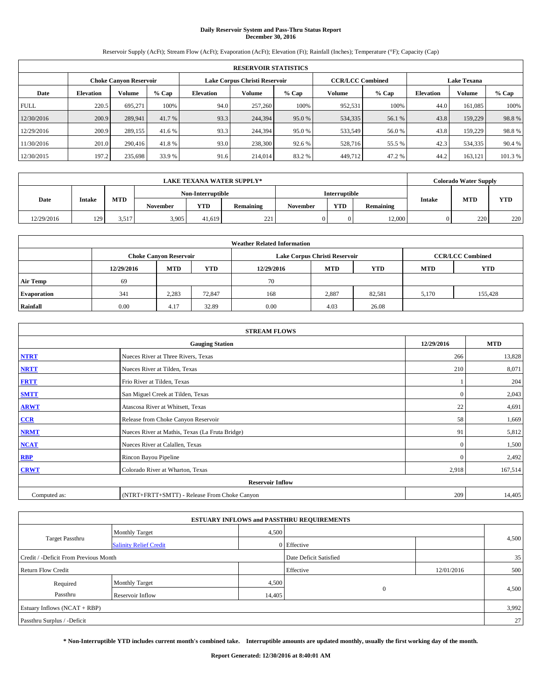# **Daily Reservoir System and Pass-Thru Status Report December 30, 2016**

Reservoir Supply (AcFt); Stream Flow (AcFt); Evaporation (AcFt); Elevation (Ft); Rainfall (Inches); Temperature (°F); Capacity (Cap)

|             | <b>RESERVOIR STATISTICS</b> |                               |         |           |                               |         |                         |         |                    |               |         |
|-------------|-----------------------------|-------------------------------|---------|-----------|-------------------------------|---------|-------------------------|---------|--------------------|---------------|---------|
|             |                             | <b>Choke Canyon Reservoir</b> |         |           | Lake Corpus Christi Reservoir |         | <b>CCR/LCC Combined</b> |         | <b>Lake Texana</b> |               |         |
| Date        | <b>Elevation</b>            | Volume                        | $%$ Cap | Elevation | Volume                        | $%$ Cap | Volume                  | $%$ Cap | <b>Elevation</b>   | <b>Volume</b> | % Cap   |
| <b>FULL</b> | 220.5                       | 695.271                       | 100%    | 94.0      | 257,260                       | 100%    | 952,531                 | 100%    | 44.0               | 161.085       | 100%    |
| 12/30/2016  | 200.9                       | 289.941                       | 41.7 %  | 93.3      | 244,394                       | 95.0 %  | 534,335                 | 56.1 %  | 43.8               | 159,229       | 98.8%   |
| 12/29/2016  | 200.9                       | 289,155                       | 41.6 %  | 93.3      | 244,394                       | 95.0 %  | 533,549                 | 56.0%   | 43.8               | 159,229       | 98.8%   |
| 11/30/2016  | 201.0                       | 290,416                       | 41.8%   | 93.0      | 238,300                       | 92.6 %  | 528,716                 | 55.5 %  | 42.3               | 534,335       | 90.4%   |
| 12/30/2015  | 197.2                       | 235,698                       | 33.9 %  | 91.6      | 214,014                       | 83.2%   | 449,712                 | 47.2%   | 44.2               | 163,121       | 101.3 % |

|            |               |            |                   |        | <b>LAKE TEXANA WATER SUPPLY*</b> |               |            |           |               | <b>Colorado Water Supply</b> |            |
|------------|---------------|------------|-------------------|--------|----------------------------------|---------------|------------|-----------|---------------|------------------------------|------------|
|            |               |            | Non-Interruptible |        |                                  | Interruptible |            |           |               |                              |            |
| Date       | <b>Intake</b> | <b>MTD</b> | <b>November</b>   | YTD    | Remaining                        | November      | <b>YTD</b> | Remaining | <b>Intake</b> | <b>MTD</b>                   | <b>YTD</b> |
| 12/29/2016 | 129           | 3.517      | 3,905             | 41.619 | 221                              |               |            | 12,000    |               | 220                          | 220        |

|                    | <b>Weather Related Information</b> |                               |            |            |                               |                         |            |            |  |  |  |
|--------------------|------------------------------------|-------------------------------|------------|------------|-------------------------------|-------------------------|------------|------------|--|--|--|
|                    |                                    | <b>Choke Canyon Reservoir</b> |            |            | Lake Corpus Christi Reservoir | <b>CCR/LCC Combined</b> |            |            |  |  |  |
|                    | 12/29/2016                         | <b>MTD</b>                    | <b>YTD</b> | 12/29/2016 | <b>MTD</b>                    | <b>YTD</b>              | <b>MTD</b> | <b>YTD</b> |  |  |  |
| <b>Air Temp</b>    | 69                                 |                               |            | 70         |                               |                         |            |            |  |  |  |
| <b>Evaporation</b> | 341                                | 2,283                         | 72,847     | 168        | 2,887                         | 82.581                  | 5,170      | 155,428    |  |  |  |
| Rainfall           | 0.00                               | 4.17                          | 32.89      | 0.00       | 4.03                          | 26.08                   |            |            |  |  |  |

| <b>STREAM FLOWS</b> |                                                 |              |            |  |  |  |  |  |  |
|---------------------|-------------------------------------------------|--------------|------------|--|--|--|--|--|--|
|                     | <b>Gauging Station</b>                          | 12/29/2016   | <b>MTD</b> |  |  |  |  |  |  |
| <b>NTRT</b>         | Nueces River at Three Rivers, Texas             | 266          | 13,828     |  |  |  |  |  |  |
| <b>NRTT</b>         | Nueces River at Tilden, Texas                   | 210          | 8,071      |  |  |  |  |  |  |
| <b>FRTT</b>         | Frio River at Tilden, Texas                     |              | 204        |  |  |  |  |  |  |
| <b>SMTT</b>         | San Miguel Creek at Tilden, Texas               | $\mathbf{0}$ | 2,043      |  |  |  |  |  |  |
| <b>ARWT</b>         | Atascosa River at Whitsett, Texas               | 22           | 4,691      |  |  |  |  |  |  |
| $CCR$               | Release from Choke Canyon Reservoir             | 58           | 1,669      |  |  |  |  |  |  |
| <b>NRMT</b>         | Nueces River at Mathis, Texas (La Fruta Bridge) | 91           | 5,812      |  |  |  |  |  |  |
| <b>NCAT</b>         | Nueces River at Calallen, Texas                 | $\mathbf{0}$ | 1,500      |  |  |  |  |  |  |
| RBP                 | Rincon Bayou Pipeline                           | $\Omega$     | 2,492      |  |  |  |  |  |  |
| <b>CRWT</b>         | Colorado River at Wharton, Texas                | 2,918        | 167,514    |  |  |  |  |  |  |
|                     | <b>Reservoir Inflow</b>                         |              |            |  |  |  |  |  |  |
| Computed as:        | (NTRT+FRTT+SMTT) - Release From Choke Canyon    |              |            |  |  |  |  |  |  |

| <b>ESTUARY INFLOWS and PASSTHRU REQUIREMENTS</b> |                                |                        |              |            |       |  |  |  |  |  |
|--------------------------------------------------|--------------------------------|------------------------|--------------|------------|-------|--|--|--|--|--|
|                                                  | 4,500<br><b>Monthly Target</b> |                        |              |            |       |  |  |  |  |  |
| <b>Target Passthru</b>                           | <b>Salinity Relief Credit</b>  |                        | 0 Effective  |            | 4,500 |  |  |  |  |  |
| Credit / -Deficit From Previous Month            |                                | Date Deficit Satisfied |              | 35         |       |  |  |  |  |  |
| <b>Return Flow Credit</b>                        |                                |                        | Effective    | 12/01/2016 | 500   |  |  |  |  |  |
| Required                                         | <b>Monthly Target</b>          | 4,500                  |              |            |       |  |  |  |  |  |
| Passthru                                         | Reservoir Inflow               | 14,405                 | $\mathbf{0}$ |            | 4,500 |  |  |  |  |  |
| Estuary Inflows $(NCAT + RBP)$                   |                                |                        |              |            |       |  |  |  |  |  |
| Passthru Surplus / -Deficit                      |                                |                        |              |            | 27    |  |  |  |  |  |